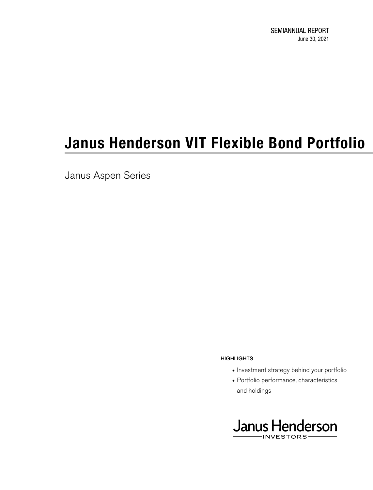SEMIANNUAL REPORT June 30, 2021

# **Janus Henderson VIT Flexible Bond Portfolio**

Janus Aspen Series

- hard and the control of the control of the control of the control of the control of the control of the control of the control of the control of the control of the control of the control of the control of the control of the • Investment strategy behind your portfolio
	- Portfolio performance, characteristics and holdings

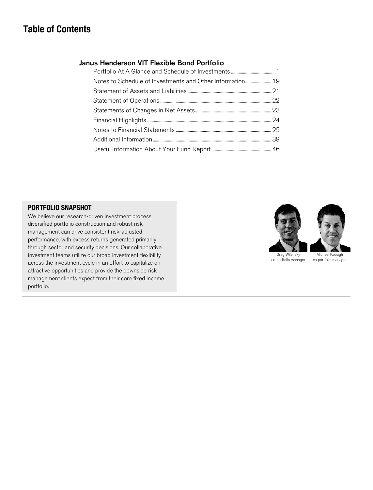## **Table of Contents**

#### Janus Henderson VIT Flexible Bond Portfolio

#### **PORTFOLIO SNAPSHOT**

We believe our research-driven investment process, diversified portfolio construction and robust risk management can drive consistent risk-adjusted performance, with excess returns generated primarily through sector and security decisions. Our collaborative investment teams utilize our broad investment flexibility across the investment cycle in an effort to capitalize on attractive opportunities and provide the downside risk management clients expect from their core fixed income portfolio.

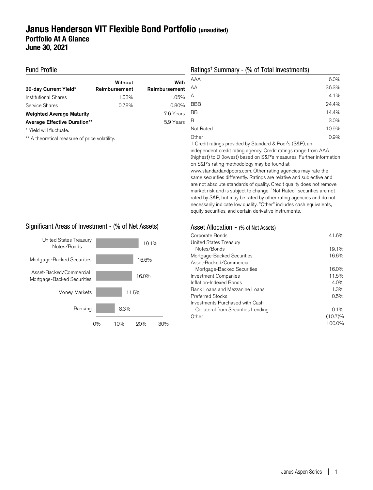## **Janus Henderson VIT Flexible Bond Portfolio (unaudited) Portfolio At A Glance June 30, 2021**

#### Fund Profile

| 30-day Current Yield*               | Without<br>Reimbursement | With<br>Reimbursement |
|-------------------------------------|--------------------------|-----------------------|
| Institutional Shares                | 1.03%                    | 1.05%                 |
| Service Shares                      | 0.78%                    | 0.80%                 |
| <b>Weighted Average Maturity</b>    |                          | 7.6 Years             |
| <b>Average Effective Duration**</b> |                          | 5.9 Years             |
| * Yield will fluctuate.             |                          |                       |

\*\* A theoretical measure of price volatility.

#### Ratings† Summary - (% of Total Investments)

| 6.0%  |
|-------|
| 36.3% |
| 4.1%  |
| 24.4% |
| 14.4% |
| 3.0%  |
| 10.9% |
| 0.9%  |
|       |

† Credit ratings provided by Standard & Poor's (S&P), an independent credit rating agency. Credit ratings range from AAA (highest) to D (lowest) based on S&P's measures. Further information on S&P's rating methodology may be found at www.standardandpoors.com. Other rating agencies may rate the same securities differently. Ratings are relative and subjective and are not absolute standards of quality. Credit quality does not remove market risk and is subject to change. "Not Rated" securities are not rated by S&P, but may be rated by other rating agencies and do not necessarily indicate low quality. "Other" includes cash equivalents, equity securities, and certain derivative instruments.

#### Significant Areas of Investment - (% of Net Assets)



#### Asset Allocation - (% of Net Assets)

| Corporate Bonds                    | 41.6%      |
|------------------------------------|------------|
| United States Treasury             |            |
| Notes/Bonds                        | 19.1%      |
| Mortgage-Backed Securities         | 16.6%      |
| Asset-Backed/Commercial            |            |
| Mortgage-Backed Securities         | 16.0%      |
| <b>Investment Companies</b>        | 11.5%      |
| Inflation-Indexed Bonds            | 4.0%       |
| Bank Loans and Mezzanine Loans     | 1.3%       |
| <b>Preferred Stocks</b>            | 0.5%       |
| Investments Purchased with Cash    |            |
| Collateral from Securities Lending | $0.1\%$    |
| Other                              | $(10.7)\%$ |
|                                    | 100.0%     |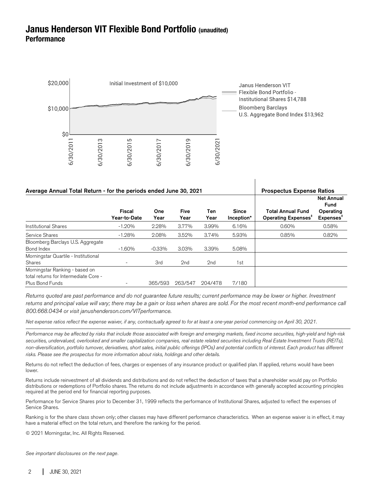## **Janus Henderson VIT Flexible Bond Portfolio (unaudited) Performance**



| Average Annual Total Return - for the periods ended June 30, 2021 |                        |             |                     |                 | <b>Prospectus Expense Ratios</b> |                                                             |                                                                 |
|-------------------------------------------------------------------|------------------------|-------------|---------------------|-----------------|----------------------------------|-------------------------------------------------------------|-----------------------------------------------------------------|
|                                                                   | Fiscal<br>Year-to-Date | One<br>Year | <b>Five</b><br>Year | Ten<br>Year     | <b>Since</b><br>Inception*       | <b>Total Annual Fund</b><br>Operating Expenses <sup>+</sup> | <b>Net Annual</b><br>Fund<br>Operating<br>Expenses <sup>1</sup> |
| <b>Institutional Shares</b>                                       | $-1.20%$               | 2.28%       | 3.77%               | 3.99%           | 6.16%                            | 0.60%                                                       | 0.58%                                                           |
| Service Shares                                                    | $-1.28%$               | 2.08%       | 3.52%               | 3.74%           | 5.93%                            | 0.85%                                                       | 0.82%                                                           |
| Bloomberg Barclays U.S. Aggregate<br>Bond Index                   | $-1.60%$               | $-0.33\%$   | 3.03%               | 3.39%           | 5.08%                            |                                                             |                                                                 |
| Morningstar Quartile - Institutional                              |                        |             |                     |                 |                                  |                                                             |                                                                 |
| <b>Shares</b>                                                     | -                      | 3rd         | 2nd                 | 2 <sub>nd</sub> | 1st                              |                                                             |                                                                 |
| Morningstar Ranking - based on                                    |                        |             |                     |                 |                                  |                                                             |                                                                 |
| total returns for Intermediate Core -                             |                        |             |                     |                 |                                  |                                                             |                                                                 |
| Plus Bond Funds                                                   |                        | 365/593     | 263/547             | 204/478         | 7/180                            |                                                             |                                                                 |

I

Returns quoted are past performance and do not guarantee future results; current performance may be lower or higher. Investment returns and principal value will vary; there may be a gain or loss when shares are sold. For the most recent month-end performance call 800.668.0434 or visit janushenderson.com/VITperformance.

Net expense ratios reflect the expense waiver, if any, contractually agreed to for at least a one-year period commencing on April 30, 2021.

Performance may be affected by risks that include those associated with foreign and emerging markets, fixed income securities, high-yield and high-risk securities, undervalued, overlooked and smaller capitalization companies, real estate related securities including Real Estate Investment Trusts (REITs), non-diversification, portfolio turnover, derivatives, short sales, initial public offerings (IPOs) and potential conflicts of interest. Each product has different risks. Please see the prospectus for more information about risks, holdings and other details.

Returns do not reflect the deduction of fees, charges or expenses of any insurance product or qualified plan. If applied, returns would have been lower.

Returns include reinvestment of all dividends and distributions and do not reflect the deduction of taxes that a shareholder would pay on Portfolio distributions or redemptions of Portfolio shares. The returns do not include adjustments in accordance with generally accepted accounting principles required at the period end for financial reporting purposes.

Performance for Service Shares prior to December 31, 1999 reflects the performance of Institutional Shares, adjusted to reflect the expenses of Service Shares.

Ranking is for the share class shown only; other classes may have different performance characteristics. When an expense waiver is in effect, it may have a material effect on the total return, and therefore the ranking for the period.

© 2021 Morningstar, Inc. All Rights Reserved.

See important disclosures on the next page.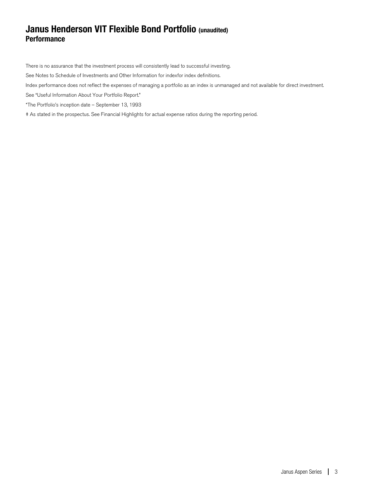## **Janus Henderson VIT Flexible Bond Portfolio (unaudited) Performance**

There is no assurance that the investment process will consistently lead to successful investing.

See Notes to Schedule of Investments and Other Information for indexfor index definitions.

Index performance does not reflect the expenses of managing a portfolio as an index is unmanaged and not available for direct investment.

See "Useful Information About Your Portfolio Report."

\*The Portfolio's inception date – September 13, 1993

‡ As stated in the prospectus. See Financial Highlights for actual expense ratios during the reporting period.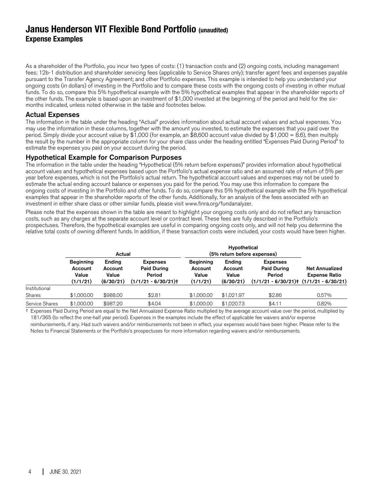## **Janus Henderson VIT Flexible Bond Portfolio (unaudited) Expense Examples**

As a shareholder of the Portfolio, you incur two types of costs: (1) transaction costs and (2) ongoing costs, including management fees; 12b-1 distribution and shareholder servicing fees (applicable to Service Shares only); transfer agent fees and expenses payable pursuant to the Transfer Agency Agreement; and other Portfolio expenses. This example is intended to help you understand your ongoing costs (in dollars) of investing in the Portfolio and to compare these costs with the ongoing costs of investing in other mutual funds. To do so, compare this 5% hypothetical example with the 5% hypothetical examples that appear in the shareholder reports of the other funds. The example is based upon an investment of \$1,000 invested at the beginning of the period and held for the sixmonths indicated, unless noted otherwise in the table and footnotes below.

#### Actual Expenses

The information in the table under the heading "Actual" provides information about actual account values and actual expenses. You may use the information in these columns, together with the amount you invested, to estimate the expenses that you paid over the period. Simply divide your account value by \$1,000 (for example, an \$8,600 account value divided by \$1,000 = 8.6), then multiply the result by the number in the appropriate column for your share class under the heading entitled "Expenses Paid During Period" to estimate the expenses you paid on your account during the period.

#### Hypothetical Example for Comparison Purposes

The information in the table under the heading "Hypothetical (5% return before expenses)" provides information about hypothetical account values and hypothetical expenses based upon the Portfolio's actual expense ratio and an assumed rate of return of 5% per year before expenses, which is not the Portfolio's actual return. The hypothetical account values and expenses may not be used to estimate the actual ending account balance or expenses you paid for the period. You may use this information to compare the ongoing costs of investing in the Portfolio and other funds. To do so, compare this 5% hypothetical example with the 5% hypothetical examples that appear in the shareholder reports of the other funds. Additionally, for an analysis of the fees associated with an investment in either share class or other similar funds, please visit www.finra.org/fundanalyzer.

Please note that the expenses shown in the table are meant to highlight your ongoing costs only and do not reflect any transaction costs, such as any charges at the separate account level or contract level. These fees are fully described in the Portfolio's prospectuses. Therefore, the hypothetical examples are useful in comparing ongoing costs only, and will not help you determine the relative total costs of owning different funds. In addition, if these transaction costs were included, your costs would have been higher.

|                | Actual                                           |                                         |                                                                         | Hypothetical<br>(5% return before expenses)      |                                         |                                                                                              |                                               |
|----------------|--------------------------------------------------|-----------------------------------------|-------------------------------------------------------------------------|--------------------------------------------------|-----------------------------------------|----------------------------------------------------------------------------------------------|-----------------------------------------------|
|                | <b>Beginning</b><br>Account<br>Value<br>(1/1/21) | Ending<br>Account<br>Value<br>(6/30/21) | <b>Expenses</b><br><b>Paid During</b><br>Period<br>$(1/1/21 - 6/30/21)$ | <b>Beginning</b><br>Account<br>Value<br>(1/1/21) | Ending<br>Account<br>Value<br>(6/30/21) | <b>Expenses</b><br><b>Paid During</b><br>Period<br>$(1/1/21 - 6/30/21)$ $(1/1/21 - 6/30/21)$ | <b>Net Annualized</b><br><b>Expense Ratio</b> |
| Institutional  |                                                  |                                         |                                                                         |                                                  |                                         |                                                                                              |                                               |
| Shares         | \$1,000,00                                       | \$988.00                                | \$2.81                                                                  | \$1,000,00                                       | \$1.021.97                              | \$2.86                                                                                       | 0.57%                                         |
| Service Shares | \$1,000,00                                       | \$987.20                                | \$4.04                                                                  | \$1,000,00                                       | \$1,020.73                              | \$4.11                                                                                       | 0.82%                                         |

† Expenses Paid During Period are equal to the Net Annualized Expense Ratio multiplied by the average account value over the period, multiplied by 181/365 (to reflect the one-half year period). Expenses in the examples include the effect of applicable fee waivers and/or expense reimbursements, if any. Had such waivers and/or reimbursements not been in effect, your expenses would have been higher. Please refer to the

Notes to Financial Statements or the Portfolio's prospectuses for more information regarding waivers and/or reimbursements.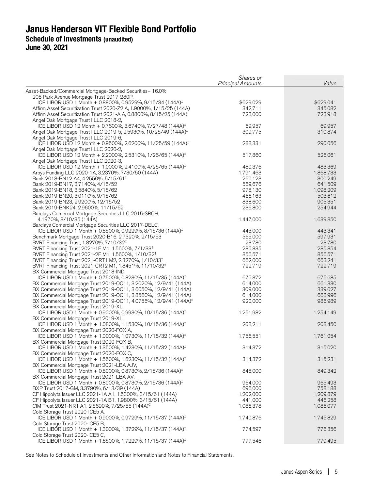|                                                                                                                    | Shares or                |           |
|--------------------------------------------------------------------------------------------------------------------|--------------------------|-----------|
|                                                                                                                    | <b>Principal Amounts</b> | Value     |
| Asset-Backed/Commercial Mortgage-Backed Securities- 16.0%                                                          |                          |           |
| 208 Park Avenue Mortgage Trust 2017-280P,<br>ICE LIBOR USD 1 Month + 0.8800%, 0.9529%, 9/15/34 (144A) <sup>‡</sup> | \$629,029                | \$629,041 |
| Affirm Asset Securitization Trust 2020-Z2 A, 1.9000%, 1/15/25 (144A)                                               | 342,711                  | 345,082   |
| Affirm Asset Securitization Trust 2021-A A, 0.8800%, 8/15/25 (144A)                                                | 723,000                  | 723,918   |
| Angel Oak Mortgage Trust I LLC 2018-2,                                                                             |                          |           |
| ICE LIBOR USD 12 Month + 0.7600%, 3.6740%, 7/27/48 (144A) <sup>‡</sup>                                             | 69,957                   | 69,957    |
| Angel Oak Mortgage Trust I LLC 2019-5, 2.5930%, 10/25/49 (144A) <sup>‡</sup>                                       | 309,775                  | 310,874   |
| Angel Oak Mortgage Trust I LLC 2019-6,                                                                             |                          |           |
| ICE LIBOR USD 12 Month + 0.9500%, 2.6200%, 11/25/59 (144A) <sup>‡</sup>                                            | 288,331                  | 290,056   |
| Angel Oak Mortgage Trust I LLC 2020-2,                                                                             |                          |           |
| ICE LIBOR USD 12 Month + 2.2000%, 2.5310%, 1/26/65 (144A) <sup>‡</sup>                                             | 517,860                  | 526,061   |
| Angel Oak Mortgage Trust I LLC 2020-3,                                                                             |                          |           |
| ICE LIBOR USD 12 Month + 1.0000%, 2.4100%, 4/25/65 (144A) <sup>‡</sup>                                             | 480,376                  | 483,369   |
| Arbys Funding LLC 2020-1A, 3.2370%, 7/30/50 (144A)                                                                 | 1,791,463                | 1,868,733 |
| Bank 2018-BN12 A4, 4.2550%, 5/15/61 <sup>‡</sup>                                                                   | 260,123                  | 300,249   |
| Bank 2019-BN17, 3.7140%, 4/15/52                                                                                   | 569,676                  | 641,509   |
| Bank 2019-BN18, 3.5840%, 5/15/62                                                                                   | 978,130                  | 1,098,209 |
| Bank 2019-BN20, 3.0110%, 9/15/62                                                                                   | 466,163                  | 503,612   |
| Bank 2019-BN23, 2.9200%, 12/15/52                                                                                  | 838,600                  | 905,351   |
| Bank 2019-BNK24, 2.9600%, 11/15/62                                                                                 | 236,800                  | 254,944   |
| Barclays Comercial Mortgage Securities LLC 2015-SRCH,                                                              | 1,447,000                |           |
| 4.1970%, 8/10/35 (144A)<br>Barclays Comercial Mortgage Securities LLC 2017-DELC,                                   |                          | 1,639,850 |
| ICE LIBOR USD 1 Month + 0.8500%, 0.9229%, 8/15/36 (144A) <sup>‡</sup>                                              | 443,000                  | 443,341   |
| Benchmark Mortgage Trust 2020-B16, 2.7320%, 2/15/53                                                                | 565,000                  | 597,931   |
| BVRT Financing Trust, 1.8270%, 7/10/32 <sup>‡</sup>                                                                | 23,780                   | 23,780    |
| BVRT Financing Trust 2021-1F M1, 1.5600%, 7/1/33 <sup>‡</sup>                                                      | 285,835                  | 285,854   |
| BVRT Financing Trust 2021-2F M1, 1.5600%, 1/10/32 <sup>‡</sup>                                                     | 856,571                  | 856,571   |
| BVRT Financing Trust 2021-CRT1 M2, 2.3270%, 1/10/33 <sup>‡</sup>                                                   | 662,000                  | 663,241   |
| BVRT Financing Trust 2021-CRT2 M1, 1.8451%, 11/10/32 <sup>‡</sup>                                                  | 722,719                  | 722,719   |
| BX Commercial Mortgage Trust 2018-IND,                                                                             |                          |           |
| ICE LIBOR USD 1 Month + 0.7500%, 0.8230%, 11/15/35 (144A) <sup>‡</sup>                                             | 675,372                  | 675,685   |
| BX Commercial Mortgage Trust 2019-OC11, 3.2020%, 12/9/41 (144A)                                                    | 614,000                  | 661,330   |
| BX Commercial Mortgage Trust 2019-OC11, 3.6050%, 12/9/41 (144A)                                                    | 309,000                  | 339,027   |
| BX Commercial Mortgage Trust 2019-OC11, 3.8560%, 12/9/41 (144A)                                                    | 614,000                  | 668,996   |
| BX Commercial Mortgage Trust 2019-OC11, 4.0755%, 12/9/41 (144A) <sup>‡</sup>                                       | 920,000                  | 986,989   |
| BX Commercial Mortgage Trust 2019-XL,                                                                              |                          |           |
| ICE LIBOR USD 1 Month + 0.9200%, 0.9930%, 10/15/36 (144A) <sup>‡</sup>                                             | 1,251,982                | 1,254,149 |
| BX Commercial Mortgage Trust 2019-XL,                                                                              |                          |           |
| ICE LIBOR USD 1 Month + 1.0800%, 1.1530%, 10/15/36 (144A) <sup>‡</sup>                                             | 208,211                  | 208,450   |
| BX Commercial Mortgage Trust 2020-FOX A,                                                                           |                          |           |
| ICE LIBOR USD 1 Month + 1.0000%, 1.0730%, 11/15/32 (144A) <sup>‡</sup>                                             | 1,756,551                | 1,761,054 |
| BX Commercial Mortgage Trust 2020-FOX B,                                                                           |                          |           |
| ICE LIBOR USD 1 Month + 1.3500%, 1.4230%, 11/15/32 (144A) <sup>‡</sup>                                             | 314,372                  | 315,020   |
| BX Commercial Mortgage Trust 2020-FOX C,<br>ICE LIBOR USD 1 Month + 1.5500%, 1.6230%, 11/15/32 (144A) <sup>‡</sup> | 314,372                  | 315,231   |
| BX Commercial Mortgage Trust 2021-LBA AJV,                                                                         |                          |           |
| ICE LIBOR USD 1 Month + 0.8000%, 0.8730%, 2/15/36 (144A) <sup>‡</sup>                                              | 848,000                  | 849,342   |
| BX Commercial Mortgage Trust 2021-LBA AV,                                                                          |                          |           |
| ICE LIBOR USD 1 Month + 0.8000%, 0.8730%, 2/15/36 (144A) <sup>‡</sup>                                              | 964,000                  | 965,493   |
| BXP Trust 2017-GM, 3.3790%, 6/13/39 (144A)                                                                         | 696,000                  | 758,188   |
| CF Hippolyta Issuer LLC 2021-1A A1, 1.5300%, 3/15/61 (144A)                                                        | 1,202,000                | 1,209,879 |
| CF Hippolyta Issuer LLC 2021-1A B1, 1.9800%, 3/15/61 (144A)                                                        | 441,000                  | 446,258   |
| CIM Trust 2021-NR1 A1, 2.5690%, 7/25/55 (144A) <sup>C</sup>                                                        | 1,086,378                | 1,086,077 |
| Cold Storage Trust 2020-ICE5 A,                                                                                    |                          |           |
| ICE LIBOR USD 1 Month + 0.9000%, 0.9729%, 11/15/37 (144A) <sup>‡</sup>                                             | 1,740,876                | 1,745,829 |
| Cold Storage Trust 2020-ICE5 B,                                                                                    |                          |           |
| ICE LIBOR USD 1 Month + 1.3000%, 1.3729%, 11/15/37 (144A) <sup>‡</sup>                                             | 774,597                  | 776,356   |
| Cold Storage Trust 2020-ICE5 C,                                                                                    |                          |           |
| ICE LIBOR USD 1 Month + 1.6500%, 1.7229%, 11/15/37 (144A) <sup>‡</sup>                                             | 777,546                  | 779,495   |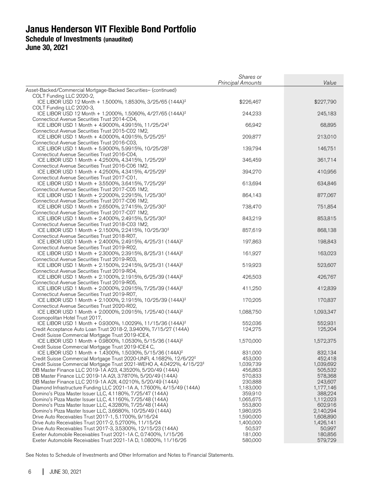|                                                                                                                               | Shares or<br><b>Principal Amounts</b> | Value     |
|-------------------------------------------------------------------------------------------------------------------------------|---------------------------------------|-----------|
| Asset-Backed/Commercial Mortgage-Backed Securities- (continued)                                                               |                                       |           |
| COLT Funding LLC 2020-2,                                                                                                      |                                       |           |
| ICE LIBOR USD 12 Month + 1.5000%, 1.8530%, 3/25/65 (144A) <sup>‡</sup>                                                        | \$226,467                             | \$227,790 |
| COLT Funding LLC 2020-3,<br>ICE LIBOR USD 12 Month + 1.2000%, 1.5060%, 4/27/65 (144A) <sup>‡</sup>                            | 244,233                               | 245,183   |
| Connecticut Avenue Securities Trust 2014-C04,                                                                                 |                                       |           |
| ICE LIBOR USD 1 Month + 4.9000%, 4.9915%, 11/25/24 <sup>‡</sup>                                                               | 66,942                                | 68,895    |
| Connecticut Avenue Securities Trust 2015-C02 1M2,                                                                             |                                       |           |
| ICE LIBOR USD 1 Month + 4.0000%, 4.0915%, 5/25/25 <sup>‡</sup>                                                                | 209,877                               | 213,010   |
| Connecticut Avenue Securities Trust 2016-C03,                                                                                 |                                       |           |
| ICE LIBOR USD 1 Month + 5.9000%, 5.9915%, 10/25/28 <sup>‡</sup>                                                               | 139,794                               | 146,751   |
| Connecticut Avenue Securities Trust 2016-C04,<br>ICE LIBOR USD 1 Month + 4.2500%, 4.3415%, 1/25/29 <sup>‡</sup>               | 346,459                               | 361,714   |
| Connecticut Avenue Securities Trust 2016-C06 1M2,                                                                             |                                       |           |
| ICE LIBOR USD 1 Month + 4.2500%, 4.3415%, 4/25/29 <sup>‡</sup>                                                                | 394,270                               | 410,956   |
| Connecticut Avenue Securities Trust 2017-C01,                                                                                 |                                       |           |
| ICE LIBOR USD 1 Month + 3.5500%, 3.6415%, 7/25/29 <sup>‡</sup>                                                                | 613,694                               | 634,846   |
| Connecticut Avenue Securities Trust 2017-C05 1M2,                                                                             |                                       |           |
| ICE LIBOR USD 1 Month + 2.2000%, 2.2915%, 1/25/30 <sup>‡</sup>                                                                | 864,143                               | 877,067   |
| Connecticut Avenue Securities Trust 2017-C06 1M2,                                                                             |                                       |           |
| ICE LIBOR USD 1 Month + 2.6500%, 2.7415%, 2/25/30 <sup>‡</sup><br>Connecticut Avenue Securities Trust 2017-C07 1M2,           | 738,470                               | 751,854   |
| ICE LIBOR USD 1 Month + 2.4000%, 2.4915%, 5/25/30 <sup>‡</sup>                                                                | 843,219                               | 853,815   |
| Connecticut Avenue Securities Trust 2018-C03 1M2,                                                                             |                                       |           |
| ICE LIBOR USD 1 Month + 2.1500%, 2.2415%, 10/25/30 <sup>‡</sup>                                                               | 857,619                               | 868,138   |
| Connecticut Avenue Securities Trust 2018-R07,                                                                                 |                                       |           |
| ICE LIBOR USD 1 Month + 2.4000%, 2.4915%, 4/25/31 (144A) <sup>‡</sup>                                                         | 197,863                               | 198,843   |
| Connecticut Avenue Securities Trust 2019-R02,                                                                                 |                                       |           |
| ICE LIBOR USD 1 Month + 2.3000%, 2.3915%, 8/25/31 (144A) <sup>‡</sup><br>Connecticut Avenue Securities Trust 2019-R03,        | 161,927                               | 163,023   |
| ICE LIBOR USD 1 Month + 2.1500%, 2.2415%, 9/25/31 (144A) <sup>‡</sup>                                                         | 519,923                               | 523,607   |
| Connecticut Avenue Securities Trust 2019-R04,                                                                                 |                                       |           |
| ICE LIBOR USD 1 Month + 2.1000%, 2.1915%, 6/25/39 (144A) <sup>‡</sup>                                                         | 426,503                               | 426,767   |
| Connecticut Avenue Securities Trust 2019-R05,                                                                                 |                                       |           |
| ICE LIBOR USD 1 Month + 2.0000%, 2.0915%, 7/25/39 (144A) <sup>‡</sup>                                                         | 411,250                               | 412,839   |
| Connecticut Avenue Securities Trust 2019-R07,                                                                                 |                                       |           |
| ICE LIBOR USD 1 Month + 2.1000%, 2.1915%, 10/25/39 (144A) <sup>‡</sup><br>Connecticut Avenue Securities Trust 2020-R02,       | 170,205                               | 170,837   |
| ICE LIBOR USD 1 Month + 2.0000%, 2.0915%, 1/25/40 (144A) <sup>‡</sup>                                                         | 1,088,750                             | 1,093,347 |
| Cosmopolitan Hotel Trust 2017,                                                                                                |                                       |           |
| ICE LIBOR USD 1 Month + 0.9300%, 1.0029%, 11/15/36 (144A) <sup>‡</sup>                                                        | 552,036                               | 552,931   |
| Credit Acceptance Auto Loan Trust 2018-2, 3.9400%, 7/15/27 (144A)                                                             | 124,275                               | 125,204   |
| Credit Suisse Commercial Mortgage Trust 2019-ICE4,                                                                            |                                       |           |
| ICE LIBOR USD 1 Month + 0.9800%, 1.0530%, 5/15/36 (144A) <sup>‡</sup>                                                         | 1,570,000                             | 1,572,375 |
| Credit Suisse Commercial Mortgage Trust 2019-ICE4 C,<br>ICE LIBOR USD 1 Month + 1.4300%, 1.5030%, 5/15/36 (144A) <sup>‡</sup> | 831,000                               | 832,134   |
| Credit Suisse Commercial Mortgage Trust 2020-UNFI, 4.1682%, 12/6/22 <sup>‡</sup>                                              | 453,000                               | 452,418   |
| Credit Suisse Commercial Mortgage Trust 2021-WEHO A, 4.0422%, 4/15/23 <sup>‡</sup>                                            | 1,039,739                             | 1,039,692 |
| DB Master Finance LLC 2019-1A A23, 4.3520%, 5/20/49 (144A)                                                                    | 456,863                               | 505,532   |
| DB Master Finance LLC 2019-1A A2I, 3.7870%, 5/20/49 (144A)                                                                    | 570,833                               | 578,368   |
| DB Master Finance LLC 2019-1A A2II, 4.0210%, 5/20/49 (144A)                                                                   | 230,888                               | 243,607   |
| Diamond Infrastructure Funding LLC 2021-1A A, 1.7600%, 4/15/49 (144A)                                                         | 1,183,000                             | 1,177,146 |
| Domino's Pizza Master Issuer LLC, 4.1180%, 7/25/47 (144A)                                                                     | 359,910                               | 388,224   |
| Domino's Pizza Master Issuer LLC, 4.1160%, 7/25/48 (144A)                                                                     | 1,065,675                             | 1,112,023 |
| Domino's Pizza Master Issuer LLC, 4.3280%, 7/25/48 (144A)                                                                     | 553,800                               | 602,916   |
| Domino's Pizza Master Issuer LLC, 3.6680%, 10/25/49 (144A)                                                                    | 1,980,925                             | 2,140,294 |
| Drive Auto Receivables Trust 2017-1, 5.1700%, 9/16/24                                                                         | 1,590,000                             | 1,608,890 |
| Drive Auto Receivables Trust 2017-2, 5.2700%, 11/15/24                                                                        | 1,400,000                             | 1,426,141 |
| Drive Auto Receivables Trust 2017-3, 3.5300%, 12/15/23 (144A)                                                                 | 50,537                                | 50,997    |
| Exeter Automobile Receivables Trust 2021-1A C, 0.7400%, 1/15/26                                                               | 181,000                               | 180,856   |
| Exeter Automobile Receivables Trust 2021-1A D, 1.0800%, 11/16/26                                                              | 580,000                               | 579,729   |
|                                                                                                                               |                                       |           |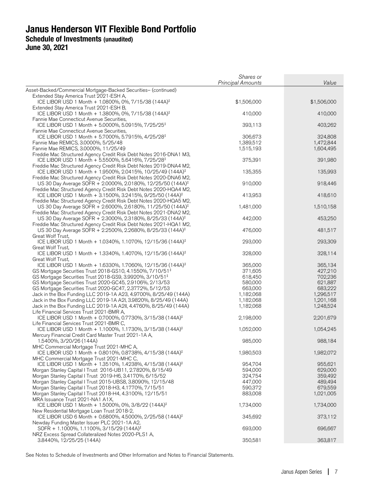|                                                                                                                                                 | Shares or<br><b>Principal Amounts</b> | Value              |
|-------------------------------------------------------------------------------------------------------------------------------------------------|---------------------------------------|--------------------|
| Asset-Backed/Commercial Mortgage-Backed Securities- (continued)                                                                                 |                                       |                    |
| Extended Stay America Trust 2021-ESH A,                                                                                                         |                                       |                    |
| ICE LIBOR USD 1 Month + 1.0800%, 0%, 7/15/38 (144A) <sup>‡</sup>                                                                                | \$1,506,000                           | \$1,506,000        |
| Extended Stay America Trust 2021-ESH B,                                                                                                         |                                       |                    |
| ICE LIBOR USD 1 Month + 1.3800%, 0%, 7/15/38 (144A) <sup>‡</sup><br>Fannie Mae Connecticut Avenue Securities,                                   | 410,000                               | 410,000            |
| ICE LIBOR USD 1 Month + 5.0000%, 5.0915%, 7/25/25 <sup>‡</sup>                                                                                  | 393,113                               | 403,262            |
| Fannie Mae Connecticut Avenue Securities,                                                                                                       |                                       |                    |
| ICE LIBOR USD 1 Month + 5.7000%, 5.7915%, 4/25/28 <sup>‡</sup>                                                                                  | 306,673                               | 324,808            |
| Fannie Mae REMICS, 3.0000%, 5/25/48                                                                                                             | 1,389,512                             | 1,472,844          |
| Fannie Mae REMICS, 3.0000%, 11/25/49                                                                                                            | 1,515,193                             | 1,604,495          |
| Freddie Mac Structured Agency Credit Risk Debt Notes 2016-DNA1 M3,                                                                              |                                       |                    |
| ICE LIBOR USD 1 Month + 5.5500%, 5.6416%, 7/25/28 <sup>‡</sup>                                                                                  | 375,391                               | 391,980            |
| Freddie Mac Structured Agency Credit Risk Debt Notes 2019-DNA4 M2,                                                                              |                                       |                    |
| ICE LIBOR USD 1 Month + 1.9500%, 2.0415%, 10/25/49 (144A) <sup>‡</sup>                                                                          | 135,355                               | 135,993            |
| Freddie Mac Structured Agency Credit Risk Debt Notes 2020-DNA6 M2,                                                                              |                                       |                    |
| US 30 Day Average SOFR + 2.0000%, 2.0180%, 12/25/50 (144A) <sup>‡</sup><br>Freddie Mac Structured Agency Credit Risk Debt Notes 2020-HQA4 M2,   | 910,000                               | 918,446            |
| ICE LIBOR USD 1 Month + 3.1500%, 3.2415%, 9/25/50 (144A) <sup>‡</sup>                                                                           | 413,953                               | 418,610            |
| Freddie Mac Structured Agency Credit Risk Debt Notes 2020-HQA5 M2,                                                                              |                                       |                    |
| US 30 Day Average SOFR + 2.6000%, 2.6180%, 11/25/50 (144A) <sup>‡</sup>                                                                         | 1,481,000                             | 1,510,158          |
| Freddie Mac Structured Agency Credit Risk Debt Notes 2021-DNA2 M2,                                                                              |                                       |                    |
| US 30 Day Average SOFR + 2.3000%, 2.3180%, 8/25/33 (144A) <sup>‡</sup>                                                                          | 442,000                               | 453,250            |
| Freddie Mac Structured Agency Credit Risk Debt Notes 2021-HQA1 M2,                                                                              |                                       |                    |
| US 30 Day Average SOFR + 2.2500%, 2.2680%, 8/25/33 (144A) <sup>‡</sup>                                                                          | 476,000                               | 481,517            |
| Great Wolf Trust,                                                                                                                               |                                       |                    |
| ICE LIBOR USD 1 Month + 1.0340%, 1.1070%, 12/15/36 (144A) <sup>‡</sup>                                                                          | 293,000                               | 293,309            |
| Great Wolf Trust,                                                                                                                               |                                       |                    |
| ICE LIBOR USD 1 Month + 1.3340%, 1.4070%, 12/15/36 (144A) <sup>‡</sup>                                                                          | 328,000                               | 328,114            |
| Great Wolf Trust,                                                                                                                               |                                       |                    |
| ICE LIBOR USD 1 Month + 1.6330%, 1.7060%, 12/15/36 (144A) <sup>‡</sup><br>GS Mortgage Securities Trust 2018-GS10, 4.1550%, 7/10/51 <sup>‡</sup> | 365,000<br>371,605                    | 365,134<br>427,210 |
| GS Mortgage Securities Trust 2018-GS9, 3.9920%, 3/10/51 <sup>‡</sup>                                                                            | 618,450                               | 702,236            |
| GS Mortgage Securities Trust 2020-GC45, 2.9106%, 2/13/53                                                                                        | 580,000                               | 621,887            |
| GS Mortgage Securities Trust 2020-GC47, 2.3772%, 5/12/53                                                                                        | 663,000                               | 683,222            |
| Jack in the Box Funding LLC 2019-1A A23, 4.9700%, 8/25/49 (144A)                                                                                | 1,182,068                             | 1,296,517          |
| Jack in the Box Funding LLC 2019-1A A2I, 3.9820%, 8/25/49 (144A)                                                                                | 1,182,068                             | 1,201,168          |
| Jack in the Box Funding LLC 2019-1A A2II, 4.4760%, 8/25/49 (144A)                                                                               | 1,182,068                             | 1,248,524          |
| Life Financial Services Trust 2021-BMR A,                                                                                                       |                                       |                    |
| ICE LIBOR USD 1 Month + 0.7000%, 0.7730%, 3/15/38 (144A) <sup>‡</sup>                                                                           | 2,198,000                             | 2,201,679          |
| Life Financial Services Trust 2021-BMR C,                                                                                                       |                                       |                    |
| ICE LIBOR USD 1 Month + 1.1000%, 1.1730%, 3/15/38 (144A) <sup>‡</sup>                                                                           | 1,052,000                             | 1,054,245          |
| Mercury Financial Credit Card Master Trust 2021-1A A,<br>1.5400%, 3/20/26 (144A)                                                                | 985,000                               | 988,184            |
| MHC Commercial Mortgage Trust 2021-MHC A,                                                                                                       |                                       |                    |
| ICE LIBOR USD 1 Month + 0.8010%, 0.8738%, 4/15/38 (144A) <sup>‡</sup>                                                                           | 1,980,503                             | 1,982,072          |
| MHC Commercial Mortgage Trust 2021-MHC C,                                                                                                       |                                       |                    |
| ICE LIBOR USD 1 Month + 1.3510%, 1.4238%, 4/15/38 (144A) <sup>‡</sup>                                                                           | 954,704                               | 955,621            |
| Morgan Stanley Capital I Trust 2016-UB11, 2.7820%, 8/15/49                                                                                      | 594,000                               | 629,000            |
| Morgan Stanley Capital I Trust 2019-H6, 3.4170%, 6/15/52                                                                                        | 324,754                               | 359,492            |
| Morgan Stanley Capital I Trust 2015-UBS8, 3.8090%, 12/15/48                                                                                     | 447,000                               | 489,494            |
| Morgan Stanley Capital I Trust 2018-H3, 4.1770%, 7/15/51                                                                                        | 590,372                               | 679,559            |
| Morgan Stanley Capital I Trust 2018-H4, 4.3100%, 12/15/51                                                                                       | 883,008                               | 1,021,005          |
| MRA Issuance Trust 2021-NA1 A1X,                                                                                                                |                                       |                    |
| ICE LIBOR USD 1 Month + 1.5000%, 0%, 3/8/22 (144A) <sup>‡</sup>                                                                                 | 1,734,000                             | 1,734,000          |
| New Residential Mortgage Loan Trust 2018-2,                                                                                                     |                                       |                    |
| ICE LIBOR USD 6 Month + 0.6800%, 4.5000%, 2/25/58 (144A) <sup>‡</sup><br>Newday Funding Master Issuer PLC 2021-1A A2,                           | 345,692                               | 373,112            |
| SOFR + 1.1000%, 1.1100%, 3/15/29 (144A) <sup>‡</sup>                                                                                            | 693,000                               | 696,667            |
| NRZ Excess Spread Collateralized Notes 2020-PLS1 A,                                                                                             |                                       |                    |
| 3.8440%, 12/25/25 (144A)                                                                                                                        | 350,581                               | 363,817            |
|                                                                                                                                                 |                                       |                    |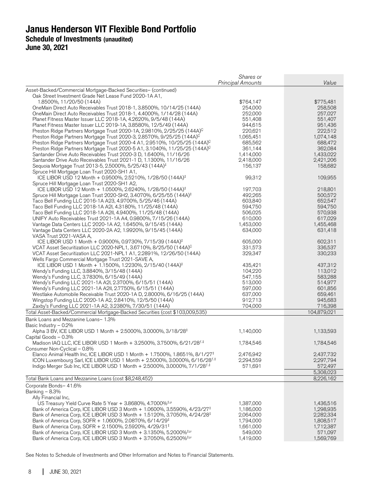|                                                                                                                                                               | Shares or<br><b>Principal Amounts</b> | Value                  |
|---------------------------------------------------------------------------------------------------------------------------------------------------------------|---------------------------------------|------------------------|
| Asset-Backed/Commercial Mortgage-Backed Securities- (continued)                                                                                               |                                       |                        |
| Oak Street Investment Grade Net Lease Fund 2020-1A A1,                                                                                                        |                                       |                        |
| 1.8500%, 11/20/50 (144A)                                                                                                                                      | \$764,147                             | \$775,481              |
| OneMain Direct Auto Receivables Trust 2018-1, 3.8500%, 10/14/25 (144A)                                                                                        | 254,000                               | 258,508                |
| OneMain Direct Auto Receivables Trust 2018-1, 4.4000%, 1/14/28 (144A)                                                                                         | 252,000                               | 257,027                |
| Planet Fitness Master Issuer LLC 2018-1A, 4.2620%, 9/5/48 (144A)                                                                                              | 551,408                               | 551,407                |
| Planet Fitness Master Issuer LLC 2019-1A, 3.8580%, 12/5/49 (144A)                                                                                             | 944,615                               | 951,436                |
| Preston Ridge Partners Mortgage Trust 2020-1A, 2.9810%, 2/25/25 (144A) <sup>C</sup>                                                                           | 220,621                               | 222,512                |
| Preston Ridge Partners Mortgage Trust 2020-3, 2.8570%, 9/25/25 (144A) <sup>C</sup>                                                                            | 1,065,451                             | 1,074,148              |
| Preston Ridge Partners Mortgage Trust 2020-4 A1, 2.9510%, 10/25/25 (144A) <sup>C</sup>                                                                        | 685,562                               | 688,472                |
| Preston Ridge Partners Mortgage Trust 2020-5 A1, 3.1040%, 11/25/25 (144A) <sup>C</sup><br>Santander Drive Auto Receivables Trust 2020-3 D, 1.6400%, 11/16/26  | 361,144                               | 362,084                |
| Santander Drive Auto Receivables Trust 2021-1 D, 1.1300%, 11/16/26                                                                                            | 1,414,000<br>2,418,000                | 1,433,022<br>2,421,206 |
| Sequoia Mortgage Trust 2013-5, 2.5000%, 5/25/43 (144A) <sup>‡</sup>                                                                                           | 156,137                               | 158,682                |
| Spruce Hill Mortgage Loan Trust 2020-SH1 A1,                                                                                                                  |                                       |                        |
| ICE LIBOR USD 12 Month + 0.9500%, 2.5210%, 1/28/50 (144A) <sup>‡</sup>                                                                                        | 99,312                                | 109,955                |
| Spruce Hill Mortgage Loan Trust 2020-SH1 A2,                                                                                                                  |                                       |                        |
| ICE LIBOR USD 12 Month + 1.0500%, 2.6240%, 1/28/50 (144A) <sup>‡</sup>                                                                                        | 197,703                               | 218,801                |
| Spruce Hill Mortgage Loan Trust 2020-SH2, 3.4070%, 6/25/55 (144A) <sup>‡</sup>                                                                                | 492,265                               | 500,572                |
| Taco Bell Funding LLC 2016-1A A23, 4.9700%, 5/25/46 (144A)                                                                                                    | 603,840                               | 652,547                |
| Taco Bell Funding LLC 2018-1A A2I, 4.3180%, 11/25/48 (144A)                                                                                                   | 594,750                               | 594,750                |
| Taco Bell Funding LLC 2018-1A A2II, 4.9400%, 11/25/48 (144A)                                                                                                  | 506,025                               | 570,938                |
| UNIFY Auto Receivables Trust 2021-1A A4, 0.9800%, 7/15/26 (144A)                                                                                              | 610,000                               | 617,029                |
| Vantage Data Centers LLC 2020-1A A2, 1.6450%, 9/15/45 (144A)                                                                                                  | 1,453,000<br>634,000                  | 1,455,468              |
| Vantage Data Centers LLC 2020-2A A2, 1.9920%, 9/15/45 (144A)<br>VASA Trust 2021-VASA A,                                                                       |                                       | 631,418                |
| ICE LIBOR USD 1 Month + 0.9000%, 0.9730%, 7/15/39 (144A) <sup>‡</sup>                                                                                         | 605,000                               | 602,311                |
| VCAT Asset Securitization LLC 2020-NPL1, 3.6710%, 8/25/50 (144A) <sup>C</sup>                                                                                 | 331,573                               | 336,537                |
| VCAT Asset Securitization LLC 2021-NPL1 A1, 2.2891%, 12/26/50 (144A)                                                                                          | 329,347                               | 330,233                |
| Wells Fargo Commercial Mortgage Trust 2021-SAVE A,                                                                                                            |                                       |                        |
| ICE LIBOR USD 1 Month + 1.1500%, 1.2230%, 2/15/40 (144A) <sup>‡</sup>                                                                                         | 435,421                               | 437,312                |
| Wendy's Funding LLC, 3.8840%, 3/15/48 (144A)                                                                                                                  | 104,220                               | 113,012                |
| Wendy's Funding LLC, 3.7830%, 6/15/49 (144A)                                                                                                                  | 547,155                               | 583,288                |
| Wendy's Funding LLC 2021-1A A2I, 2.3700%, 6/15/51 (144A)                                                                                                      | 513,000                               | 514,977                |
| Wendy's Funding LLC 2021-1A A2II, 2.7750%, 6/15/51 (144A)                                                                                                     | 597,000                               | 601,856                |
| Westlake Automobile Receivable Trust 2020-1A D, 2.8000%, 6/16/25 (144A)                                                                                       | 637,000                               | 659,461                |
| Wingstop Funding LLC 2020-1A A2, 2.8410%, 12/5/50 (144A)                                                                                                      | 912,713                               | 945,683                |
| Zaxby's Funding LLC 2021-1A A2, 3.2380%, 7/30/51 (144A)<br>Total Asset-Backed/Commercial Mortgage-Backed Securities (cost \$103,009,535)                      | 704,000                               | 716,398<br>104,879,021 |
|                                                                                                                                                               |                                       |                        |
| Bank Loans and Mezzanine Loans- 1.3%<br>Basic Industry - 0.2%                                                                                                 |                                       |                        |
| Alpha 3 BV, ICE LIBOR USD 1 Month + 2.5000%, 3.0000%, 3/18/28 <sup>‡</sup>                                                                                    | 1,140,000                             | 1,133,593              |
| Capital Goods - 0.3%                                                                                                                                          |                                       |                        |
| Madison IAQ LLC, ICE LIBOR USD 1 Month + 3.2500%, 3.7500%, 6/21/28 <sup>f,‡</sup>                                                                             | 1,784,546                             | 1,784,546              |
| Consumer Non-Cyclical - 0.8%                                                                                                                                  |                                       |                        |
| Elanco Animal Health Inc, ICE LIBOR USD 1 Month + 1.7500%, 1.8651%, 8/1/27 <sup>‡</sup>                                                                       | 2,476,942                             | 2,437,732              |
| ICON Luxembourg Sarl, ICE LIBOR USD 1 Month + 2.5000%, 3.0000%, 6/16/28 <sup>f,‡</sup>                                                                        | 2,294,559                             | 2,297,794              |
| Indigo Merger Sub Inc, ICE LIBOR USD 1 Month + 2.5000%, 3.0000%, 7/1/28 <sup><i>f</i>;‡</sup>                                                                 | 571,691                               | 572,497                |
|                                                                                                                                                               |                                       | 5,308,023              |
| Total Bank Loans and Mezzanine Loans (cost \$8,248,452)                                                                                                       |                                       | 8,226,162              |
| Corporate Bonds- 41.6%                                                                                                                                        |                                       |                        |
| Banking $-8.3%$                                                                                                                                               |                                       |                        |
| Ally Financial Inc,                                                                                                                                           |                                       |                        |
| US Treasury Yield Curve Rate 5 Year + 3.8680%, 4.7000% <sup>‡,µ</sup><br>Bank of America Corp, ICE LIBOR USD 3 Month + 1.0600%, 3.5590%, 4/23/27 <sup>‡</sup> | 1,387,000<br>1,186,000                | 1,436,516<br>1,298,935 |
| Bank of America Corp, ICE LIBOR USD 3 Month + 1.5120%, 3.7050%, 4/24/28 <sup>‡</sup>                                                                          | 2,064,000                             | 2,282,334              |
| Bank of America Corp, SOFR + 1.0600%, 2.0870%, 6/14/29 <sup>‡</sup>                                                                                           | 1,794,000                             | 1,808,517              |
| Bank of America Corp, SOFR + 2.1500%, 2.5920%, 4/29/31 <sup>‡</sup>                                                                                           | 1,661,000                             | 1,712,387              |
| Bank of America Corp, ICE LIBOR USD 3 Month + 3.1350%, 5.2000% <sup>‡,µ</sup>                                                                                 | 549,000                               | 571,097                |
| Bank of America Corp, ICE LIBOR USD 3 Month + 3.7050%, 6.2500% <sup>‡,µ</sup>                                                                                 | 1,419,000                             | 1,569,769              |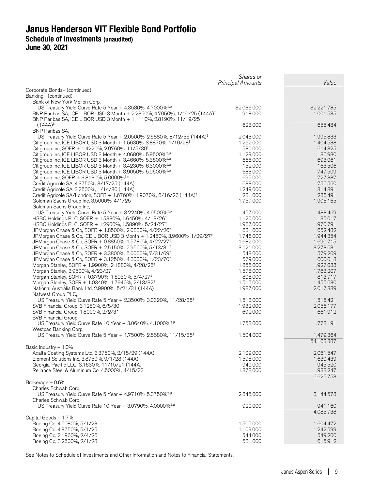| Corporate Bonds- (continued)<br>Banking- (continued)<br>Bank of New York Mellon Corp,<br>US Treasury Yield Curve Rate 5 Year + 4.3580%, 4.7000% <sup>+,µ</sup><br>\$2,036,000<br>\$2,221,785<br>BNP Paribas SA, ICE LIBOR USD 3 Month + 2.2350%, 4.7050%, 1/10/25 (144A) <sup>‡</sup><br>918,000<br>1,001,535<br>BNP Paribas SA, ICE LIBOR USD 3 Month + 1.1110%, 2.8190%, 11/19/25<br>623,000<br>$(144A)^{\ddagger}$<br>655,484<br><b>BNP Paribas SA,</b><br>US Treasury Yield Curve Rate 5 Year + 2.0500%, 2.5880%, 8/12/35 (144A) <sup>‡</sup><br>2,043,000<br>1,995,833<br>Citigroup Inc, ICE LIBOR USD 3 Month + 1.5630%, 3.8870%, 1/10/28 <sup>‡</sup><br>1,262,000<br>1,404,538<br>Citigroup Inc, SOFR + 1.4220%, 2.9760%, 11/5/30 <sup>‡</sup><br>580,000<br>614,325<br>1,186,980<br>Citigroup Inc, ICE LIBOR USD 3 Month $+$ 4.0680%, 5.9500% <sup>‡,<math>\mu</math></sup><br>1,129,000<br>693,061<br>Citigroup Inc, ICE LIBOR USD 3 Month $+$ 3.4660%, 5.3500% <sup>‡,<math>\mu</math></sup><br>668,000<br>152,000<br>163,506<br>Citigroup Inc, ICE LIBOR USD 3 Month $+$ 3.4230%, 6.3000% <sup>‡,<math>\mu</math></sup><br>683,000<br>747,509<br>Citigroup Inc, ICE LIBOR USD 3 Month $+$ 3.9050%, 5.9500% <sup>‡,µ</sup><br>695,000<br>727,387<br>Citigroup Inc, SOFR + 3.8130%, 5.0000% <sup>‡,µ</sup><br>688,000<br>756,560<br>Credit Agricole SA, 4.3750%, 3/17/25 (144A)<br>1,249,000<br>1,314,891<br>Credit Agricole SA, 3.2500%, 1/14/30 (144A)<br>Credit Agricole SA/London, SOFR + 1.6760%, 1.9070%, 6/16/26 (144A) <sup>‡</sup><br>281,000<br>286,491<br>1,757,000<br>Goldman Sachs Group Inc, 3.5000%, 4/1/25<br>1,906,165<br>Goldman Sachs Group Inc,<br>US Treasury Yield Curve Rate 5 Year + 3.2240%, 4.9500% <sup>‡,µ</sup><br>457,000<br>488,469<br>1,135,017<br>HSBC Holdings PLC, SOFR + 1.5380%, 1.6450%, 4/18/26 <sup>‡</sup><br>1,120,000<br>1,967,000<br>1,970,791<br>HSBC Holdings PLC, SOFR + 1.2900%, 1.5890%, 5/24/27 <sup>‡</sup><br>JPMorgan Chase & Co, SOFR + 1.8500%, 2.0830%, 4/22/26 <sup>‡</sup><br>631,000<br>652,482<br>JPMorgan Chase & Co, ICE LIBOR USD 3 Month + 1.2450%, 3.9600%, 1/29/27 <sup>‡</sup><br>1,746,000<br>1,944,354<br>JPMorgan Chase & Co, SOFR + 0.8850%, 1.5780%, 4/22/27 <sup>‡</sup><br>1,690,715<br>1,682,000<br>3,278,631<br>JPMorgan Chase & Co, SOFR + 2.5150%, 2.9560%, 5/13/31 <sup>‡</sup><br>3,121,000<br>548,000<br>579,209<br>JPMorgan Chase & Co, SOFR + 3.3800%, 5.0000%, 7/31/69 <sup>‡</sup><br>579,000<br>600,018<br>JPMorgan Chase & Co, SOFR + 3.1250%, 4.6000%, 1/23/70 <sup>‡</sup><br>1,927,088<br>Morgan Stanley, SOFR + 1.9900%, 2.1880%, 4/28/26 <sup>‡</sup><br>1,856,000<br>1,578,000<br>1,763,207<br>Morgan Stanley, 3.9500%, 4/23/27<br>Morgan Stanley, SOFR + 0.8790%, 1.5930%, 5/4/27 <sup>‡</sup><br>813,717<br>808,000<br>1,515,000<br>Morgan Stanley, SOFR + 1.0340%, 1.7940%, 2/13/32 <sup>‡</sup><br>1,455,630<br>1,987,000<br>2,017,389<br>National Australia Bank Ltd, 2.9900%, 5/21/31 (144A)<br>Natwest Group PLC,<br>US Treasury Yield Curve Rate 5 Year + 2.3500%, 3.0320%, 11/28/35 <sup>‡</sup><br>1,513,000<br>1,515,421<br>1,932,000<br>SVB Financial Group, 3.1250%, 6/5/30<br>2,056,177<br>661,912<br>SVB Financial Group, 1.8000%, 2/2/31<br>692,000<br>SVB Financial Group,<br>US Treasury Yield Curve Rate 10 Year + 3.0640%, 4.1000% <sup>‡,µ</sup><br>1,778,191<br>1,753,000<br>Westpac Banking Corp,<br>US Treasury Yield Curve Rate 5 Year + 1.7500%, 2.6680%, 11/15/35 <sup>‡</sup><br>1,479,364<br>1,504,000<br>54,163,387<br>Basic Industry $-1.0\%$<br>Axalta Coating Systems Ltd, 3.3750%, 2/15/29 (144A)<br>2,109,000<br>2,061,547<br>Element Solutions Inc, 3.8750%, 9/1/28 (144A)<br>1,598,000<br>1,630,439<br>Georgia-Pacific LLC, 3.1630%, 11/15/21 (144A)<br>940,000<br>945,520<br>1,878,000<br>Reliance Steel & Aluminum Co, 4.5000%, 4/15/23<br>1,988,247<br>6,625,753<br>Brokerage - 0.6%<br>Charles Schwab Corp,<br>US Treasury Yield Curve Rate 5 Year + 4.9710%, 5.3750% <sup>‡,µ</sup><br>2,845,000<br>3,144,578<br>Charles Schwab Corp,<br>US Treasury Yield Curve Rate 10 Year + 3.0790%, 4.0000% <sup>‡,µ</sup><br>920,000<br>941,160<br>4,085,738<br>Capital Goods - 1.7%<br>Boeing Co, 4.5080%, 5/1/23<br>1,505,000<br>1,604,472<br>Boeing Co, 4.8750%, 5/1/25<br>1,109,000<br>1,242,599<br>Boeing Co, 2.1960%, 2/4/26<br>544,000<br>549,200<br>Boeing Co, 3.2500%, 2/1/28<br>581,000<br>615,912 | Shares or<br><b>Principal Amounts</b> | Value |
|-----------------------------------------------------------------------------------------------------------------------------------------------------------------------------------------------------------------------------------------------------------------------------------------------------------------------------------------------------------------------------------------------------------------------------------------------------------------------------------------------------------------------------------------------------------------------------------------------------------------------------------------------------------------------------------------------------------------------------------------------------------------------------------------------------------------------------------------------------------------------------------------------------------------------------------------------------------------------------------------------------------------------------------------------------------------------------------------------------------------------------------------------------------------------------------------------------------------------------------------------------------------------------------------------------------------------------------------------------------------------------------------------------------------------------------------------------------------------------------------------------------------------------------------------------------------------------------------------------------------------------------------------------------------------------------------------------------------------------------------------------------------------------------------------------------------------------------------------------------------------------------------------------------------------------------------------------------------------------------------------------------------------------------------------------------------------------------------------------------------------------------------------------------------------------------------------------------------------------------------------------------------------------------------------------------------------------------------------------------------------------------------------------------------------------------------------------------------------------------------------------------------------------------------------------------------------------------------------------------------------------------------------------------------------------------------------------------------------------------------------------------------------------------------------------------------------------------------------------------------------------------------------------------------------------------------------------------------------------------------------------------------------------------------------------------------------------------------------------------------------------------------------------------------------------------------------------------------------------------------------------------------------------------------------------------------------------------------------------------------------------------------------------------------------------------------------------------------------------------------------------------------------------------------------------------------------------------------------------------------------------------------------------------------------------------------------------------------------------------------------------------------------------------------------------------------------------------------------------------------------------------------------------------------------------------------------------------------------------------------------------------------------------------------------------------------------------------------------------------------------------------------------------------------------------------------------------------------------------------------------------------------------------------------------------------------------------------------------------------------------------------------------------------------------------------------------------|---------------------------------------|-------|
|                                                                                                                                                                                                                                                                                                                                                                                                                                                                                                                                                                                                                                                                                                                                                                                                                                                                                                                                                                                                                                                                                                                                                                                                                                                                                                                                                                                                                                                                                                                                                                                                                                                                                                                                                                                                                                                                                                                                                                                                                                                                                                                                                                                                                                                                                                                                                                                                                                                                                                                                                                                                                                                                                                                                                                                                                                                                                                                                                                                                                                                                                                                                                                                                                                                                                                                                                                                                                                                                                                                                                                                                                                                                                                                                                                                                                                                                                                                                                                                                                                                                                                                                                                                                                                                                                                                                                                                                                                                     |                                       |       |
|                                                                                                                                                                                                                                                                                                                                                                                                                                                                                                                                                                                                                                                                                                                                                                                                                                                                                                                                                                                                                                                                                                                                                                                                                                                                                                                                                                                                                                                                                                                                                                                                                                                                                                                                                                                                                                                                                                                                                                                                                                                                                                                                                                                                                                                                                                                                                                                                                                                                                                                                                                                                                                                                                                                                                                                                                                                                                                                                                                                                                                                                                                                                                                                                                                                                                                                                                                                                                                                                                                                                                                                                                                                                                                                                                                                                                                                                                                                                                                                                                                                                                                                                                                                                                                                                                                                                                                                                                                                     |                                       |       |
|                                                                                                                                                                                                                                                                                                                                                                                                                                                                                                                                                                                                                                                                                                                                                                                                                                                                                                                                                                                                                                                                                                                                                                                                                                                                                                                                                                                                                                                                                                                                                                                                                                                                                                                                                                                                                                                                                                                                                                                                                                                                                                                                                                                                                                                                                                                                                                                                                                                                                                                                                                                                                                                                                                                                                                                                                                                                                                                                                                                                                                                                                                                                                                                                                                                                                                                                                                                                                                                                                                                                                                                                                                                                                                                                                                                                                                                                                                                                                                                                                                                                                                                                                                                                                                                                                                                                                                                                                                                     |                                       |       |
|                                                                                                                                                                                                                                                                                                                                                                                                                                                                                                                                                                                                                                                                                                                                                                                                                                                                                                                                                                                                                                                                                                                                                                                                                                                                                                                                                                                                                                                                                                                                                                                                                                                                                                                                                                                                                                                                                                                                                                                                                                                                                                                                                                                                                                                                                                                                                                                                                                                                                                                                                                                                                                                                                                                                                                                                                                                                                                                                                                                                                                                                                                                                                                                                                                                                                                                                                                                                                                                                                                                                                                                                                                                                                                                                                                                                                                                                                                                                                                                                                                                                                                                                                                                                                                                                                                                                                                                                                                                     |                                       |       |
|                                                                                                                                                                                                                                                                                                                                                                                                                                                                                                                                                                                                                                                                                                                                                                                                                                                                                                                                                                                                                                                                                                                                                                                                                                                                                                                                                                                                                                                                                                                                                                                                                                                                                                                                                                                                                                                                                                                                                                                                                                                                                                                                                                                                                                                                                                                                                                                                                                                                                                                                                                                                                                                                                                                                                                                                                                                                                                                                                                                                                                                                                                                                                                                                                                                                                                                                                                                                                                                                                                                                                                                                                                                                                                                                                                                                                                                                                                                                                                                                                                                                                                                                                                                                                                                                                                                                                                                                                                                     |                                       |       |
|                                                                                                                                                                                                                                                                                                                                                                                                                                                                                                                                                                                                                                                                                                                                                                                                                                                                                                                                                                                                                                                                                                                                                                                                                                                                                                                                                                                                                                                                                                                                                                                                                                                                                                                                                                                                                                                                                                                                                                                                                                                                                                                                                                                                                                                                                                                                                                                                                                                                                                                                                                                                                                                                                                                                                                                                                                                                                                                                                                                                                                                                                                                                                                                                                                                                                                                                                                                                                                                                                                                                                                                                                                                                                                                                                                                                                                                                                                                                                                                                                                                                                                                                                                                                                                                                                                                                                                                                                                                     |                                       |       |
|                                                                                                                                                                                                                                                                                                                                                                                                                                                                                                                                                                                                                                                                                                                                                                                                                                                                                                                                                                                                                                                                                                                                                                                                                                                                                                                                                                                                                                                                                                                                                                                                                                                                                                                                                                                                                                                                                                                                                                                                                                                                                                                                                                                                                                                                                                                                                                                                                                                                                                                                                                                                                                                                                                                                                                                                                                                                                                                                                                                                                                                                                                                                                                                                                                                                                                                                                                                                                                                                                                                                                                                                                                                                                                                                                                                                                                                                                                                                                                                                                                                                                                                                                                                                                                                                                                                                                                                                                                                     |                                       |       |
|                                                                                                                                                                                                                                                                                                                                                                                                                                                                                                                                                                                                                                                                                                                                                                                                                                                                                                                                                                                                                                                                                                                                                                                                                                                                                                                                                                                                                                                                                                                                                                                                                                                                                                                                                                                                                                                                                                                                                                                                                                                                                                                                                                                                                                                                                                                                                                                                                                                                                                                                                                                                                                                                                                                                                                                                                                                                                                                                                                                                                                                                                                                                                                                                                                                                                                                                                                                                                                                                                                                                                                                                                                                                                                                                                                                                                                                                                                                                                                                                                                                                                                                                                                                                                                                                                                                                                                                                                                                     |                                       |       |
|                                                                                                                                                                                                                                                                                                                                                                                                                                                                                                                                                                                                                                                                                                                                                                                                                                                                                                                                                                                                                                                                                                                                                                                                                                                                                                                                                                                                                                                                                                                                                                                                                                                                                                                                                                                                                                                                                                                                                                                                                                                                                                                                                                                                                                                                                                                                                                                                                                                                                                                                                                                                                                                                                                                                                                                                                                                                                                                                                                                                                                                                                                                                                                                                                                                                                                                                                                                                                                                                                                                                                                                                                                                                                                                                                                                                                                                                                                                                                                                                                                                                                                                                                                                                                                                                                                                                                                                                                                                     |                                       |       |
|                                                                                                                                                                                                                                                                                                                                                                                                                                                                                                                                                                                                                                                                                                                                                                                                                                                                                                                                                                                                                                                                                                                                                                                                                                                                                                                                                                                                                                                                                                                                                                                                                                                                                                                                                                                                                                                                                                                                                                                                                                                                                                                                                                                                                                                                                                                                                                                                                                                                                                                                                                                                                                                                                                                                                                                                                                                                                                                                                                                                                                                                                                                                                                                                                                                                                                                                                                                                                                                                                                                                                                                                                                                                                                                                                                                                                                                                                                                                                                                                                                                                                                                                                                                                                                                                                                                                                                                                                                                     |                                       |       |
|                                                                                                                                                                                                                                                                                                                                                                                                                                                                                                                                                                                                                                                                                                                                                                                                                                                                                                                                                                                                                                                                                                                                                                                                                                                                                                                                                                                                                                                                                                                                                                                                                                                                                                                                                                                                                                                                                                                                                                                                                                                                                                                                                                                                                                                                                                                                                                                                                                                                                                                                                                                                                                                                                                                                                                                                                                                                                                                                                                                                                                                                                                                                                                                                                                                                                                                                                                                                                                                                                                                                                                                                                                                                                                                                                                                                                                                                                                                                                                                                                                                                                                                                                                                                                                                                                                                                                                                                                                                     |                                       |       |
|                                                                                                                                                                                                                                                                                                                                                                                                                                                                                                                                                                                                                                                                                                                                                                                                                                                                                                                                                                                                                                                                                                                                                                                                                                                                                                                                                                                                                                                                                                                                                                                                                                                                                                                                                                                                                                                                                                                                                                                                                                                                                                                                                                                                                                                                                                                                                                                                                                                                                                                                                                                                                                                                                                                                                                                                                                                                                                                                                                                                                                                                                                                                                                                                                                                                                                                                                                                                                                                                                                                                                                                                                                                                                                                                                                                                                                                                                                                                                                                                                                                                                                                                                                                                                                                                                                                                                                                                                                                     |                                       |       |
|                                                                                                                                                                                                                                                                                                                                                                                                                                                                                                                                                                                                                                                                                                                                                                                                                                                                                                                                                                                                                                                                                                                                                                                                                                                                                                                                                                                                                                                                                                                                                                                                                                                                                                                                                                                                                                                                                                                                                                                                                                                                                                                                                                                                                                                                                                                                                                                                                                                                                                                                                                                                                                                                                                                                                                                                                                                                                                                                                                                                                                                                                                                                                                                                                                                                                                                                                                                                                                                                                                                                                                                                                                                                                                                                                                                                                                                                                                                                                                                                                                                                                                                                                                                                                                                                                                                                                                                                                                                     |                                       |       |
|                                                                                                                                                                                                                                                                                                                                                                                                                                                                                                                                                                                                                                                                                                                                                                                                                                                                                                                                                                                                                                                                                                                                                                                                                                                                                                                                                                                                                                                                                                                                                                                                                                                                                                                                                                                                                                                                                                                                                                                                                                                                                                                                                                                                                                                                                                                                                                                                                                                                                                                                                                                                                                                                                                                                                                                                                                                                                                                                                                                                                                                                                                                                                                                                                                                                                                                                                                                                                                                                                                                                                                                                                                                                                                                                                                                                                                                                                                                                                                                                                                                                                                                                                                                                                                                                                                                                                                                                                                                     |                                       |       |
|                                                                                                                                                                                                                                                                                                                                                                                                                                                                                                                                                                                                                                                                                                                                                                                                                                                                                                                                                                                                                                                                                                                                                                                                                                                                                                                                                                                                                                                                                                                                                                                                                                                                                                                                                                                                                                                                                                                                                                                                                                                                                                                                                                                                                                                                                                                                                                                                                                                                                                                                                                                                                                                                                                                                                                                                                                                                                                                                                                                                                                                                                                                                                                                                                                                                                                                                                                                                                                                                                                                                                                                                                                                                                                                                                                                                                                                                                                                                                                                                                                                                                                                                                                                                                                                                                                                                                                                                                                                     |                                       |       |
|                                                                                                                                                                                                                                                                                                                                                                                                                                                                                                                                                                                                                                                                                                                                                                                                                                                                                                                                                                                                                                                                                                                                                                                                                                                                                                                                                                                                                                                                                                                                                                                                                                                                                                                                                                                                                                                                                                                                                                                                                                                                                                                                                                                                                                                                                                                                                                                                                                                                                                                                                                                                                                                                                                                                                                                                                                                                                                                                                                                                                                                                                                                                                                                                                                                                                                                                                                                                                                                                                                                                                                                                                                                                                                                                                                                                                                                                                                                                                                                                                                                                                                                                                                                                                                                                                                                                                                                                                                                     |                                       |       |
|                                                                                                                                                                                                                                                                                                                                                                                                                                                                                                                                                                                                                                                                                                                                                                                                                                                                                                                                                                                                                                                                                                                                                                                                                                                                                                                                                                                                                                                                                                                                                                                                                                                                                                                                                                                                                                                                                                                                                                                                                                                                                                                                                                                                                                                                                                                                                                                                                                                                                                                                                                                                                                                                                                                                                                                                                                                                                                                                                                                                                                                                                                                                                                                                                                                                                                                                                                                                                                                                                                                                                                                                                                                                                                                                                                                                                                                                                                                                                                                                                                                                                                                                                                                                                                                                                                                                                                                                                                                     |                                       |       |
|                                                                                                                                                                                                                                                                                                                                                                                                                                                                                                                                                                                                                                                                                                                                                                                                                                                                                                                                                                                                                                                                                                                                                                                                                                                                                                                                                                                                                                                                                                                                                                                                                                                                                                                                                                                                                                                                                                                                                                                                                                                                                                                                                                                                                                                                                                                                                                                                                                                                                                                                                                                                                                                                                                                                                                                                                                                                                                                                                                                                                                                                                                                                                                                                                                                                                                                                                                                                                                                                                                                                                                                                                                                                                                                                                                                                                                                                                                                                                                                                                                                                                                                                                                                                                                                                                                                                                                                                                                                     |                                       |       |
|                                                                                                                                                                                                                                                                                                                                                                                                                                                                                                                                                                                                                                                                                                                                                                                                                                                                                                                                                                                                                                                                                                                                                                                                                                                                                                                                                                                                                                                                                                                                                                                                                                                                                                                                                                                                                                                                                                                                                                                                                                                                                                                                                                                                                                                                                                                                                                                                                                                                                                                                                                                                                                                                                                                                                                                                                                                                                                                                                                                                                                                                                                                                                                                                                                                                                                                                                                                                                                                                                                                                                                                                                                                                                                                                                                                                                                                                                                                                                                                                                                                                                                                                                                                                                                                                                                                                                                                                                                                     |                                       |       |
|                                                                                                                                                                                                                                                                                                                                                                                                                                                                                                                                                                                                                                                                                                                                                                                                                                                                                                                                                                                                                                                                                                                                                                                                                                                                                                                                                                                                                                                                                                                                                                                                                                                                                                                                                                                                                                                                                                                                                                                                                                                                                                                                                                                                                                                                                                                                                                                                                                                                                                                                                                                                                                                                                                                                                                                                                                                                                                                                                                                                                                                                                                                                                                                                                                                                                                                                                                                                                                                                                                                                                                                                                                                                                                                                                                                                                                                                                                                                                                                                                                                                                                                                                                                                                                                                                                                                                                                                                                                     |                                       |       |
|                                                                                                                                                                                                                                                                                                                                                                                                                                                                                                                                                                                                                                                                                                                                                                                                                                                                                                                                                                                                                                                                                                                                                                                                                                                                                                                                                                                                                                                                                                                                                                                                                                                                                                                                                                                                                                                                                                                                                                                                                                                                                                                                                                                                                                                                                                                                                                                                                                                                                                                                                                                                                                                                                                                                                                                                                                                                                                                                                                                                                                                                                                                                                                                                                                                                                                                                                                                                                                                                                                                                                                                                                                                                                                                                                                                                                                                                                                                                                                                                                                                                                                                                                                                                                                                                                                                                                                                                                                                     |                                       |       |
|                                                                                                                                                                                                                                                                                                                                                                                                                                                                                                                                                                                                                                                                                                                                                                                                                                                                                                                                                                                                                                                                                                                                                                                                                                                                                                                                                                                                                                                                                                                                                                                                                                                                                                                                                                                                                                                                                                                                                                                                                                                                                                                                                                                                                                                                                                                                                                                                                                                                                                                                                                                                                                                                                                                                                                                                                                                                                                                                                                                                                                                                                                                                                                                                                                                                                                                                                                                                                                                                                                                                                                                                                                                                                                                                                                                                                                                                                                                                                                                                                                                                                                                                                                                                                                                                                                                                                                                                                                                     |                                       |       |
|                                                                                                                                                                                                                                                                                                                                                                                                                                                                                                                                                                                                                                                                                                                                                                                                                                                                                                                                                                                                                                                                                                                                                                                                                                                                                                                                                                                                                                                                                                                                                                                                                                                                                                                                                                                                                                                                                                                                                                                                                                                                                                                                                                                                                                                                                                                                                                                                                                                                                                                                                                                                                                                                                                                                                                                                                                                                                                                                                                                                                                                                                                                                                                                                                                                                                                                                                                                                                                                                                                                                                                                                                                                                                                                                                                                                                                                                                                                                                                                                                                                                                                                                                                                                                                                                                                                                                                                                                                                     |                                       |       |
|                                                                                                                                                                                                                                                                                                                                                                                                                                                                                                                                                                                                                                                                                                                                                                                                                                                                                                                                                                                                                                                                                                                                                                                                                                                                                                                                                                                                                                                                                                                                                                                                                                                                                                                                                                                                                                                                                                                                                                                                                                                                                                                                                                                                                                                                                                                                                                                                                                                                                                                                                                                                                                                                                                                                                                                                                                                                                                                                                                                                                                                                                                                                                                                                                                                                                                                                                                                                                                                                                                                                                                                                                                                                                                                                                                                                                                                                                                                                                                                                                                                                                                                                                                                                                                                                                                                                                                                                                                                     |                                       |       |
|                                                                                                                                                                                                                                                                                                                                                                                                                                                                                                                                                                                                                                                                                                                                                                                                                                                                                                                                                                                                                                                                                                                                                                                                                                                                                                                                                                                                                                                                                                                                                                                                                                                                                                                                                                                                                                                                                                                                                                                                                                                                                                                                                                                                                                                                                                                                                                                                                                                                                                                                                                                                                                                                                                                                                                                                                                                                                                                                                                                                                                                                                                                                                                                                                                                                                                                                                                                                                                                                                                                                                                                                                                                                                                                                                                                                                                                                                                                                                                                                                                                                                                                                                                                                                                                                                                                                                                                                                                                     |                                       |       |
|                                                                                                                                                                                                                                                                                                                                                                                                                                                                                                                                                                                                                                                                                                                                                                                                                                                                                                                                                                                                                                                                                                                                                                                                                                                                                                                                                                                                                                                                                                                                                                                                                                                                                                                                                                                                                                                                                                                                                                                                                                                                                                                                                                                                                                                                                                                                                                                                                                                                                                                                                                                                                                                                                                                                                                                                                                                                                                                                                                                                                                                                                                                                                                                                                                                                                                                                                                                                                                                                                                                                                                                                                                                                                                                                                                                                                                                                                                                                                                                                                                                                                                                                                                                                                                                                                                                                                                                                                                                     |                                       |       |
|                                                                                                                                                                                                                                                                                                                                                                                                                                                                                                                                                                                                                                                                                                                                                                                                                                                                                                                                                                                                                                                                                                                                                                                                                                                                                                                                                                                                                                                                                                                                                                                                                                                                                                                                                                                                                                                                                                                                                                                                                                                                                                                                                                                                                                                                                                                                                                                                                                                                                                                                                                                                                                                                                                                                                                                                                                                                                                                                                                                                                                                                                                                                                                                                                                                                                                                                                                                                                                                                                                                                                                                                                                                                                                                                                                                                                                                                                                                                                                                                                                                                                                                                                                                                                                                                                                                                                                                                                                                     |                                       |       |
|                                                                                                                                                                                                                                                                                                                                                                                                                                                                                                                                                                                                                                                                                                                                                                                                                                                                                                                                                                                                                                                                                                                                                                                                                                                                                                                                                                                                                                                                                                                                                                                                                                                                                                                                                                                                                                                                                                                                                                                                                                                                                                                                                                                                                                                                                                                                                                                                                                                                                                                                                                                                                                                                                                                                                                                                                                                                                                                                                                                                                                                                                                                                                                                                                                                                                                                                                                                                                                                                                                                                                                                                                                                                                                                                                                                                                                                                                                                                                                                                                                                                                                                                                                                                                                                                                                                                                                                                                                                     |                                       |       |
|                                                                                                                                                                                                                                                                                                                                                                                                                                                                                                                                                                                                                                                                                                                                                                                                                                                                                                                                                                                                                                                                                                                                                                                                                                                                                                                                                                                                                                                                                                                                                                                                                                                                                                                                                                                                                                                                                                                                                                                                                                                                                                                                                                                                                                                                                                                                                                                                                                                                                                                                                                                                                                                                                                                                                                                                                                                                                                                                                                                                                                                                                                                                                                                                                                                                                                                                                                                                                                                                                                                                                                                                                                                                                                                                                                                                                                                                                                                                                                                                                                                                                                                                                                                                                                                                                                                                                                                                                                                     |                                       |       |
|                                                                                                                                                                                                                                                                                                                                                                                                                                                                                                                                                                                                                                                                                                                                                                                                                                                                                                                                                                                                                                                                                                                                                                                                                                                                                                                                                                                                                                                                                                                                                                                                                                                                                                                                                                                                                                                                                                                                                                                                                                                                                                                                                                                                                                                                                                                                                                                                                                                                                                                                                                                                                                                                                                                                                                                                                                                                                                                                                                                                                                                                                                                                                                                                                                                                                                                                                                                                                                                                                                                                                                                                                                                                                                                                                                                                                                                                                                                                                                                                                                                                                                                                                                                                                                                                                                                                                                                                                                                     |                                       |       |
|                                                                                                                                                                                                                                                                                                                                                                                                                                                                                                                                                                                                                                                                                                                                                                                                                                                                                                                                                                                                                                                                                                                                                                                                                                                                                                                                                                                                                                                                                                                                                                                                                                                                                                                                                                                                                                                                                                                                                                                                                                                                                                                                                                                                                                                                                                                                                                                                                                                                                                                                                                                                                                                                                                                                                                                                                                                                                                                                                                                                                                                                                                                                                                                                                                                                                                                                                                                                                                                                                                                                                                                                                                                                                                                                                                                                                                                                                                                                                                                                                                                                                                                                                                                                                                                                                                                                                                                                                                                     |                                       |       |
|                                                                                                                                                                                                                                                                                                                                                                                                                                                                                                                                                                                                                                                                                                                                                                                                                                                                                                                                                                                                                                                                                                                                                                                                                                                                                                                                                                                                                                                                                                                                                                                                                                                                                                                                                                                                                                                                                                                                                                                                                                                                                                                                                                                                                                                                                                                                                                                                                                                                                                                                                                                                                                                                                                                                                                                                                                                                                                                                                                                                                                                                                                                                                                                                                                                                                                                                                                                                                                                                                                                                                                                                                                                                                                                                                                                                                                                                                                                                                                                                                                                                                                                                                                                                                                                                                                                                                                                                                                                     |                                       |       |
|                                                                                                                                                                                                                                                                                                                                                                                                                                                                                                                                                                                                                                                                                                                                                                                                                                                                                                                                                                                                                                                                                                                                                                                                                                                                                                                                                                                                                                                                                                                                                                                                                                                                                                                                                                                                                                                                                                                                                                                                                                                                                                                                                                                                                                                                                                                                                                                                                                                                                                                                                                                                                                                                                                                                                                                                                                                                                                                                                                                                                                                                                                                                                                                                                                                                                                                                                                                                                                                                                                                                                                                                                                                                                                                                                                                                                                                                                                                                                                                                                                                                                                                                                                                                                                                                                                                                                                                                                                                     |                                       |       |
|                                                                                                                                                                                                                                                                                                                                                                                                                                                                                                                                                                                                                                                                                                                                                                                                                                                                                                                                                                                                                                                                                                                                                                                                                                                                                                                                                                                                                                                                                                                                                                                                                                                                                                                                                                                                                                                                                                                                                                                                                                                                                                                                                                                                                                                                                                                                                                                                                                                                                                                                                                                                                                                                                                                                                                                                                                                                                                                                                                                                                                                                                                                                                                                                                                                                                                                                                                                                                                                                                                                                                                                                                                                                                                                                                                                                                                                                                                                                                                                                                                                                                                                                                                                                                                                                                                                                                                                                                                                     |                                       |       |
|                                                                                                                                                                                                                                                                                                                                                                                                                                                                                                                                                                                                                                                                                                                                                                                                                                                                                                                                                                                                                                                                                                                                                                                                                                                                                                                                                                                                                                                                                                                                                                                                                                                                                                                                                                                                                                                                                                                                                                                                                                                                                                                                                                                                                                                                                                                                                                                                                                                                                                                                                                                                                                                                                                                                                                                                                                                                                                                                                                                                                                                                                                                                                                                                                                                                                                                                                                                                                                                                                                                                                                                                                                                                                                                                                                                                                                                                                                                                                                                                                                                                                                                                                                                                                                                                                                                                                                                                                                                     |                                       |       |
|                                                                                                                                                                                                                                                                                                                                                                                                                                                                                                                                                                                                                                                                                                                                                                                                                                                                                                                                                                                                                                                                                                                                                                                                                                                                                                                                                                                                                                                                                                                                                                                                                                                                                                                                                                                                                                                                                                                                                                                                                                                                                                                                                                                                                                                                                                                                                                                                                                                                                                                                                                                                                                                                                                                                                                                                                                                                                                                                                                                                                                                                                                                                                                                                                                                                                                                                                                                                                                                                                                                                                                                                                                                                                                                                                                                                                                                                                                                                                                                                                                                                                                                                                                                                                                                                                                                                                                                                                                                     |                                       |       |
|                                                                                                                                                                                                                                                                                                                                                                                                                                                                                                                                                                                                                                                                                                                                                                                                                                                                                                                                                                                                                                                                                                                                                                                                                                                                                                                                                                                                                                                                                                                                                                                                                                                                                                                                                                                                                                                                                                                                                                                                                                                                                                                                                                                                                                                                                                                                                                                                                                                                                                                                                                                                                                                                                                                                                                                                                                                                                                                                                                                                                                                                                                                                                                                                                                                                                                                                                                                                                                                                                                                                                                                                                                                                                                                                                                                                                                                                                                                                                                                                                                                                                                                                                                                                                                                                                                                                                                                                                                                     |                                       |       |
|                                                                                                                                                                                                                                                                                                                                                                                                                                                                                                                                                                                                                                                                                                                                                                                                                                                                                                                                                                                                                                                                                                                                                                                                                                                                                                                                                                                                                                                                                                                                                                                                                                                                                                                                                                                                                                                                                                                                                                                                                                                                                                                                                                                                                                                                                                                                                                                                                                                                                                                                                                                                                                                                                                                                                                                                                                                                                                                                                                                                                                                                                                                                                                                                                                                                                                                                                                                                                                                                                                                                                                                                                                                                                                                                                                                                                                                                                                                                                                                                                                                                                                                                                                                                                                                                                                                                                                                                                                                     |                                       |       |
|                                                                                                                                                                                                                                                                                                                                                                                                                                                                                                                                                                                                                                                                                                                                                                                                                                                                                                                                                                                                                                                                                                                                                                                                                                                                                                                                                                                                                                                                                                                                                                                                                                                                                                                                                                                                                                                                                                                                                                                                                                                                                                                                                                                                                                                                                                                                                                                                                                                                                                                                                                                                                                                                                                                                                                                                                                                                                                                                                                                                                                                                                                                                                                                                                                                                                                                                                                                                                                                                                                                                                                                                                                                                                                                                                                                                                                                                                                                                                                                                                                                                                                                                                                                                                                                                                                                                                                                                                                                     |                                       |       |
|                                                                                                                                                                                                                                                                                                                                                                                                                                                                                                                                                                                                                                                                                                                                                                                                                                                                                                                                                                                                                                                                                                                                                                                                                                                                                                                                                                                                                                                                                                                                                                                                                                                                                                                                                                                                                                                                                                                                                                                                                                                                                                                                                                                                                                                                                                                                                                                                                                                                                                                                                                                                                                                                                                                                                                                                                                                                                                                                                                                                                                                                                                                                                                                                                                                                                                                                                                                                                                                                                                                                                                                                                                                                                                                                                                                                                                                                                                                                                                                                                                                                                                                                                                                                                                                                                                                                                                                                                                                     |                                       |       |
|                                                                                                                                                                                                                                                                                                                                                                                                                                                                                                                                                                                                                                                                                                                                                                                                                                                                                                                                                                                                                                                                                                                                                                                                                                                                                                                                                                                                                                                                                                                                                                                                                                                                                                                                                                                                                                                                                                                                                                                                                                                                                                                                                                                                                                                                                                                                                                                                                                                                                                                                                                                                                                                                                                                                                                                                                                                                                                                                                                                                                                                                                                                                                                                                                                                                                                                                                                                                                                                                                                                                                                                                                                                                                                                                                                                                                                                                                                                                                                                                                                                                                                                                                                                                                                                                                                                                                                                                                                                     |                                       |       |
|                                                                                                                                                                                                                                                                                                                                                                                                                                                                                                                                                                                                                                                                                                                                                                                                                                                                                                                                                                                                                                                                                                                                                                                                                                                                                                                                                                                                                                                                                                                                                                                                                                                                                                                                                                                                                                                                                                                                                                                                                                                                                                                                                                                                                                                                                                                                                                                                                                                                                                                                                                                                                                                                                                                                                                                                                                                                                                                                                                                                                                                                                                                                                                                                                                                                                                                                                                                                                                                                                                                                                                                                                                                                                                                                                                                                                                                                                                                                                                                                                                                                                                                                                                                                                                                                                                                                                                                                                                                     |                                       |       |
|                                                                                                                                                                                                                                                                                                                                                                                                                                                                                                                                                                                                                                                                                                                                                                                                                                                                                                                                                                                                                                                                                                                                                                                                                                                                                                                                                                                                                                                                                                                                                                                                                                                                                                                                                                                                                                                                                                                                                                                                                                                                                                                                                                                                                                                                                                                                                                                                                                                                                                                                                                                                                                                                                                                                                                                                                                                                                                                                                                                                                                                                                                                                                                                                                                                                                                                                                                                                                                                                                                                                                                                                                                                                                                                                                                                                                                                                                                                                                                                                                                                                                                                                                                                                                                                                                                                                                                                                                                                     |                                       |       |
|                                                                                                                                                                                                                                                                                                                                                                                                                                                                                                                                                                                                                                                                                                                                                                                                                                                                                                                                                                                                                                                                                                                                                                                                                                                                                                                                                                                                                                                                                                                                                                                                                                                                                                                                                                                                                                                                                                                                                                                                                                                                                                                                                                                                                                                                                                                                                                                                                                                                                                                                                                                                                                                                                                                                                                                                                                                                                                                                                                                                                                                                                                                                                                                                                                                                                                                                                                                                                                                                                                                                                                                                                                                                                                                                                                                                                                                                                                                                                                                                                                                                                                                                                                                                                                                                                                                                                                                                                                                     |                                       |       |
|                                                                                                                                                                                                                                                                                                                                                                                                                                                                                                                                                                                                                                                                                                                                                                                                                                                                                                                                                                                                                                                                                                                                                                                                                                                                                                                                                                                                                                                                                                                                                                                                                                                                                                                                                                                                                                                                                                                                                                                                                                                                                                                                                                                                                                                                                                                                                                                                                                                                                                                                                                                                                                                                                                                                                                                                                                                                                                                                                                                                                                                                                                                                                                                                                                                                                                                                                                                                                                                                                                                                                                                                                                                                                                                                                                                                                                                                                                                                                                                                                                                                                                                                                                                                                                                                                                                                                                                                                                                     |                                       |       |
|                                                                                                                                                                                                                                                                                                                                                                                                                                                                                                                                                                                                                                                                                                                                                                                                                                                                                                                                                                                                                                                                                                                                                                                                                                                                                                                                                                                                                                                                                                                                                                                                                                                                                                                                                                                                                                                                                                                                                                                                                                                                                                                                                                                                                                                                                                                                                                                                                                                                                                                                                                                                                                                                                                                                                                                                                                                                                                                                                                                                                                                                                                                                                                                                                                                                                                                                                                                                                                                                                                                                                                                                                                                                                                                                                                                                                                                                                                                                                                                                                                                                                                                                                                                                                                                                                                                                                                                                                                                     |                                       |       |
|                                                                                                                                                                                                                                                                                                                                                                                                                                                                                                                                                                                                                                                                                                                                                                                                                                                                                                                                                                                                                                                                                                                                                                                                                                                                                                                                                                                                                                                                                                                                                                                                                                                                                                                                                                                                                                                                                                                                                                                                                                                                                                                                                                                                                                                                                                                                                                                                                                                                                                                                                                                                                                                                                                                                                                                                                                                                                                                                                                                                                                                                                                                                                                                                                                                                                                                                                                                                                                                                                                                                                                                                                                                                                                                                                                                                                                                                                                                                                                                                                                                                                                                                                                                                                                                                                                                                                                                                                                                     |                                       |       |
|                                                                                                                                                                                                                                                                                                                                                                                                                                                                                                                                                                                                                                                                                                                                                                                                                                                                                                                                                                                                                                                                                                                                                                                                                                                                                                                                                                                                                                                                                                                                                                                                                                                                                                                                                                                                                                                                                                                                                                                                                                                                                                                                                                                                                                                                                                                                                                                                                                                                                                                                                                                                                                                                                                                                                                                                                                                                                                                                                                                                                                                                                                                                                                                                                                                                                                                                                                                                                                                                                                                                                                                                                                                                                                                                                                                                                                                                                                                                                                                                                                                                                                                                                                                                                                                                                                                                                                                                                                                     |                                       |       |
|                                                                                                                                                                                                                                                                                                                                                                                                                                                                                                                                                                                                                                                                                                                                                                                                                                                                                                                                                                                                                                                                                                                                                                                                                                                                                                                                                                                                                                                                                                                                                                                                                                                                                                                                                                                                                                                                                                                                                                                                                                                                                                                                                                                                                                                                                                                                                                                                                                                                                                                                                                                                                                                                                                                                                                                                                                                                                                                                                                                                                                                                                                                                                                                                                                                                                                                                                                                                                                                                                                                                                                                                                                                                                                                                                                                                                                                                                                                                                                                                                                                                                                                                                                                                                                                                                                                                                                                                                                                     |                                       |       |
|                                                                                                                                                                                                                                                                                                                                                                                                                                                                                                                                                                                                                                                                                                                                                                                                                                                                                                                                                                                                                                                                                                                                                                                                                                                                                                                                                                                                                                                                                                                                                                                                                                                                                                                                                                                                                                                                                                                                                                                                                                                                                                                                                                                                                                                                                                                                                                                                                                                                                                                                                                                                                                                                                                                                                                                                                                                                                                                                                                                                                                                                                                                                                                                                                                                                                                                                                                                                                                                                                                                                                                                                                                                                                                                                                                                                                                                                                                                                                                                                                                                                                                                                                                                                                                                                                                                                                                                                                                                     |                                       |       |
|                                                                                                                                                                                                                                                                                                                                                                                                                                                                                                                                                                                                                                                                                                                                                                                                                                                                                                                                                                                                                                                                                                                                                                                                                                                                                                                                                                                                                                                                                                                                                                                                                                                                                                                                                                                                                                                                                                                                                                                                                                                                                                                                                                                                                                                                                                                                                                                                                                                                                                                                                                                                                                                                                                                                                                                                                                                                                                                                                                                                                                                                                                                                                                                                                                                                                                                                                                                                                                                                                                                                                                                                                                                                                                                                                                                                                                                                                                                                                                                                                                                                                                                                                                                                                                                                                                                                                                                                                                                     |                                       |       |
|                                                                                                                                                                                                                                                                                                                                                                                                                                                                                                                                                                                                                                                                                                                                                                                                                                                                                                                                                                                                                                                                                                                                                                                                                                                                                                                                                                                                                                                                                                                                                                                                                                                                                                                                                                                                                                                                                                                                                                                                                                                                                                                                                                                                                                                                                                                                                                                                                                                                                                                                                                                                                                                                                                                                                                                                                                                                                                                                                                                                                                                                                                                                                                                                                                                                                                                                                                                                                                                                                                                                                                                                                                                                                                                                                                                                                                                                                                                                                                                                                                                                                                                                                                                                                                                                                                                                                                                                                                                     |                                       |       |
|                                                                                                                                                                                                                                                                                                                                                                                                                                                                                                                                                                                                                                                                                                                                                                                                                                                                                                                                                                                                                                                                                                                                                                                                                                                                                                                                                                                                                                                                                                                                                                                                                                                                                                                                                                                                                                                                                                                                                                                                                                                                                                                                                                                                                                                                                                                                                                                                                                                                                                                                                                                                                                                                                                                                                                                                                                                                                                                                                                                                                                                                                                                                                                                                                                                                                                                                                                                                                                                                                                                                                                                                                                                                                                                                                                                                                                                                                                                                                                                                                                                                                                                                                                                                                                                                                                                                                                                                                                                     |                                       |       |
|                                                                                                                                                                                                                                                                                                                                                                                                                                                                                                                                                                                                                                                                                                                                                                                                                                                                                                                                                                                                                                                                                                                                                                                                                                                                                                                                                                                                                                                                                                                                                                                                                                                                                                                                                                                                                                                                                                                                                                                                                                                                                                                                                                                                                                                                                                                                                                                                                                                                                                                                                                                                                                                                                                                                                                                                                                                                                                                                                                                                                                                                                                                                                                                                                                                                                                                                                                                                                                                                                                                                                                                                                                                                                                                                                                                                                                                                                                                                                                                                                                                                                                                                                                                                                                                                                                                                                                                                                                                     |                                       |       |
|                                                                                                                                                                                                                                                                                                                                                                                                                                                                                                                                                                                                                                                                                                                                                                                                                                                                                                                                                                                                                                                                                                                                                                                                                                                                                                                                                                                                                                                                                                                                                                                                                                                                                                                                                                                                                                                                                                                                                                                                                                                                                                                                                                                                                                                                                                                                                                                                                                                                                                                                                                                                                                                                                                                                                                                                                                                                                                                                                                                                                                                                                                                                                                                                                                                                                                                                                                                                                                                                                                                                                                                                                                                                                                                                                                                                                                                                                                                                                                                                                                                                                                                                                                                                                                                                                                                                                                                                                                                     |                                       |       |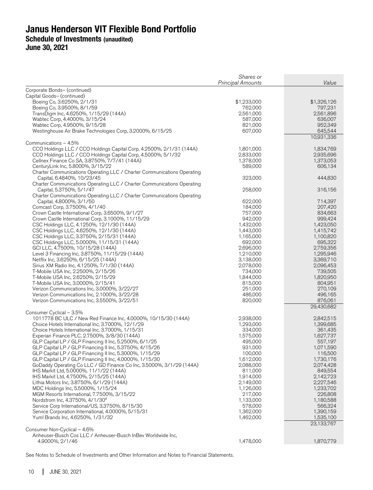|                                                                                                                                                                                                                                                                                                                                                                                                                                                                                                                                                                                                                                                                                                                                                                                                                                                                                                                                                                                               | Shares or<br><b>Principal Amounts</b>                                                                                                                                                                                    | Value                                                                                                                                                                                                                                    |
|-----------------------------------------------------------------------------------------------------------------------------------------------------------------------------------------------------------------------------------------------------------------------------------------------------------------------------------------------------------------------------------------------------------------------------------------------------------------------------------------------------------------------------------------------------------------------------------------------------------------------------------------------------------------------------------------------------------------------------------------------------------------------------------------------------------------------------------------------------------------------------------------------------------------------------------------------------------------------------------------------|--------------------------------------------------------------------------------------------------------------------------------------------------------------------------------------------------------------------------|------------------------------------------------------------------------------------------------------------------------------------------------------------------------------------------------------------------------------------------|
| Corporate Bonds- (continued)<br>Capital Goods- (continued)<br>Boeing Co, 3.6250%, 2/1/31<br>Boeing Co, 3.9500%, 8/1/59<br>TransDigm Inc, 4.6250%, 1/15/29 (144A)<br>Wabtec Corp, 4.4000%, 3/15/24<br>Wabtec Corp, 4.9500%, 9/15/28<br>Westinghouse Air Brake Technologies Corp, 3.2000%, 6/15/25                                                                                                                                                                                                                                                                                                                                                                                                                                                                                                                                                                                                                                                                                              | \$1,233,000<br>762,000<br>2,561,000<br>587,000<br>821,000<br>607,000                                                                                                                                                     | \$1,326,126<br>797,231<br>2,561,896<br>636,007<br>952,349<br>645,544<br>10,931,336                                                                                                                                                       |
| Communications - 4.5%<br>CCO Holdings LLC / CCO Holdings Capital Corp, 4.2500%, 2/1/31 (144A)<br>CCO Holdings LLC / CCO Holdings Capital Corp, 4.5000%, 5/1/32<br>Cellnex Finance Co SA, 3.8750%, 7/7/41 (144A)<br>CenturyLink Inc, 5.8000%, 3/15/22<br>Charter Communications Operating LLC / Charter Communications Operating<br>Capital, 6.4840%, 10/23/45<br>Charter Communications Operating LLC / Charter Communications Operating<br>Capital, 5.3750%, 5/1/47                                                                                                                                                                                                                                                                                                                                                                                                                                                                                                                          | 1,801,000<br>2,833,000<br>1,378,000<br>589,000<br>323,000<br>258,000                                                                                                                                                     | 1,834,769<br>2,935,696<br>1,373,053<br>606,134<br>444,830<br>316,156                                                                                                                                                                     |
| Charter Communications Operating LLC / Charter Communications Operating<br>Capital, 4.8000%, 3/1/50<br>Comcast Corp, 3.7500%, 4/1/40<br>Crown Castle International Corp, 3.6500%, 9/1/27<br>Crown Castle International Corp, 3.1000%, 11/15/29<br>CSC Holdings LLC, 4.1250%, 12/1/30 (144A)<br>CSC Holdings LLC, 4.6250%, 12/1/30 (144A)<br>CSC Holdings LLC, 3.3750%, 2/15/31 (144A)<br>CSC Holdings LLC, 5.0000%, 11/15/31 (144A)<br>GCI LLC, 4.7500%, 10/15/28 (144A)<br>Level 3 Financing Inc, 3.8750%, 11/15/29 (144A)<br>Netflix Inc, 3.6250%, 6/15/25 (144A)<br>Sirius XM Radio Inc, 4.1250%, 7/1/30 (144A)<br>T-Mobile USA Inc, 2.2500%, 2/15/26<br>T-Mobile USA Inc, 2.6250%, 2/15/29<br>T-Mobile USA Inc, 3.0000%, 2/15/41<br>Verizon Communications Inc, 3.0000%, 3/22/27<br>Verizon Communications Inc, 2.1000%, 3/22/28<br>Verizon Communications Inc, 3.5500%, 3/22/51                                                                                                          | 622,000<br>184,000<br>757,000<br>942,000<br>1,432,000<br>1,443,000<br>1,165,000<br>692,000<br>2,696,000<br>1,210,000<br>3,138,000<br>2,078,000<br>734,000<br>1,844,000<br>815,000<br>251,000<br>486,000<br>820,000       | 714,397<br>207,420<br>834,663<br>999,424<br>1,423,050<br>1,415,742<br>1,100,820<br>695,322<br>2,759,356<br>1,295,946<br>3,369,710<br>2,096,453<br>739,505<br>1,820,950<br>804,951<br>270,109<br>496,165<br>876,061                       |
| Consumer Cyclical - 3.5%<br>1011778 BC ULC / New Red Finance Inc, 4.0000%, 10/15/30 (144A)<br>Choice Hotels International Inc, 3.7000%, 12/1/29<br>Choice Hotels International Inc, 3.7000%, 1/15/31<br>Experian Finance PLC, 2.7500%, 3/8/30 (144A)<br>GLP Capital LP / GLP Financing II Inc, 5.2500%, 6/1/25<br>GLP Capital LP / GLP Financing II Inc, 5.3750%, 4/15/26<br>GLP Capital LP / GLP Financing II Inc, 5.3000%, 1/15/29<br>GLP Capital LP / GLP Financing II Inc, 4.0000%, 1/15/30<br>GoDaddy Operating Co LLC / GD Finance Co Inc, 3.5000%, 3/1/29 (144A)<br>IHS Markit Ltd, 5.0000%, 11/1/22 (144A)<br>IHS Markit Ltd, 4.7500%, 2/15/25 (144A)<br>Lithia Motors Inc, 3.8750%, 6/1/29 (144A)<br>MDC Holdings Inc, 5.5000%, 1/15/24<br>MGM Resorts International, 7.7500%, 3/15/22<br>Nordstrom Inc, 4.3750%, 4/1/30 <sup>#</sup><br>Service Corp International/US, 3.3750%, 8/15/30<br>Service Corporation International, 4.0000%, 5/15/31<br>Yum! Brands Inc, 4.6250%, 1/31/32 | 2,938,000<br>1,293,000<br>334,000<br>1,575,000<br>495,000<br>931,000<br>100,000<br>1,612,000<br>2,088,000<br>811,000<br>1,914,000<br>2,149,000<br>1,126,000<br>217,000<br>1,133,000<br>578,000<br>1,362,000<br>1,462,000 | 29,430,682<br>2,842,515<br>1,399,685<br>361,435<br>1,627,737<br>557,197<br>1,071,590<br>116,500<br>1,730,176<br>2,074,428<br>849,554<br>2,142,723<br>2,227,546<br>1,233,702<br>226,808<br>1,180,588<br>566,324<br>1,390,159<br>1,535,100 |
| Consumer Non-Cyclical - 4.6%<br>Anheuser-Busch Cos LLC / Anheuser-Busch InBev Worldwide Inc,<br>4.9000%, 2/1/46                                                                                                                                                                                                                                                                                                                                                                                                                                                                                                                                                                                                                                                                                                                                                                                                                                                                               | 1,478,000                                                                                                                                                                                                                | 23,133,767<br>1,870,779                                                                                                                                                                                                                  |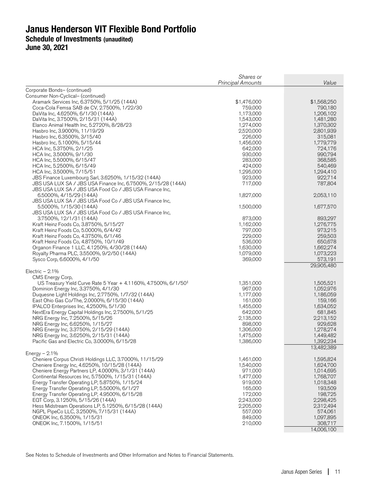**June 30, 2021** 

|                                                                                                 | Shares or<br><b>Principal Amounts</b> | Value                |
|-------------------------------------------------------------------------------------------------|---------------------------------------|----------------------|
| Corporate Bonds- (continued)                                                                    |                                       |                      |
| Consumer Non-Cyclical- (continued)                                                              |                                       |                      |
| Aramark Services Inc, 6.3750%, 5/1/25 (144A)                                                    | \$1,476,000                           | \$1,568,250          |
| Coca-Cola Femsa SAB de CV, 2.7500%, 1/22/30                                                     | 759,000                               | 790,180              |
| DaVita Inc, 4.6250%, 6/1/30 (144A)                                                              | 1,173,000                             | 1,206,102            |
| DaVita Inc, 3.7500%, 2/15/31 (144A)                                                             | 1,543,000                             | 1,481,280            |
| Elanco Animal Health Inc, 5.2720%, 8/28/23                                                      | 1,274,000                             | 1,370,302            |
| Hasbro Inc, 3.9000%, 11/19/29                                                                   | 2,520,000                             | 2,801,939            |
| Hasbro Inc, 6.3500%, 3/15/40                                                                    | 226,000                               | 315,081              |
| Hasbro Inc, 5.1000%, 5/15/44                                                                    | 1,456,000<br>642,000                  | 1,779,779<br>724,176 |
| HCA Inc, 5.3750%, 2/1/25<br>HCA Inc, 3.5000%, 9/1/30                                            | 930,000                               | 990,794              |
| HCA Inc, 5.5000%, 6/15/47                                                                       | 283,000                               | 368,585              |
| HCA Inc, 5.2500%, 6/15/49                                                                       | 424,000                               | 540,469              |
| HCA Inc, 3.5000%, 7/15/51                                                                       | 1,295,000                             | 1,294,410            |
| JBS Finance Luxembourg Sarl, 3.6250%, 1/15/32 (144A)                                            | 923,000                               | 922,714              |
| JBS USA LUX SA / JBS USA Finance Inc, 6.7500%, 2/15/28 (144A)                                   | 717,000                               | 787,804              |
| JBS USA LUX SA / JBS USA Food Co / JBS USA Finance Inc,                                         |                                       |                      |
| 6.5000%, 4/15/29 (144A)                                                                         | 1,827,000                             | 2,053,110            |
| JBS USA LUX SA / JBS USA Food Co / JBS USA Finance Inc,                                         |                                       |                      |
| 5.5000%, 1/15/30 (144A)                                                                         | 1,500,000                             | 1,677,570            |
| JBS USA LUX SA / JBS USA Food Co / JBS USA Finance Inc,                                         |                                       |                      |
| 3.7500%, 12/1/31 (144A)                                                                         | 873,000                               | 893,297              |
| Kraft Heinz Foods Co, 3.8750%, 5/15/27                                                          | 1,162,000                             | 1,276,775            |
| Kraft Heinz Foods Co, 5.0000%, 6/4/42<br>Kraft Heinz Foods Co, 4.3750%, 6/1/46                  | 797,000<br>229,000                    | 973,215<br>259,503   |
| Kraft Heinz Foods Co, 4.8750%, 10/1/49                                                          | 536,000                               | 650,678              |
| Organon Finance 1 LLC, 4.1250%, 4/30/28 (144A)                                                  | 1,630,000                             | 1,662,274            |
| Royalty Pharma PLC, 3.5500%, 9/2/50 (144A)                                                      | 1,079,000                             | 1,073,223            |
| Sysco Corp, 6.6000%, 4/1/50                                                                     | 369,000                               | 573,191              |
|                                                                                                 |                                       | 29,905,480           |
| Electric $-2.1\%$                                                                               |                                       |                      |
| CMS Energy Corp,                                                                                |                                       |                      |
| US Treasury Yield Curve Rate 5 Year + 4.1160%, 4.7500%, 6/1/50 <sup>‡</sup>                     | 1,351,000                             | 1,505,521            |
| Dominion Energy Inc, 3.3750%, 4/1/30                                                            | 967,000                               | 1,052,976            |
| Duquesne Light Holdings Inc, 2.7750%, 1/7/32 (144A)                                             | 1,177,000                             | 1,186,059            |
| East Ohio Gas Co/The, 2.0000%, 6/15/30 (144A)                                                   | 161,000                               | 159,166              |
| IPALCO Enterprises Inc, 4.2500%, 5/1/30<br>NextEra Energy Capital Holdings Inc, 2.7500%, 5/1/25 | 1,455,000<br>642,000                  | 1,634,052<br>681,845 |
| NRG Energy Inc, 7.2500%, 5/15/26                                                                | 2,135,000                             | 2,213,152            |
| NRG Energy Inc, 6.6250%, 1/15/27                                                                | 898,000                               | 929,628              |
| NRG Energy Inc, 3.3750%, 2/15/29 (144A)                                                         | 1,306,000                             | 1,278,274            |
| NRG Energy Inc, 3.6250%, 2/15/31 (144A)                                                         | 1,475,000                             | 1,449,482            |
| Pacific Gas and Electric Co, 3.0000%, 6/15/28                                                   | 1,386,000                             | 1,392,234            |
|                                                                                                 |                                       | 13,482,389           |
| Energy $-2.1\%$                                                                                 |                                       |                      |
| Cheniere Corpus Christi Holdings LLC, 3.7000%, 11/15/29                                         | 1,461,000                             | 1,595,824            |
| Cheniere Energy Inc, 4.6250%, 10/15/28 (144A)                                                   | 1,540,000                             | 1,624,700            |
| Cheniere Energy Partners LP, 4.0000%, 3/1/31 (144A)                                             | 971,000                               | 1,014,695            |
| Continental Resources Inc, 5.7500%, 1/15/31 (144A)                                              | 1,477,000                             | 1,768,707            |
| Energy Transfer Operating LP, 5.8750%, 1/15/24                                                  | 919,000                               | 1,018,348            |
| Energy Transfer Operating LP, 5.5000%, 6/1/27<br>Energy Transfer Operating LP, 4.9500%, 6/15/28 | 165,000<br>172,000                    | 193,509<br>198,725   |
|                                                                                                 | 2,243,000                             | 2,298,425            |
| EQT Corp, 3.1250%, 5/15/26 (144A)<br>Hess Midstream Operations LP, 5.1250%, 6/15/28 (144A)      | 2,205,000                             | 2,312,494            |
| NGPL PipeCo LLC, 3.2500%, 7/15/31 (144A)                                                        | 557,000                               | 574,061              |
| ONEOK Inc, 6.3500%, 1/15/31                                                                     | 849,000                               | 1,097,895            |
| ONEOK Inc, 7.1500%, 1/15/51                                                                     | 210,000                               | 308,717              |
|                                                                                                 |                                       | 14,006,100           |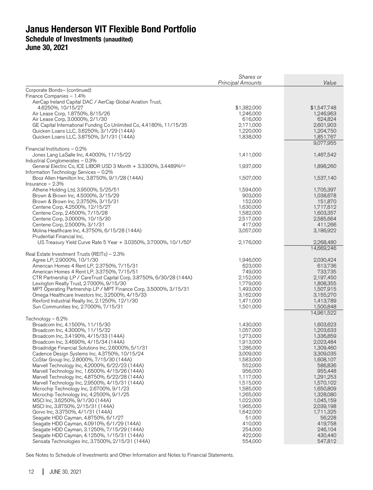**June 30, 2021** 

| Corporate Bonds- (continued)<br>Finance Companies - 1.4%<br>AerCap Ireland Capital DAC / AerCap Global Aviation Trust,<br>4.6250%, 10/15/27<br>\$1,382,000<br>\$1,547,748<br>Air Lease Corp, 1.8750%, 8/15/26<br>1,246,963<br>1,246,000<br>Air Lease Corp, 3.0000%, 2/1/30<br>616,000<br>624,824<br>GE Capital International Funding Co Unlimited Co, 4.4180%, 11/15/35<br>2,601,903<br>2,171,000<br>Quicken Loans LLC, 3.6250%, 3/1/29 (144A)<br>1,220,000<br>1,204,750<br>1,838,000<br>1,851,767<br>Quicken Loans LLC, 3.8750%, 3/1/31 (144A)<br>9,077,955<br>Financial Institutions - 0.2%<br>Jones Lang LaSalle Inc, 4.4000%, 11/15/22<br>1,411,000<br>1,467,542<br>Industrial Conglomerates - 0.3%<br>General Electric Co, ICE LIBOR USD 3 Month + 3.3300%, 3.4489% <sup>‡,µ</sup><br>1,937,000<br>1,898,260<br>Information Technology Services - 0.2%<br>Booz Allen Hamilton Inc, 3.8750%, 9/1/28 (144A)<br>1,507,000<br>1,537,140<br>Insurance $-2.3%$<br>Athene Holding Ltd, 3.9500%, 5/25/51<br>1,594,000<br>1,705,397<br>Brown & Brown Inc, 4.5000%, 3/15/29<br>1,038,678<br>903,000<br>152,000<br>151,870<br>Brown & Brown Inc, 2.3750%, 3/15/31<br>Centene Corp, 4.2500%, 12/15/27<br>1,630,000<br>1,717,612<br>Centene Corp, 2.4500%, 7/15/28<br>1,582,000<br>1,603,357<br>Centene Corp, 3.0000%, 10/15/30<br>2,517,000<br>2,585,664<br>Centene Corp, 2.5000%, 3/1/31<br>417,000<br>411,266<br>Molina Healthcare Inc, 4.3750%, 6/15/28 (144A)<br>3,057,000<br>3,186,922<br>Prudential Financial Inc,<br>US Treasury Yield Curve Rate 5 Year + 3.0350%, 3.7000%, 10/1/50 <sup>‡</sup><br>2,176,000<br>2,268,480<br>14,669,246<br>Real Estate Investment Trusts (REITs) - 2.3%<br>Agree LP, 2.9000%, 10/1/30<br>1,946,000<br>2,030,424<br>613,736<br>American Homes 4 Rent LP, 2.3750%, 7/15/31<br>623,000<br>749,000<br>American Homes 4 Rent LP, 3.3750%, 7/15/51<br>733,735<br>2,152,000<br>2,197,450<br>CTR Partnership LP / CareTrust Capital Corp, 3.8750%, 6/30/28 (144A)<br>1,779,000<br>Lexington Realty Trust, 2.7000%, 9/15/30<br>1,808,355<br>1,507,915<br>MPT Operating Partnership LP / MPT Finance Corp, 3.5000%, 3/15/31<br>1,493,000<br>Omega Healthcare Investors Inc, 3.2500%, 4/15/33<br>3,162,000<br>3,155,270<br>1,413,789<br>Rexford Industrial Realty Inc, 2.1250%, 12/1/30<br>1,471,000<br>Sun Communities Inc, 2.7000%, 7/15/31<br>1,501,000<br>1,500,848<br>14,961,522<br>Technology - 6.2%<br>Broadcom Inc, 4.1500%, 11/15/30<br>1,430,000<br>1,603,623<br>1,057,000<br>1,203,633<br>Broadcom Inc, 4.3000%, 11/15/32<br>1,336,859<br>Broadcom Inc, 3.4190%, 4/15/33 (144A)<br>1,273,000<br>2,023,484<br>Broadcom Inc, 3.4690%, 4/15/34 (144A)<br>1,913,000<br>1,286,000<br>1,309,460<br>Broadridge Financial Solutions Inc, 2.6000%, 5/1/31<br>3,009,000<br>3,309,035<br>Cadence Design Systems Inc, 4.3750%, 10/15/24<br>1,583,000<br>CoStar Group Inc, 2.8000%, 7/15/30 (144A)<br>1,608,107<br>Marvell Technology Inc, 4.2000%, 6/22/23 (144A)<br>552,000<br>586,836<br>Marvell Technology Inc, 1.6500%, 4/15/26 (144A)<br>956,000<br>955,448<br>Marvell Technology Inc, 4.8750%, 6/22/28 (144A)<br>1,117,000<br>1,291,253<br>Marvell Technology Inc, 2.9500%, 4/15/31 (144A)<br>1,515,000<br>1,570,102<br>Microchip Technology Inc, 2.6700%, 9/1/23<br>1,585,000<br>1,650,809<br>Microchip Technology Inc, 4.2500%, 9/1/25<br>1,265,000<br>1,328,080<br>MSCI Inc, 3.6250%, 9/1/30 (144A)<br>1,022,000<br>1,045,159<br>MSCI Inc, 3.8750%, 2/15/31 (144A)<br>1,965,000<br>2,039,198<br>Qorvo Inc, 3.3750%, 4/1/31 (144A)<br>1,642,000<br>1,711,325 | Shares or<br><b>Principal Amounts</b> | Value |
|--------------------------------------------------------------------------------------------------------------------------------------------------------------------------------------------------------------------------------------------------------------------------------------------------------------------------------------------------------------------------------------------------------------------------------------------------------------------------------------------------------------------------------------------------------------------------------------------------------------------------------------------------------------------------------------------------------------------------------------------------------------------------------------------------------------------------------------------------------------------------------------------------------------------------------------------------------------------------------------------------------------------------------------------------------------------------------------------------------------------------------------------------------------------------------------------------------------------------------------------------------------------------------------------------------------------------------------------------------------------------------------------------------------------------------------------------------------------------------------------------------------------------------------------------------------------------------------------------------------------------------------------------------------------------------------------------------------------------------------------------------------------------------------------------------------------------------------------------------------------------------------------------------------------------------------------------------------------------------------------------------------------------------------------------------------------------------------------------------------------------------------------------------------------------------------------------------------------------------------------------------------------------------------------------------------------------------------------------------------------------------------------------------------------------------------------------------------------------------------------------------------------------------------------------------------------------------------------------------------------------------------------------------------------------------------------------------------------------------------------------------------------------------------------------------------------------------------------------------------------------------------------------------------------------------------------------------------------------------------------------------------------------------------------------------------------------------------------------------------------------------------------------------------------------------------------------------------------------------------------------------------------------------------------------------------------------------------------------------------------------------------------------------------------------------------------------------------------------------------------------------------------------------------------------------------------------------------------|---------------------------------------|-------|
|                                                                                                                                                                                                                                                                                                                                                                                                                                                                                                                                                                                                                                                                                                                                                                                                                                                                                                                                                                                                                                                                                                                                                                                                                                                                                                                                                                                                                                                                                                                                                                                                                                                                                                                                                                                                                                                                                                                                                                                                                                                                                                                                                                                                                                                                                                                                                                                                                                                                                                                                                                                                                                                                                                                                                                                                                                                                                                                                                                                                                                                                                                                                                                                                                                                                                                                                                                                                                                                                                                                                                                                            |                                       |       |
|                                                                                                                                                                                                                                                                                                                                                                                                                                                                                                                                                                                                                                                                                                                                                                                                                                                                                                                                                                                                                                                                                                                                                                                                                                                                                                                                                                                                                                                                                                                                                                                                                                                                                                                                                                                                                                                                                                                                                                                                                                                                                                                                                                                                                                                                                                                                                                                                                                                                                                                                                                                                                                                                                                                                                                                                                                                                                                                                                                                                                                                                                                                                                                                                                                                                                                                                                                                                                                                                                                                                                                                            |                                       |       |
|                                                                                                                                                                                                                                                                                                                                                                                                                                                                                                                                                                                                                                                                                                                                                                                                                                                                                                                                                                                                                                                                                                                                                                                                                                                                                                                                                                                                                                                                                                                                                                                                                                                                                                                                                                                                                                                                                                                                                                                                                                                                                                                                                                                                                                                                                                                                                                                                                                                                                                                                                                                                                                                                                                                                                                                                                                                                                                                                                                                                                                                                                                                                                                                                                                                                                                                                                                                                                                                                                                                                                                                            |                                       |       |
|                                                                                                                                                                                                                                                                                                                                                                                                                                                                                                                                                                                                                                                                                                                                                                                                                                                                                                                                                                                                                                                                                                                                                                                                                                                                                                                                                                                                                                                                                                                                                                                                                                                                                                                                                                                                                                                                                                                                                                                                                                                                                                                                                                                                                                                                                                                                                                                                                                                                                                                                                                                                                                                                                                                                                                                                                                                                                                                                                                                                                                                                                                                                                                                                                                                                                                                                                                                                                                                                                                                                                                                            |                                       |       |
|                                                                                                                                                                                                                                                                                                                                                                                                                                                                                                                                                                                                                                                                                                                                                                                                                                                                                                                                                                                                                                                                                                                                                                                                                                                                                                                                                                                                                                                                                                                                                                                                                                                                                                                                                                                                                                                                                                                                                                                                                                                                                                                                                                                                                                                                                                                                                                                                                                                                                                                                                                                                                                                                                                                                                                                                                                                                                                                                                                                                                                                                                                                                                                                                                                                                                                                                                                                                                                                                                                                                                                                            |                                       |       |
|                                                                                                                                                                                                                                                                                                                                                                                                                                                                                                                                                                                                                                                                                                                                                                                                                                                                                                                                                                                                                                                                                                                                                                                                                                                                                                                                                                                                                                                                                                                                                                                                                                                                                                                                                                                                                                                                                                                                                                                                                                                                                                                                                                                                                                                                                                                                                                                                                                                                                                                                                                                                                                                                                                                                                                                                                                                                                                                                                                                                                                                                                                                                                                                                                                                                                                                                                                                                                                                                                                                                                                                            |                                       |       |
|                                                                                                                                                                                                                                                                                                                                                                                                                                                                                                                                                                                                                                                                                                                                                                                                                                                                                                                                                                                                                                                                                                                                                                                                                                                                                                                                                                                                                                                                                                                                                                                                                                                                                                                                                                                                                                                                                                                                                                                                                                                                                                                                                                                                                                                                                                                                                                                                                                                                                                                                                                                                                                                                                                                                                                                                                                                                                                                                                                                                                                                                                                                                                                                                                                                                                                                                                                                                                                                                                                                                                                                            |                                       |       |
|                                                                                                                                                                                                                                                                                                                                                                                                                                                                                                                                                                                                                                                                                                                                                                                                                                                                                                                                                                                                                                                                                                                                                                                                                                                                                                                                                                                                                                                                                                                                                                                                                                                                                                                                                                                                                                                                                                                                                                                                                                                                                                                                                                                                                                                                                                                                                                                                                                                                                                                                                                                                                                                                                                                                                                                                                                                                                                                                                                                                                                                                                                                                                                                                                                                                                                                                                                                                                                                                                                                                                                                            |                                       |       |
|                                                                                                                                                                                                                                                                                                                                                                                                                                                                                                                                                                                                                                                                                                                                                                                                                                                                                                                                                                                                                                                                                                                                                                                                                                                                                                                                                                                                                                                                                                                                                                                                                                                                                                                                                                                                                                                                                                                                                                                                                                                                                                                                                                                                                                                                                                                                                                                                                                                                                                                                                                                                                                                                                                                                                                                                                                                                                                                                                                                                                                                                                                                                                                                                                                                                                                                                                                                                                                                                                                                                                                                            |                                       |       |
|                                                                                                                                                                                                                                                                                                                                                                                                                                                                                                                                                                                                                                                                                                                                                                                                                                                                                                                                                                                                                                                                                                                                                                                                                                                                                                                                                                                                                                                                                                                                                                                                                                                                                                                                                                                                                                                                                                                                                                                                                                                                                                                                                                                                                                                                                                                                                                                                                                                                                                                                                                                                                                                                                                                                                                                                                                                                                                                                                                                                                                                                                                                                                                                                                                                                                                                                                                                                                                                                                                                                                                                            |                                       |       |
|                                                                                                                                                                                                                                                                                                                                                                                                                                                                                                                                                                                                                                                                                                                                                                                                                                                                                                                                                                                                                                                                                                                                                                                                                                                                                                                                                                                                                                                                                                                                                                                                                                                                                                                                                                                                                                                                                                                                                                                                                                                                                                                                                                                                                                                                                                                                                                                                                                                                                                                                                                                                                                                                                                                                                                                                                                                                                                                                                                                                                                                                                                                                                                                                                                                                                                                                                                                                                                                                                                                                                                                            |                                       |       |
|                                                                                                                                                                                                                                                                                                                                                                                                                                                                                                                                                                                                                                                                                                                                                                                                                                                                                                                                                                                                                                                                                                                                                                                                                                                                                                                                                                                                                                                                                                                                                                                                                                                                                                                                                                                                                                                                                                                                                                                                                                                                                                                                                                                                                                                                                                                                                                                                                                                                                                                                                                                                                                                                                                                                                                                                                                                                                                                                                                                                                                                                                                                                                                                                                                                                                                                                                                                                                                                                                                                                                                                            |                                       |       |
|                                                                                                                                                                                                                                                                                                                                                                                                                                                                                                                                                                                                                                                                                                                                                                                                                                                                                                                                                                                                                                                                                                                                                                                                                                                                                                                                                                                                                                                                                                                                                                                                                                                                                                                                                                                                                                                                                                                                                                                                                                                                                                                                                                                                                                                                                                                                                                                                                                                                                                                                                                                                                                                                                                                                                                                                                                                                                                                                                                                                                                                                                                                                                                                                                                                                                                                                                                                                                                                                                                                                                                                            |                                       |       |
|                                                                                                                                                                                                                                                                                                                                                                                                                                                                                                                                                                                                                                                                                                                                                                                                                                                                                                                                                                                                                                                                                                                                                                                                                                                                                                                                                                                                                                                                                                                                                                                                                                                                                                                                                                                                                                                                                                                                                                                                                                                                                                                                                                                                                                                                                                                                                                                                                                                                                                                                                                                                                                                                                                                                                                                                                                                                                                                                                                                                                                                                                                                                                                                                                                                                                                                                                                                                                                                                                                                                                                                            |                                       |       |
|                                                                                                                                                                                                                                                                                                                                                                                                                                                                                                                                                                                                                                                                                                                                                                                                                                                                                                                                                                                                                                                                                                                                                                                                                                                                                                                                                                                                                                                                                                                                                                                                                                                                                                                                                                                                                                                                                                                                                                                                                                                                                                                                                                                                                                                                                                                                                                                                                                                                                                                                                                                                                                                                                                                                                                                                                                                                                                                                                                                                                                                                                                                                                                                                                                                                                                                                                                                                                                                                                                                                                                                            |                                       |       |
|                                                                                                                                                                                                                                                                                                                                                                                                                                                                                                                                                                                                                                                                                                                                                                                                                                                                                                                                                                                                                                                                                                                                                                                                                                                                                                                                                                                                                                                                                                                                                                                                                                                                                                                                                                                                                                                                                                                                                                                                                                                                                                                                                                                                                                                                                                                                                                                                                                                                                                                                                                                                                                                                                                                                                                                                                                                                                                                                                                                                                                                                                                                                                                                                                                                                                                                                                                                                                                                                                                                                                                                            |                                       |       |
|                                                                                                                                                                                                                                                                                                                                                                                                                                                                                                                                                                                                                                                                                                                                                                                                                                                                                                                                                                                                                                                                                                                                                                                                                                                                                                                                                                                                                                                                                                                                                                                                                                                                                                                                                                                                                                                                                                                                                                                                                                                                                                                                                                                                                                                                                                                                                                                                                                                                                                                                                                                                                                                                                                                                                                                                                                                                                                                                                                                                                                                                                                                                                                                                                                                                                                                                                                                                                                                                                                                                                                                            |                                       |       |
|                                                                                                                                                                                                                                                                                                                                                                                                                                                                                                                                                                                                                                                                                                                                                                                                                                                                                                                                                                                                                                                                                                                                                                                                                                                                                                                                                                                                                                                                                                                                                                                                                                                                                                                                                                                                                                                                                                                                                                                                                                                                                                                                                                                                                                                                                                                                                                                                                                                                                                                                                                                                                                                                                                                                                                                                                                                                                                                                                                                                                                                                                                                                                                                                                                                                                                                                                                                                                                                                                                                                                                                            |                                       |       |
|                                                                                                                                                                                                                                                                                                                                                                                                                                                                                                                                                                                                                                                                                                                                                                                                                                                                                                                                                                                                                                                                                                                                                                                                                                                                                                                                                                                                                                                                                                                                                                                                                                                                                                                                                                                                                                                                                                                                                                                                                                                                                                                                                                                                                                                                                                                                                                                                                                                                                                                                                                                                                                                                                                                                                                                                                                                                                                                                                                                                                                                                                                                                                                                                                                                                                                                                                                                                                                                                                                                                                                                            |                                       |       |
|                                                                                                                                                                                                                                                                                                                                                                                                                                                                                                                                                                                                                                                                                                                                                                                                                                                                                                                                                                                                                                                                                                                                                                                                                                                                                                                                                                                                                                                                                                                                                                                                                                                                                                                                                                                                                                                                                                                                                                                                                                                                                                                                                                                                                                                                                                                                                                                                                                                                                                                                                                                                                                                                                                                                                                                                                                                                                                                                                                                                                                                                                                                                                                                                                                                                                                                                                                                                                                                                                                                                                                                            |                                       |       |
|                                                                                                                                                                                                                                                                                                                                                                                                                                                                                                                                                                                                                                                                                                                                                                                                                                                                                                                                                                                                                                                                                                                                                                                                                                                                                                                                                                                                                                                                                                                                                                                                                                                                                                                                                                                                                                                                                                                                                                                                                                                                                                                                                                                                                                                                                                                                                                                                                                                                                                                                                                                                                                                                                                                                                                                                                                                                                                                                                                                                                                                                                                                                                                                                                                                                                                                                                                                                                                                                                                                                                                                            |                                       |       |
|                                                                                                                                                                                                                                                                                                                                                                                                                                                                                                                                                                                                                                                                                                                                                                                                                                                                                                                                                                                                                                                                                                                                                                                                                                                                                                                                                                                                                                                                                                                                                                                                                                                                                                                                                                                                                                                                                                                                                                                                                                                                                                                                                                                                                                                                                                                                                                                                                                                                                                                                                                                                                                                                                                                                                                                                                                                                                                                                                                                                                                                                                                                                                                                                                                                                                                                                                                                                                                                                                                                                                                                            |                                       |       |
|                                                                                                                                                                                                                                                                                                                                                                                                                                                                                                                                                                                                                                                                                                                                                                                                                                                                                                                                                                                                                                                                                                                                                                                                                                                                                                                                                                                                                                                                                                                                                                                                                                                                                                                                                                                                                                                                                                                                                                                                                                                                                                                                                                                                                                                                                                                                                                                                                                                                                                                                                                                                                                                                                                                                                                                                                                                                                                                                                                                                                                                                                                                                                                                                                                                                                                                                                                                                                                                                                                                                                                                            |                                       |       |
|                                                                                                                                                                                                                                                                                                                                                                                                                                                                                                                                                                                                                                                                                                                                                                                                                                                                                                                                                                                                                                                                                                                                                                                                                                                                                                                                                                                                                                                                                                                                                                                                                                                                                                                                                                                                                                                                                                                                                                                                                                                                                                                                                                                                                                                                                                                                                                                                                                                                                                                                                                                                                                                                                                                                                                                                                                                                                                                                                                                                                                                                                                                                                                                                                                                                                                                                                                                                                                                                                                                                                                                            |                                       |       |
|                                                                                                                                                                                                                                                                                                                                                                                                                                                                                                                                                                                                                                                                                                                                                                                                                                                                                                                                                                                                                                                                                                                                                                                                                                                                                                                                                                                                                                                                                                                                                                                                                                                                                                                                                                                                                                                                                                                                                                                                                                                                                                                                                                                                                                                                                                                                                                                                                                                                                                                                                                                                                                                                                                                                                                                                                                                                                                                                                                                                                                                                                                                                                                                                                                                                                                                                                                                                                                                                                                                                                                                            |                                       |       |
|                                                                                                                                                                                                                                                                                                                                                                                                                                                                                                                                                                                                                                                                                                                                                                                                                                                                                                                                                                                                                                                                                                                                                                                                                                                                                                                                                                                                                                                                                                                                                                                                                                                                                                                                                                                                                                                                                                                                                                                                                                                                                                                                                                                                                                                                                                                                                                                                                                                                                                                                                                                                                                                                                                                                                                                                                                                                                                                                                                                                                                                                                                                                                                                                                                                                                                                                                                                                                                                                                                                                                                                            |                                       |       |
|                                                                                                                                                                                                                                                                                                                                                                                                                                                                                                                                                                                                                                                                                                                                                                                                                                                                                                                                                                                                                                                                                                                                                                                                                                                                                                                                                                                                                                                                                                                                                                                                                                                                                                                                                                                                                                                                                                                                                                                                                                                                                                                                                                                                                                                                                                                                                                                                                                                                                                                                                                                                                                                                                                                                                                                                                                                                                                                                                                                                                                                                                                                                                                                                                                                                                                                                                                                                                                                                                                                                                                                            |                                       |       |
|                                                                                                                                                                                                                                                                                                                                                                                                                                                                                                                                                                                                                                                                                                                                                                                                                                                                                                                                                                                                                                                                                                                                                                                                                                                                                                                                                                                                                                                                                                                                                                                                                                                                                                                                                                                                                                                                                                                                                                                                                                                                                                                                                                                                                                                                                                                                                                                                                                                                                                                                                                                                                                                                                                                                                                                                                                                                                                                                                                                                                                                                                                                                                                                                                                                                                                                                                                                                                                                                                                                                                                                            |                                       |       |
|                                                                                                                                                                                                                                                                                                                                                                                                                                                                                                                                                                                                                                                                                                                                                                                                                                                                                                                                                                                                                                                                                                                                                                                                                                                                                                                                                                                                                                                                                                                                                                                                                                                                                                                                                                                                                                                                                                                                                                                                                                                                                                                                                                                                                                                                                                                                                                                                                                                                                                                                                                                                                                                                                                                                                                                                                                                                                                                                                                                                                                                                                                                                                                                                                                                                                                                                                                                                                                                                                                                                                                                            |                                       |       |
|                                                                                                                                                                                                                                                                                                                                                                                                                                                                                                                                                                                                                                                                                                                                                                                                                                                                                                                                                                                                                                                                                                                                                                                                                                                                                                                                                                                                                                                                                                                                                                                                                                                                                                                                                                                                                                                                                                                                                                                                                                                                                                                                                                                                                                                                                                                                                                                                                                                                                                                                                                                                                                                                                                                                                                                                                                                                                                                                                                                                                                                                                                                                                                                                                                                                                                                                                                                                                                                                                                                                                                                            |                                       |       |
|                                                                                                                                                                                                                                                                                                                                                                                                                                                                                                                                                                                                                                                                                                                                                                                                                                                                                                                                                                                                                                                                                                                                                                                                                                                                                                                                                                                                                                                                                                                                                                                                                                                                                                                                                                                                                                                                                                                                                                                                                                                                                                                                                                                                                                                                                                                                                                                                                                                                                                                                                                                                                                                                                                                                                                                                                                                                                                                                                                                                                                                                                                                                                                                                                                                                                                                                                                                                                                                                                                                                                                                            |                                       |       |
|                                                                                                                                                                                                                                                                                                                                                                                                                                                                                                                                                                                                                                                                                                                                                                                                                                                                                                                                                                                                                                                                                                                                                                                                                                                                                                                                                                                                                                                                                                                                                                                                                                                                                                                                                                                                                                                                                                                                                                                                                                                                                                                                                                                                                                                                                                                                                                                                                                                                                                                                                                                                                                                                                                                                                                                                                                                                                                                                                                                                                                                                                                                                                                                                                                                                                                                                                                                                                                                                                                                                                                                            |                                       |       |
|                                                                                                                                                                                                                                                                                                                                                                                                                                                                                                                                                                                                                                                                                                                                                                                                                                                                                                                                                                                                                                                                                                                                                                                                                                                                                                                                                                                                                                                                                                                                                                                                                                                                                                                                                                                                                                                                                                                                                                                                                                                                                                                                                                                                                                                                                                                                                                                                                                                                                                                                                                                                                                                                                                                                                                                                                                                                                                                                                                                                                                                                                                                                                                                                                                                                                                                                                                                                                                                                                                                                                                                            |                                       |       |
|                                                                                                                                                                                                                                                                                                                                                                                                                                                                                                                                                                                                                                                                                                                                                                                                                                                                                                                                                                                                                                                                                                                                                                                                                                                                                                                                                                                                                                                                                                                                                                                                                                                                                                                                                                                                                                                                                                                                                                                                                                                                                                                                                                                                                                                                                                                                                                                                                                                                                                                                                                                                                                                                                                                                                                                                                                                                                                                                                                                                                                                                                                                                                                                                                                                                                                                                                                                                                                                                                                                                                                                            |                                       |       |
|                                                                                                                                                                                                                                                                                                                                                                                                                                                                                                                                                                                                                                                                                                                                                                                                                                                                                                                                                                                                                                                                                                                                                                                                                                                                                                                                                                                                                                                                                                                                                                                                                                                                                                                                                                                                                                                                                                                                                                                                                                                                                                                                                                                                                                                                                                                                                                                                                                                                                                                                                                                                                                                                                                                                                                                                                                                                                                                                                                                                                                                                                                                                                                                                                                                                                                                                                                                                                                                                                                                                                                                            |                                       |       |
|                                                                                                                                                                                                                                                                                                                                                                                                                                                                                                                                                                                                                                                                                                                                                                                                                                                                                                                                                                                                                                                                                                                                                                                                                                                                                                                                                                                                                                                                                                                                                                                                                                                                                                                                                                                                                                                                                                                                                                                                                                                                                                                                                                                                                                                                                                                                                                                                                                                                                                                                                                                                                                                                                                                                                                                                                                                                                                                                                                                                                                                                                                                                                                                                                                                                                                                                                                                                                                                                                                                                                                                            |                                       |       |
|                                                                                                                                                                                                                                                                                                                                                                                                                                                                                                                                                                                                                                                                                                                                                                                                                                                                                                                                                                                                                                                                                                                                                                                                                                                                                                                                                                                                                                                                                                                                                                                                                                                                                                                                                                                                                                                                                                                                                                                                                                                                                                                                                                                                                                                                                                                                                                                                                                                                                                                                                                                                                                                                                                                                                                                                                                                                                                                                                                                                                                                                                                                                                                                                                                                                                                                                                                                                                                                                                                                                                                                            |                                       |       |
|                                                                                                                                                                                                                                                                                                                                                                                                                                                                                                                                                                                                                                                                                                                                                                                                                                                                                                                                                                                                                                                                                                                                                                                                                                                                                                                                                                                                                                                                                                                                                                                                                                                                                                                                                                                                                                                                                                                                                                                                                                                                                                                                                                                                                                                                                                                                                                                                                                                                                                                                                                                                                                                                                                                                                                                                                                                                                                                                                                                                                                                                                                                                                                                                                                                                                                                                                                                                                                                                                                                                                                                            |                                       |       |
|                                                                                                                                                                                                                                                                                                                                                                                                                                                                                                                                                                                                                                                                                                                                                                                                                                                                                                                                                                                                                                                                                                                                                                                                                                                                                                                                                                                                                                                                                                                                                                                                                                                                                                                                                                                                                                                                                                                                                                                                                                                                                                                                                                                                                                                                                                                                                                                                                                                                                                                                                                                                                                                                                                                                                                                                                                                                                                                                                                                                                                                                                                                                                                                                                                                                                                                                                                                                                                                                                                                                                                                            |                                       |       |
|                                                                                                                                                                                                                                                                                                                                                                                                                                                                                                                                                                                                                                                                                                                                                                                                                                                                                                                                                                                                                                                                                                                                                                                                                                                                                                                                                                                                                                                                                                                                                                                                                                                                                                                                                                                                                                                                                                                                                                                                                                                                                                                                                                                                                                                                                                                                                                                                                                                                                                                                                                                                                                                                                                                                                                                                                                                                                                                                                                                                                                                                                                                                                                                                                                                                                                                                                                                                                                                                                                                                                                                            |                                       |       |
|                                                                                                                                                                                                                                                                                                                                                                                                                                                                                                                                                                                                                                                                                                                                                                                                                                                                                                                                                                                                                                                                                                                                                                                                                                                                                                                                                                                                                                                                                                                                                                                                                                                                                                                                                                                                                                                                                                                                                                                                                                                                                                                                                                                                                                                                                                                                                                                                                                                                                                                                                                                                                                                                                                                                                                                                                                                                                                                                                                                                                                                                                                                                                                                                                                                                                                                                                                                                                                                                                                                                                                                            |                                       |       |
|                                                                                                                                                                                                                                                                                                                                                                                                                                                                                                                                                                                                                                                                                                                                                                                                                                                                                                                                                                                                                                                                                                                                                                                                                                                                                                                                                                                                                                                                                                                                                                                                                                                                                                                                                                                                                                                                                                                                                                                                                                                                                                                                                                                                                                                                                                                                                                                                                                                                                                                                                                                                                                                                                                                                                                                                                                                                                                                                                                                                                                                                                                                                                                                                                                                                                                                                                                                                                                                                                                                                                                                            |                                       |       |
|                                                                                                                                                                                                                                                                                                                                                                                                                                                                                                                                                                                                                                                                                                                                                                                                                                                                                                                                                                                                                                                                                                                                                                                                                                                                                                                                                                                                                                                                                                                                                                                                                                                                                                                                                                                                                                                                                                                                                                                                                                                                                                                                                                                                                                                                                                                                                                                                                                                                                                                                                                                                                                                                                                                                                                                                                                                                                                                                                                                                                                                                                                                                                                                                                                                                                                                                                                                                                                                                                                                                                                                            |                                       |       |
|                                                                                                                                                                                                                                                                                                                                                                                                                                                                                                                                                                                                                                                                                                                                                                                                                                                                                                                                                                                                                                                                                                                                                                                                                                                                                                                                                                                                                                                                                                                                                                                                                                                                                                                                                                                                                                                                                                                                                                                                                                                                                                                                                                                                                                                                                                                                                                                                                                                                                                                                                                                                                                                                                                                                                                                                                                                                                                                                                                                                                                                                                                                                                                                                                                                                                                                                                                                                                                                                                                                                                                                            |                                       |       |
|                                                                                                                                                                                                                                                                                                                                                                                                                                                                                                                                                                                                                                                                                                                                                                                                                                                                                                                                                                                                                                                                                                                                                                                                                                                                                                                                                                                                                                                                                                                                                                                                                                                                                                                                                                                                                                                                                                                                                                                                                                                                                                                                                                                                                                                                                                                                                                                                                                                                                                                                                                                                                                                                                                                                                                                                                                                                                                                                                                                                                                                                                                                                                                                                                                                                                                                                                                                                                                                                                                                                                                                            |                                       |       |
|                                                                                                                                                                                                                                                                                                                                                                                                                                                                                                                                                                                                                                                                                                                                                                                                                                                                                                                                                                                                                                                                                                                                                                                                                                                                                                                                                                                                                                                                                                                                                                                                                                                                                                                                                                                                                                                                                                                                                                                                                                                                                                                                                                                                                                                                                                                                                                                                                                                                                                                                                                                                                                                                                                                                                                                                                                                                                                                                                                                                                                                                                                                                                                                                                                                                                                                                                                                                                                                                                                                                                                                            |                                       |       |
|                                                                                                                                                                                                                                                                                                                                                                                                                                                                                                                                                                                                                                                                                                                                                                                                                                                                                                                                                                                                                                                                                                                                                                                                                                                                                                                                                                                                                                                                                                                                                                                                                                                                                                                                                                                                                                                                                                                                                                                                                                                                                                                                                                                                                                                                                                                                                                                                                                                                                                                                                                                                                                                                                                                                                                                                                                                                                                                                                                                                                                                                                                                                                                                                                                                                                                                                                                                                                                                                                                                                                                                            |                                       |       |
|                                                                                                                                                                                                                                                                                                                                                                                                                                                                                                                                                                                                                                                                                                                                                                                                                                                                                                                                                                                                                                                                                                                                                                                                                                                                                                                                                                                                                                                                                                                                                                                                                                                                                                                                                                                                                                                                                                                                                                                                                                                                                                                                                                                                                                                                                                                                                                                                                                                                                                                                                                                                                                                                                                                                                                                                                                                                                                                                                                                                                                                                                                                                                                                                                                                                                                                                                                                                                                                                                                                                                                                            |                                       |       |
|                                                                                                                                                                                                                                                                                                                                                                                                                                                                                                                                                                                                                                                                                                                                                                                                                                                                                                                                                                                                                                                                                                                                                                                                                                                                                                                                                                                                                                                                                                                                                                                                                                                                                                                                                                                                                                                                                                                                                                                                                                                                                                                                                                                                                                                                                                                                                                                                                                                                                                                                                                                                                                                                                                                                                                                                                                                                                                                                                                                                                                                                                                                                                                                                                                                                                                                                                                                                                                                                                                                                                                                            |                                       |       |
|                                                                                                                                                                                                                                                                                                                                                                                                                                                                                                                                                                                                                                                                                                                                                                                                                                                                                                                                                                                                                                                                                                                                                                                                                                                                                                                                                                                                                                                                                                                                                                                                                                                                                                                                                                                                                                                                                                                                                                                                                                                                                                                                                                                                                                                                                                                                                                                                                                                                                                                                                                                                                                                                                                                                                                                                                                                                                                                                                                                                                                                                                                                                                                                                                                                                                                                                                                                                                                                                                                                                                                                            |                                       |       |
|                                                                                                                                                                                                                                                                                                                                                                                                                                                                                                                                                                                                                                                                                                                                                                                                                                                                                                                                                                                                                                                                                                                                                                                                                                                                                                                                                                                                                                                                                                                                                                                                                                                                                                                                                                                                                                                                                                                                                                                                                                                                                                                                                                                                                                                                                                                                                                                                                                                                                                                                                                                                                                                                                                                                                                                                                                                                                                                                                                                                                                                                                                                                                                                                                                                                                                                                                                                                                                                                                                                                                                                            |                                       |       |
| Seagate HDD Cayman, 4.8750%, 6/1/27<br>51,000<br>56,228<br>Seagate HDD Cayman, 4.0910%, 6/1/29 (144A)<br>410,000<br>419,758                                                                                                                                                                                                                                                                                                                                                                                                                                                                                                                                                                                                                                                                                                                                                                                                                                                                                                                                                                                                                                                                                                                                                                                                                                                                                                                                                                                                                                                                                                                                                                                                                                                                                                                                                                                                                                                                                                                                                                                                                                                                                                                                                                                                                                                                                                                                                                                                                                                                                                                                                                                                                                                                                                                                                                                                                                                                                                                                                                                                                                                                                                                                                                                                                                                                                                                                                                                                                                                                |                                       |       |
| Seagate HDD Cayman, 3.1250%, 7/15/29 (144A)<br>254,000<br>246,104                                                                                                                                                                                                                                                                                                                                                                                                                                                                                                                                                                                                                                                                                                                                                                                                                                                                                                                                                                                                                                                                                                                                                                                                                                                                                                                                                                                                                                                                                                                                                                                                                                                                                                                                                                                                                                                                                                                                                                                                                                                                                                                                                                                                                                                                                                                                                                                                                                                                                                                                                                                                                                                                                                                                                                                                                                                                                                                                                                                                                                                                                                                                                                                                                                                                                                                                                                                                                                                                                                                          |                                       |       |
| Seagate HDD Cayman, 4.1250%, 1/15/31 (144A)<br>422,000<br>430,440                                                                                                                                                                                                                                                                                                                                                                                                                                                                                                                                                                                                                                                                                                                                                                                                                                                                                                                                                                                                                                                                                                                                                                                                                                                                                                                                                                                                                                                                                                                                                                                                                                                                                                                                                                                                                                                                                                                                                                                                                                                                                                                                                                                                                                                                                                                                                                                                                                                                                                                                                                                                                                                                                                                                                                                                                                                                                                                                                                                                                                                                                                                                                                                                                                                                                                                                                                                                                                                                                                                          |                                       |       |
| Sensata Technologies Inc, 3.7500%, 2/15/31 (144A)<br>554,000<br>547,812                                                                                                                                                                                                                                                                                                                                                                                                                                                                                                                                                                                                                                                                                                                                                                                                                                                                                                                                                                                                                                                                                                                                                                                                                                                                                                                                                                                                                                                                                                                                                                                                                                                                                                                                                                                                                                                                                                                                                                                                                                                                                                                                                                                                                                                                                                                                                                                                                                                                                                                                                                                                                                                                                                                                                                                                                                                                                                                                                                                                                                                                                                                                                                                                                                                                                                                                                                                                                                                                                                                    |                                       |       |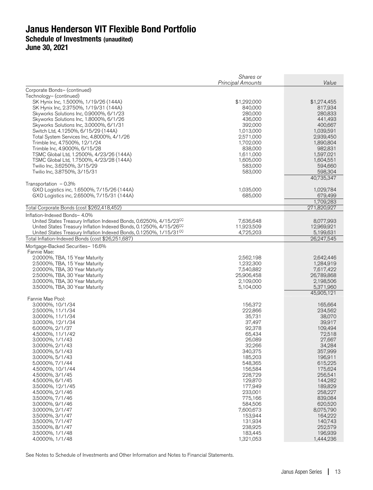|                                                                                | Shares or<br>Principal Amounts | Value                   |
|--------------------------------------------------------------------------------|--------------------------------|-------------------------|
| Corporate Bonds- (continued)                                                   |                                |                         |
| Technology- (continued)                                                        |                                |                         |
| SK Hynix Inc, 1.5000%, 1/19/26 (144A)                                          | \$1,292,000                    | \$1,274,455             |
| SK Hynix Inc, 2.3750%, 1/19/31 (144A)                                          | 840,000                        | 817,934                 |
| Skyworks Solutions Inc, 0.9000%, 6/1/23                                        | 280,000                        | 280,833                 |
| Skyworks Solutions Inc, 1.8000%, 6/1/26                                        | 436,000                        | 441,493                 |
| Skyworks Solutions Inc, 3.0000%, 6/1/31<br>Switch Ltd, 4.1250%, 6/15/29 (144A) | 392,000<br>1,013,000           | 400,667<br>1,039,591    |
| Total System Services Inc, 4.8000%, 4/1/26                                     | 2,571,000                      | 2,939,450               |
| Trimble Inc, 4.7500%, 12/1/24                                                  | 1,702,000                      | 1,890,804               |
| Trimble Inc, 4.9000%, 6/15/28                                                  | 838,000                        | 982,831                 |
| TSMC Global Ltd, 1.2500%, 4/23/26 (144A)                                       | 1,611,000                      | 1,597,021               |
| TSMC Global Ltd, 1.7500%, 4/23/28 (144A)                                       | 1,605,000                      | 1,604,551               |
| Twilio Inc, 3.6250%, 3/15/29                                                   | 583,000                        | 594,660                 |
| Twilio Inc, 3.8750%, 3/15/31                                                   | 583,000                        | 598,304                 |
|                                                                                |                                | 40,735,347              |
| Transportation $-0.3\%$                                                        |                                |                         |
| GXO Logistics inc, 1.6500%, 7/15/26 (144A)                                     | 1,035,000                      | 1,029,784               |
| GXO Logistics inc, 2.6500%, 7/15/31 (144A)                                     | 685,000                        | 679,499<br>1,709,283    |
| Total Corporate Bonds (cost \$262,418,452)                                     |                                | 271,820,927             |
| Inflation-Indexed Bonds- 4.0%                                                  |                                |                         |
| United States Treasury Inflation Indexed Bonds, 0.6250%, 4/15/23CC             | 7,636,648                      | 8,077,993               |
| United States Treasury Inflation Indexed Bonds, 0.1250%, 4/15/26 <sup>CC</sup> | 11,923,509                     | 12,969,921              |
| United States Treasury Inflation Indexed Bonds, 0.1250%, 1/15/31 <sup>CC</sup> | 4,725,203                      | 5,199,631               |
| Total Inflation-Indexed Bonds (cost \$26,251,687)                              |                                | 26,247,545              |
| Mortgage-Backed Securities- 16.6%                                              |                                |                         |
| Fannie Mae:                                                                    |                                |                         |
| 2.0000%, TBA, 15 Year Maturity                                                 | 2,562,198                      | 2,642,446               |
| 2.5000%, TBA, 15 Year Maturity                                                 | 1,232,300                      | 1,284,919               |
| 2.0000%, TBA, 30 Year Maturity                                                 | 7,540,882                      | 7,617,422<br>26,789,868 |
| 2.5000%, TBA, 30 Year Maturity<br>3.0000%, TBA, 30 Year Maturity               | 25,906,458<br>2,109,000        | 2,198,506               |
| 3.5000%, TBA, 30 Year Maturity                                                 | 5,104,000                      | 5,371,960               |
|                                                                                |                                | 45,905,121              |
| Fannie Mae Pool:                                                               |                                |                         |
| 3.0000%, 10/1/34                                                               | 156,372                        | 165,664                 |
| 2.5000%, 11/1/34                                                               | 222,866                        | 234,562                 |
| 3.0000%, 11/1/34                                                               | 35,731                         | 38,070                  |
| 3.0000%, 12/1/34                                                               | 37,497                         | 39,917                  |
| 6.0000%, 2/1/37                                                                | 92,378                         | 109,494                 |
| 4.5000%, 11/1/42<br>3.0000%, 1/1/43                                            | 65,434<br>26,089               | 72,518<br>27,667        |
| 3.0000%, 2/1/43                                                                | 32,266                         | 34,284                  |
| 3.0000%, 5/1/43                                                                | 340,375                        | 357,999                 |
| 3.0000%, 5/1/43                                                                | 185,203                        | 196,911                 |
| 5.0000%, 7/1/44                                                                | 548,365                        | 615,225                 |
| 4.5000%, 10/1/44                                                               | 156,584                        | 175,624                 |
| 4.5000%, 3/1/45                                                                | 228,729                        | 256,541                 |
| 4.5000%, 6/1/45                                                                | 129,870                        | 144,282                 |
| 3.5000%, 12/1/45                                                               | 177,949                        | 189,829                 |
| 4.5000%, 2/1/46                                                                | 233,001<br>775,166             | 258,227                 |
| 3.5000%, 7/1/46<br>3.0000%, 9/1/46                                             | 584,506                        | 839,084<br>620,520      |
| 3.0000%, 2/1/47                                                                | 7,600,673                      | 8,075,790               |
| 3.5000%, 3/1/47                                                                | 153,944                        | 164,222                 |
| 3.5000%, 7/1/47                                                                | 131,934                        | 140,743                 |
| 3.5000%, 8/1/47                                                                | 238,925                        | 252,579                 |
| 3.5000%, 1/1/48                                                                | 183,445                        | 196,939                 |
| 4.0000%, 1/1/48                                                                | 1,321,053                      | 1,444,236               |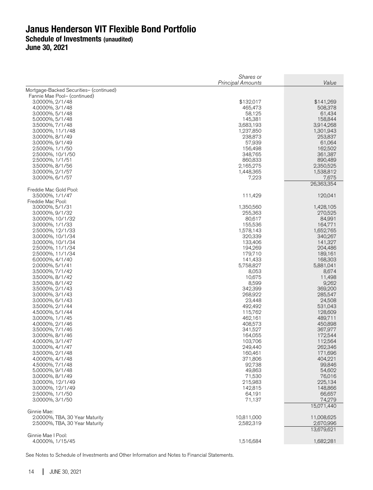Shares or **Principal Amounts Value** Mortgage-Backed Securities– (continued) Fannie Mae Pool– (continued) 3.0000%, 2/1/48 \$132,017 \$141,269 \$132,000 \$141,269 \$132,017 \$141,269 \$141,269 \$141,269 \$141,269 \$141,269 \$141,<br>465,473 \$508,378 \$508,378 \$508,378 \$508,378 \$508,378 \$508,378 \$508,378 \$508,378 \$508,378 \$508,378 \$508,378 \$5 4.0000%, 3/1/48 465,473 508,378 3.0000%, 5/1/48 58,125 61,434 5.0000%, 5/1/48 145,381 158,844 3.5000%, 7/1/48 3,683,193 3,914,268 3.0000%, 11/1/48 1,237,850 1,301,943 3.0000%, 8/1/49 238,873 253,837 3.0000%, 9/1/49 57,939 61,064 2.5000%, 1/1/50 156,498 162,502 2.5000%, 10/1/50 348,765 361,387 2.5000%, 1/1/51 860,833 890,489 3.5000%, 8/1/56 2,165,275 2,350,525 3.0000%, 2/1/57 1,448,365 1,538,812 3.0000%, 6/1/57 7,223 7,675 26,363,354 Freddie Mac Gold Pool: 3.5000%, 1/1/47 111,429 120,041 Freddie Mac Pool: 3.0000%, 5/1/31 1,350,560 1,428,105 3.0000%, 9/1/32 255,363 270,525 3.0000%, 10/1/32 80,617 84,991 3.0000%, 1/1/33 155,536 164,771 2.5000%, 12/1/33 3.0000%, 10/1/34 320,339 340,267 3.0000%, 10/1/34 133,406 141,327 2.5000%, 11/1/34 194,269 204,486 2.5000%, 11/1/34 179,710 189,161 6.0000%, 4/1/40 141,433 168,303 2.0000%, 5/1/41 5,758,827 5,881,041 3.5000%, 7/1/42 3.5000%, 8/1/42 10,675 11,498 3.5000%, 8/1/42 8,599 9,262 3.5000%, 2/1/43 342,399 369,200 3.0000%, 3/1/43 268,922 285,547 3.0000%, 6/1/43 23,448 24,508 3.5000%, 2/1/44 492,492 531,043 4.5000%, 5/1/44 3.0000%, 1/1/45 462,161 489,711 4.0000%, 2/1/46 408,573 450,898 3.5000%, 7/1/46 341,527 367,977 3.0000%, 8/1/46 164,055 172,544 4.0000%, 3/1/47 103,706 112,564 3.0000%, 4/1/47 249,440 262,346 3.5000%, 2/1/48 4.0000%, 4/1/48 371,806 404,221 4.5000%, 7/1/48 92,738 99,846 5.0000%, 9/1/48 49,863<br>3.0000%, 8/1/49 71,530 3.0000%, 8/1/49 71,530 76,016 3.0000%, 12/1/49 215,983 225,134 3.0000%, 12/1/49 142,815 148,866 2.5000%, 1/1/50 3.0000%, 3/1/50 71,137 74,279 15,071,440 Ginnie Mae: 2.0000%, TBA, 30 Year Maturity 10,811,000 11,008,625 2.5000%, TBA, 30 Year Maturity 13,679,621

Ginnie Mae I Pool: 4.0000%, 1/15/45 1,516,684 1,682,281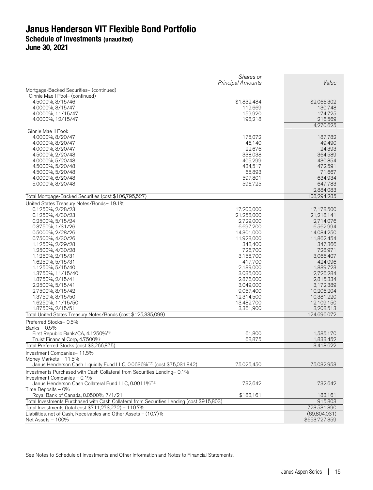**June 30, 2021** 

|                                                                                                                                                    | Shares or<br><b>Principal Amounts</b> | Value                    |
|----------------------------------------------------------------------------------------------------------------------------------------------------|---------------------------------------|--------------------------|
| Mortgage-Backed Securities- (continued)                                                                                                            |                                       |                          |
| Ginnie Mae I Pool- (continued)                                                                                                                     |                                       |                          |
| 4.5000%, 8/15/46                                                                                                                                   | \$1,832,484                           | \$2,066,302              |
| 4.0000%, 8/15/47                                                                                                                                   | 119,669                               | 130,748                  |
| 4.0000%, 11/15/47                                                                                                                                  | 159,920                               | 174,725                  |
| 4.0000%, 12/15/47                                                                                                                                  | 198,218                               | 216,569                  |
|                                                                                                                                                    |                                       | 4,270,625                |
| Ginnie Mae II Pool:                                                                                                                                |                                       |                          |
| 4.0000%, 8/20/47                                                                                                                                   | 175,072                               | 187,782                  |
| 4.0000%, 8/20/47                                                                                                                                   | 46,140                                | 49,490                   |
| 4.0000%, 8/20/47                                                                                                                                   | 22,676                                | 24,393                   |
| 4.5000%, 2/20/48                                                                                                                                   | 338,038                               | 364,589                  |
| 4.0000%, 5/20/48                                                                                                                                   | 405,299                               | 430,854                  |
| 4.5000%, 5/20/48                                                                                                                                   | 434,517                               | 472,591                  |
| 4.5000%, 5/20/48                                                                                                                                   | 65,893                                | 71,667                   |
| 4.0000%, 6/20/48                                                                                                                                   | 597,801                               | 634,934                  |
| 5.0000%, 8/20/48                                                                                                                                   | 596,725                               | 647,783                  |
| Total Mortgage-Backed Securities (cost \$106,795,527)                                                                                              |                                       | 2,884,083<br>108,294,285 |
| United States Treasury Notes/Bonds- 19.1%                                                                                                          |                                       |                          |
| 0.1250%, 2/28/23                                                                                                                                   | 17,200,000                            | 17,178,500               |
| 0.1250%, 4/30/23                                                                                                                                   | 21,258,000                            | 21,218,141               |
| 0.2500%, 5/15/24                                                                                                                                   | 2,729,000                             | 2,714,076                |
| 0.3750%, 1/31/26                                                                                                                                   | 6,697,200                             | 6,562,994                |
| 0.5000%, 2/28/26                                                                                                                                   | 14,301,000                            | 14,084,250               |
| 0.7500%, 4/30/26                                                                                                                                   | 11,923,000                            | 11,862,454               |
| 1.1250%, 2/29/28                                                                                                                                   | 348,400                               | 347,366                  |
| 1.2500%, 4/30/28                                                                                                                                   | 726,700                               | 728,971                  |
| 1.1250%, 2/15/31                                                                                                                                   | 3,158,700                             | 3,066,407                |
| 1.6250%, 5/15/31                                                                                                                                   | 417,700                               | 424,096                  |
| 1.1250%, 5/15/40                                                                                                                                   | 2,189,000                             | 1,889,723                |
|                                                                                                                                                    |                                       |                          |
| 1.3750%, 11/15/40                                                                                                                                  | 3,035,000                             | 2,726,284                |
| 1.8750%, 2/15/41                                                                                                                                   | 2,876,000                             | 2,815,334                |
| 2.2500%, 5/15/41                                                                                                                                   | 3,049,000                             | 3,172,389                |
| 2.7500%, 8/15/42                                                                                                                                   | 9,057,400                             | 10,206,204               |
| 1.3750%, 8/15/50                                                                                                                                   | 12,314,500                            | 10,381,220               |
| 1.6250%, 11/15/50                                                                                                                                  | 13,482,700                            | 12,109,150               |
| 1.8750%, 2/15/51<br>Total United States Treasury Notes/Bonds (cost \$125,335,099)                                                                  | 3,361,900                             | 3,208,513<br>124,696,072 |
| Preferred Stocks-0.5%                                                                                                                              |                                       |                          |
| Banks - 0.5%                                                                                                                                       |                                       |                          |
| First Republic Bank/CA, 4.1250%#,µ                                                                                                                 | 61,800                                | 1,585,170                |
| Truist Financial Corp, 4.7500%                                                                                                                     | 68,875                                | 1,833,452                |
| Total Preferred Stocks (cost \$3,266,875)                                                                                                          |                                       | 3,418,622                |
| Investment Companies-11.5%                                                                                                                         |                                       |                          |
| Money Markets - 11.5%                                                                                                                              |                                       |                          |
| Janus Henderson Cash Liquidity Fund LLC, 0.0636% <sup>®,£</sup> (cost \$75,031,842)                                                                | 75,025,450                            | 75,032,953               |
| Investments Purchased with Cash Collateral from Securities Lending- 0.1%                                                                           |                                       |                          |
| Investment Companies - 0.1%                                                                                                                        |                                       |                          |
| Janus Henderson Cash Collateral Fund LLC, 0.0011% <sup>®,£</sup>                                                                                   | 732,642                               | 732,642                  |
| Time Deposits - 0%                                                                                                                                 |                                       |                          |
| Royal Bank of Canada, 0.0500%, 7/1/21                                                                                                              | \$183,161                             | 183,161                  |
| Total Investments Purchased with Cash Collateral from Securities Lending (cost \$915,803)<br>Total Investments (total cost \$711,273,272) - 110.7% |                                       | 915,803<br>723,531,390   |
| Liabilities, net of Cash, Receivables and Other Assets - (10.7)%                                                                                   |                                       | (69,804,031)             |
| Net Assets - 100%                                                                                                                                  |                                       | \$653,727,359            |
|                                                                                                                                                    |                                       |                          |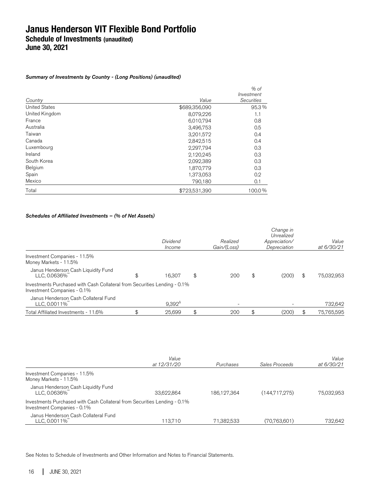Summary of Investments by Country - (Long Positions) (unaudited)

|                      |               | $%$ of            |
|----------------------|---------------|-------------------|
|                      |               | Investment        |
| Country              | Value         | <b>Securities</b> |
| <b>United States</b> | \$689,356,090 | 95.3%             |
| United Kingdom       | 8,079,226     | 1.1               |
| France               | 6,010,794     | 0.8               |
| Australia            | 3,496,753     | 0.5               |
| Taiwan               | 3,201,572     | 0.4               |
| Canada               | 2,842,515     | 0.4               |
| Luxembourg           | 2,297,794     | 0.3               |
| Ireland              | 2,120,245     | 0.3               |
| South Korea          | 2,092,389     | 0.3               |
| Belgium              | 1,870,779     | 0.3               |
| Spain                | 1,373,053     | 0.2               |
| Mexico               | 790,180       | 0.1               |
| Total                | \$723,531,390 | 100.0%            |

### Schedules of Affiliated Investments – (% of Net Assets)

|                                                                                                          | Dividend<br>Income | Realized<br>Gain/(Loss) | Change in<br>Unrealized<br>Appreciation/<br>Depreciation | Value<br>at 6/30/21 |
|----------------------------------------------------------------------------------------------------------|--------------------|-------------------------|----------------------------------------------------------|---------------------|
| Investment Companies - 11.5%<br>Money Markets - 11.5%                                                    |                    |                         |                                                          |                     |
| Janus Henderson Cash Liquidity Fund<br>LLC, 0.0636%                                                      | \$<br>16.307       | \$<br>200               | \$<br>(200)                                              | \$<br>75,032,953    |
| Investments Purchased with Cash Collateral from Securities Lending - 0.1%<br>Investment Companies - 0.1% |                    |                         |                                                          |                     |
| Janus Henderson Cash Collateral Fund<br>LLC, 0.0011%                                                     | $9,392^{\circ}$    |                         |                                                          | 732,642             |
| Total Affiliated Investments - 11.6%                                                                     | \$<br>25,699       | \$<br>200               | \$<br>(200)                                              | 75,765,595          |

|                                                                                                          | Value       |             |                | Value      |
|----------------------------------------------------------------------------------------------------------|-------------|-------------|----------------|------------|
|                                                                                                          | at 12/31/20 | Purchases   | Sales Proceeds | at 6/30/21 |
| Investment Companies - 11.5%<br>Money Markets - 11.5%                                                    |             |             |                |            |
| Janus Henderson Cash Liquidity Fund<br>LLC, 0.0636%                                                      | 33.622.864  | 186.127.364 | (144,717,275)  | 75.032.953 |
| Investments Purchased with Cash Collateral from Securities Lending - 0.1%<br>Investment Companies - 0.1% |             |             |                |            |
| Janus Henderson Cash Collateral Fund<br>LLC, 0.0011%                                                     | 113.710     | 71,382,533  | (70, 763, 601) | 732.642    |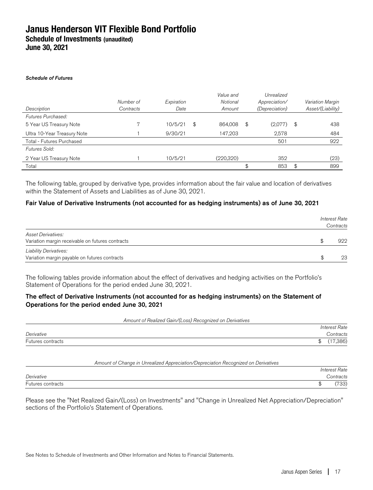#### Schedule of Futures

|                             |           |            | Value and     | Unrealized     |     |                   |
|-----------------------------|-----------|------------|---------------|----------------|-----|-------------------|
|                             | Number of | Expiration | Notional      | Appreciation/  |     | Variation Margin  |
| Description                 | Contracts | Date       | Amount        | (Depreciation) |     | Asset/(Liability) |
| Futures Purchased:          |           |            |               |                |     |                   |
| 5 Year US Treasury Note     |           | 10/5/21    | \$<br>864,008 | \$<br>(2,077)  | -\$ | 438               |
| Ultra 10-Year Treasury Note |           | 9/30/21    | 147,203       | 2,578          |     | 484               |
| Total - Futures Purchased   |           |            |               | 501            |     | 922               |
| Futures Sold:               |           |            |               |                |     |                   |
| 2 Year US Treasury Note     |           | 10/5/21    | (220,320)     | 352            |     | (23)              |
| Total                       |           |            |               | \$<br>853      | \$  | 899               |

The following table, grouped by derivative type, provides information about the fair value and location of derivatives within the Statement of Assets and Liabilities as of June 30, 2021.

#### Fair Value of Derivative Instruments (not accounted for as hedging instruments) as of June 30, 2021

|                                                                                | <b>Interest Rate</b><br>Contracts |  |  |  |
|--------------------------------------------------------------------------------|-----------------------------------|--|--|--|
| Asset Derivatives:<br>Variation margin receivable on futures contracts         | 922                               |  |  |  |
| <b>Liability Derivatives:</b><br>Variation margin payable on futures contracts | 23                                |  |  |  |

The following tables provide information about the effect of derivatives and hedging activities on the Portfolio's Statement of Operations for the period ended June 30, 2021.

#### The effect of Derivative Instruments (not accounted for as hedging instruments) on the Statement of Operations for the period ended June 30, 2021

Amount of Realized Gain/(Loss) Recognized on Derivatives

|                   |    | <b>Interest Rate</b> |
|-------------------|----|----------------------|
| Derivative        |    | `ontracts            |
| Futures contracts | ۰D | 7,386)               |

#### Amount of Change in Unrealized Appreciation/Depreciation Recognized on Derivatives

|                   |   | <b>Interest Rate</b> |
|-------------------|---|----------------------|
| Derivative        |   | `ontracts            |
| Futures contracts | w | (50)<br>ഄഄ           |

Please see the "Net Realized Gain/(Loss) on Investments" and "Change in Unrealized Net Appreciation/Depreciation" sections of the Portfolio's Statement of Operations.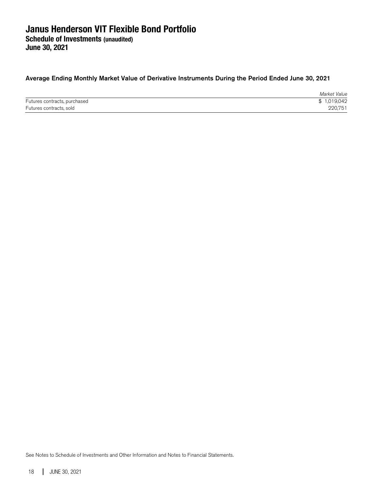Average Ending Monthly Market Value of Derivative Instruments During the Period Ended June 30, 2021

|                              | Market Value |
|------------------------------|--------------|
| Futures contracts, purchased | \$1,019,042  |
| Futures contracts, sold      | 220.751      |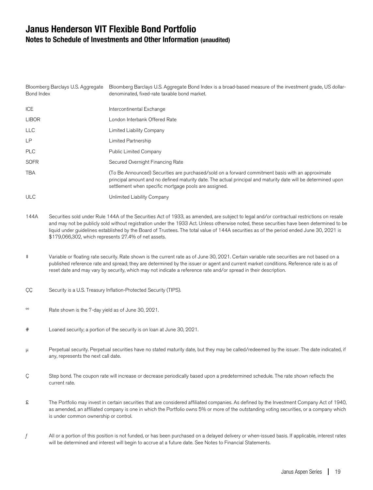## **Janus Henderson VIT Flexible Bond Portfolio Notes to Schedule of Investments and Other Information (unaudited)**

| Bloomberg Barclays U.S. Aggregate<br>Bond Index |                                                                                                                                                                                                                                                                                                                                                                                                           | Bloomberg Barclays U.S. Aggregate Bond Index is a broad-based measure of the investment grade, US dollar-<br>denominated, fixed-rate taxable bond market.                                                                                                                                                                                                                                                                                                                                  |  |  |  |
|-------------------------------------------------|-----------------------------------------------------------------------------------------------------------------------------------------------------------------------------------------------------------------------------------------------------------------------------------------------------------------------------------------------------------------------------------------------------------|--------------------------------------------------------------------------------------------------------------------------------------------------------------------------------------------------------------------------------------------------------------------------------------------------------------------------------------------------------------------------------------------------------------------------------------------------------------------------------------------|--|--|--|
| <b>ICE</b>                                      |                                                                                                                                                                                                                                                                                                                                                                                                           | Intercontinental Exchange                                                                                                                                                                                                                                                                                                                                                                                                                                                                  |  |  |  |
| <b>LIBOR</b>                                    |                                                                                                                                                                                                                                                                                                                                                                                                           | London Interbank Offered Rate                                                                                                                                                                                                                                                                                                                                                                                                                                                              |  |  |  |
| <b>LLC</b>                                      |                                                                                                                                                                                                                                                                                                                                                                                                           | Limited Liability Company                                                                                                                                                                                                                                                                                                                                                                                                                                                                  |  |  |  |
| LP                                              |                                                                                                                                                                                                                                                                                                                                                                                                           | Limited Partnership                                                                                                                                                                                                                                                                                                                                                                                                                                                                        |  |  |  |
| <b>PLC</b>                                      |                                                                                                                                                                                                                                                                                                                                                                                                           | Public Limited Company                                                                                                                                                                                                                                                                                                                                                                                                                                                                     |  |  |  |
| <b>SOFR</b>                                     |                                                                                                                                                                                                                                                                                                                                                                                                           | Secured Overnight Financing Rate                                                                                                                                                                                                                                                                                                                                                                                                                                                           |  |  |  |
| <b>TBA</b>                                      |                                                                                                                                                                                                                                                                                                                                                                                                           | (To Be Announced) Securities are purchased/sold on a forward commitment basis with an approximate<br>principal amount and no defined maturity date. The actual principal and maturity date will be determined upon<br>settlement when specific mortgage pools are assigned.                                                                                                                                                                                                                |  |  |  |
| <b>ULC</b>                                      |                                                                                                                                                                                                                                                                                                                                                                                                           | Unlimited Liability Company                                                                                                                                                                                                                                                                                                                                                                                                                                                                |  |  |  |
| 144A                                            |                                                                                                                                                                                                                                                                                                                                                                                                           | Securities sold under Rule 144A of the Securities Act of 1933, as amended, are subject to legal and/or contractual restrictions on resale<br>and may not be publicly sold without registration under the 1933 Act. Unless otherwise noted, these securities have been determined to be<br>liquid under guidelines established by the Board of Trustees. The total value of 144A securities as of the period ended June 30, 2021 is<br>\$179,066,302, which represents 27.4% of net assets. |  |  |  |
| $\ddagger$                                      | Variable or floating rate security. Rate shown is the current rate as of June 30, 2021. Certain variable rate securities are not based on a<br>published reference rate and spread; they are determined by the issuer or agent and current market conditions. Reference rate is as of<br>reset date and may vary by security, which may not indicate a reference rate and/or spread in their description. |                                                                                                                                                                                                                                                                                                                                                                                                                                                                                            |  |  |  |
| ÇÇ                                              | Security is a U.S. Treasury Inflation-Protected Security (TIPS).                                                                                                                                                                                                                                                                                                                                          |                                                                                                                                                                                                                                                                                                                                                                                                                                                                                            |  |  |  |
| $_{\mathsf{OO}}$                                | Rate shown is the 7-day yield as of June 30, 2021.                                                                                                                                                                                                                                                                                                                                                        |                                                                                                                                                                                                                                                                                                                                                                                                                                                                                            |  |  |  |
| $^{\#}$                                         |                                                                                                                                                                                                                                                                                                                                                                                                           | Loaned security; a portion of the security is on loan at June 30, 2021.                                                                                                                                                                                                                                                                                                                                                                                                                    |  |  |  |

- μ Perpetual security. Perpetual securities have no stated maturity date, but they may be called/redeemed by the issuer. The date indicated, if any, represents the next call date.
- Ç Step bond. The coupon rate will increase or decrease periodically based upon a predetermined schedule. The rate shown reflects the current rate.
- £ The Portfolio may invest in certain securities that are considered affiliated companies. As defined by the Investment Company Act of 1940, as amended, an affiliated company is one in which the Portfolio owns 5% or more of the outstanding voting securities, or a company which is under common ownership or control.
- $f$  All or a portion of this position is not funded, or has been purchased on a delayed delivery or when-issued basis. If applicable, interest rates will be determined and interest will begin to accrue at a future date. See Notes to Financial Statements.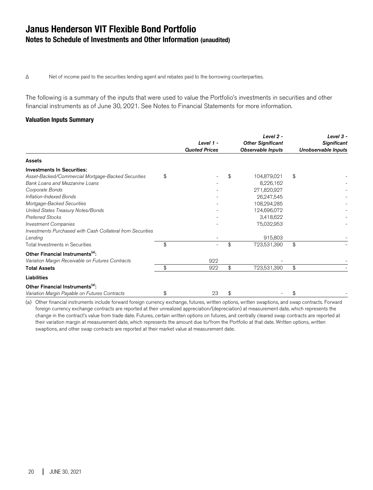Δ Net of income paid to the securities lending agent and rebates paid to the borrowing counterparties.

The following is a summary of the inputs that were used to value the Portfolio's investments in securities and other financial instruments as of June 30, 2021. See Notes to Financial Statements for more information.

#### **Valuation Inputs Summary**

|                                                            | Level 1 -<br><b>Quoted Prices</b> | Level 2 -<br><b>Other Significant</b><br>Observable Inputs | Level 3 -<br><b>Significant</b><br>Unobservable Inputs |
|------------------------------------------------------------|-----------------------------------|------------------------------------------------------------|--------------------------------------------------------|
| Assets                                                     |                                   |                                                            |                                                        |
| <b>Investments In Securities:</b>                          |                                   |                                                            |                                                        |
| Asset-Backed/Commercial Mortgage-Backed Securities         | \$                                | \$<br>104,879,021                                          | \$                                                     |
| Bank Loans and Mezzanine Loans                             |                                   | 8,226,162                                                  |                                                        |
| Corporate Bonds                                            |                                   | 271,820,927                                                |                                                        |
| Inflation-Indexed Bonds                                    |                                   | 26,247,545                                                 |                                                        |
| Mortgage-Backed Securities                                 |                                   | 108,294,285                                                |                                                        |
| United States Treasury Notes/Bonds                         |                                   | 124,696,072                                                |                                                        |
| <b>Preferred Stocks</b>                                    |                                   | 3,418,622                                                  |                                                        |
| <b>Investment Companies</b>                                |                                   | 75,032,953                                                 |                                                        |
| Investments Purchased with Cash Collateral from Securities |                                   |                                                            |                                                        |
| Lending                                                    |                                   | 915,803                                                    |                                                        |
| Total Investments in Securities                            | \$<br>$\equiv$                    | \$<br>723,531,390                                          | \$                                                     |
| Other Financial Instruments <sup>(a)</sup> :               |                                   |                                                            |                                                        |
| Variation Margin Receivable on Futures Contracts           | 922                               |                                                            |                                                        |
| <b>Total Assets</b>                                        | \$<br>922                         | \$<br>723,531,390                                          | \$                                                     |
| Liabilities                                                |                                   |                                                            |                                                        |
| Other Financial Instruments <sup>(a)</sup> :               |                                   |                                                            |                                                        |
| Variation Margin Payable on Futures Contracts              | \$<br>23                          | \$                                                         | \$                                                     |

(a) Other financial instruments include forward foreign currency exchange, futures, written options, written swaptions, and swap contracts. Forward foreign currency exchange contracts are reported at their unrealized appreciation/(depreciation) at measurement date, which represents the change in the contract's value from trade date. Futures, certain written options on futures, and centrally cleared swap contracts are reported at their variation margin at measurement date, which represents the amount due to/from the Portfolio at that date. Written options, written swaptions, and other swap contracts are reported at their market value at measurement date.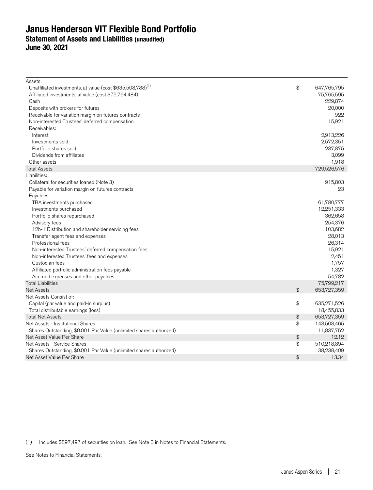## **Janus Henderson VIT Flexible Bond Portfolio Statement of Assets and Liabilities (unaudited) June 30, 2021**

| Assets:                                                                |                 |             |
|------------------------------------------------------------------------|-----------------|-------------|
| Unaffiliated investments, at value (cost \$635,508,788) <sup>(1)</sup> | \$              | 647,765,795 |
| Affiliated investments, at value (cost \$75,764,484)                   |                 | 75,765,595  |
| Cash                                                                   |                 | 229,874     |
| Deposits with brokers for futures                                      |                 | 20,000      |
| Receivable for variation margin on futures contracts                   |                 | 922         |
| Non-interested Trustees' deferred compensation                         |                 | 15,921      |
| Receivables:                                                           |                 |             |
| Interest                                                               |                 | 2,913,226   |
| Investments sold                                                       |                 | 2,572,351   |
| Portfolio shares sold                                                  |                 | 237,875     |
| Dividends from affiliates                                              |                 | 3,099       |
| Other assets                                                           |                 | 1,918       |
| <b>Total Assets</b>                                                    |                 | 729,526,576 |
| Liabilities:                                                           |                 |             |
| Collateral for securities loaned (Note 3)                              |                 | 915,803     |
| Payable for variation margin on futures contracts                      |                 | 23          |
| Payables:                                                              |                 |             |
| TBA investments purchased                                              |                 | 61,780,777  |
| Investments purchased                                                  |                 | 12,251,333  |
| Portfolio shares repurchased                                           |                 | 362,658     |
| Advisory fees                                                          |                 | 254,376     |
| 12b-1 Distribution and shareholder servicing fees                      |                 | 103,682     |
| Transfer agent fees and expenses                                       |                 | 28,013      |
| Professional fees                                                      |                 | 26,314      |
| Non-interested Trustees' deferred compensation fees                    |                 | 15,921      |
| Non-interested Trustees' fees and expenses                             |                 | 2,451       |
| Custodian fees                                                         |                 | 1,757       |
| Affiliated portfolio administration fees payable                       |                 | 1,327       |
| Accrued expenses and other payables                                    |                 | 54,782      |
| <b>Total Liabilities</b>                                               |                 | 75,799,217  |
| <b>Net Assets</b>                                                      | $\ddot{\theta}$ | 653,727,359 |
| Net Assets Consist of:                                                 |                 |             |
| Capital (par value and paid-in surplus)                                | \$              | 635,271,526 |
| Total distributable earnings (loss)                                    |                 | 18,455,833  |
| <b>Total Net Assets</b>                                                | \$              | 653,727,359 |
| Net Assets - Institutional Shares                                      | \$              | 143,508,465 |
| Shares Outstanding, \$0.001 Par Value (unlimited shares authorized)    |                 | 11,837,752  |
| Net Asset Value Per Share                                              | \$              | 12.12       |
| Net Assets - Service Shares                                            | \$              | 510,218,894 |
| Shares Outstanding, \$0.001 Par Value (unlimited shares authorized)    |                 | 38,238,409  |
| Net Asset Value Per Share                                              | \$              | 13.34       |

(1) Includes \$897,497 of securities on loan. See Note 3 in Notes to Financial Statements.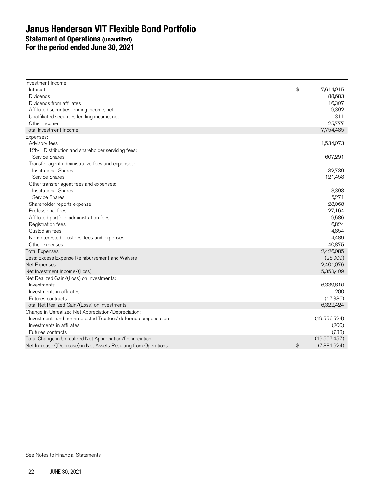## **Janus Henderson VIT Flexible Bond Portfolio Statement of Operations (unaudited) For the period ended June 30, 2021**

| Investment Income:                                              |                   |
|-----------------------------------------------------------------|-------------------|
| Interest                                                        | \$<br>7,614,015   |
| Dividends                                                       | 88,683            |
| Dividends from affiliates                                       | 16,307            |
| Affiliated securities lending income, net                       | 9,392             |
| Unaffiliated securities lending income, net                     | 311               |
| Other income                                                    | 25,777            |
| Total Investment Income                                         | 7,754,485         |
| Expenses:                                                       |                   |
| Advisory fees                                                   | 1,534,073         |
| 12b-1 Distribution and shareholder servicing fees:              |                   |
| Service Shares                                                  | 607,291           |
| Transfer agent administrative fees and expenses:                |                   |
| <b>Institutional Shares</b>                                     | 32,739            |
| Service Shares                                                  | 121,458           |
| Other transfer agent fees and expenses:                         |                   |
| <b>Institutional Shares</b>                                     | 3,393             |
| Service Shares                                                  | 5,271             |
| Shareholder reports expense                                     | 28,068            |
| Professional fees                                               | 27,164            |
| Affiliated portfolio administration fees                        | 9,586             |
| Registration fees                                               | 6,824             |
| Custodian fees                                                  | 4,854             |
| Non-interested Trustees' fees and expenses                      | 4,489             |
| Other expenses                                                  | 40,875            |
| <b>Total Expenses</b>                                           | 2,426,085         |
| Less: Excess Expense Reimbursement and Waivers                  | (25,009)          |
| Net Expenses                                                    | 2,401,076         |
| Net Investment Income/(Loss)                                    | 5,353,409         |
| Net Realized Gain/(Loss) on Investments:                        |                   |
| Investments                                                     | 6,339,610         |
| Investments in affiliates                                       | 200               |
| Futures contracts                                               | (17,386)          |
| Total Net Realized Gain/(Loss) on Investments                   | 6,322,424         |
| Change in Unrealized Net Appreciation/Depreciation:             |                   |
| Investments and non-interested Trustees' deferred compensation  | (19,556,524)      |
| Investments in affiliates                                       | (200)             |
| Futures contracts                                               | (733)             |
| Total Change in Unrealized Net Appreciation/Depreciation        | (19,557,457)      |
| Net Increase/(Decrease) in Net Assets Resulting from Operations | \$<br>(7,881,624) |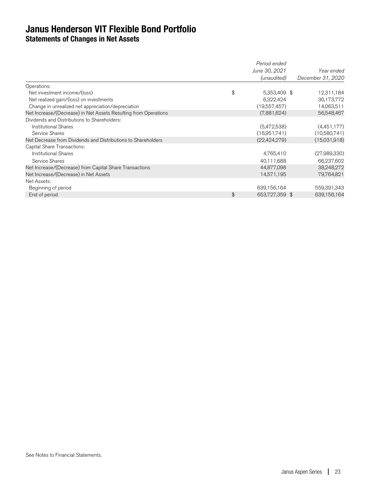## **Janus Henderson VIT Flexible Bond Portfolio Statements of Changes in Net Assets**

|                                                                 | Period ended         |                   |
|-----------------------------------------------------------------|----------------------|-------------------|
|                                                                 | June 30, 2021        | Year ended        |
|                                                                 | (unaudited)          | December 31, 2020 |
| Operations:                                                     |                      |                   |
| Net investment income/(loss)                                    | \$<br>5,353,409 \$   | 12,311,184        |
| Net realized gain/(loss) on investments                         | 6,322,424            | 30,173,772        |
| Change in unrealized net appreciation/depreciation              | (19,557,457)         | 14,063,511        |
| Net Increase/(Decrease) in Net Assets Resulting from Operations | (7,881,624)          | 56,548,467        |
| Dividends and Distributions to Shareholders:                    |                      |                   |
| <b>Institutional Shares</b>                                     | (5,472,538)          | (4,451,177)       |
| Service Shares                                                  | (16,951,741)         | (10,580,741)      |
| Net Decrease from Dividends and Distributions to Shareholders   | (22, 424, 279)       | (15,031,918)      |
| Capital Share Transactions:                                     |                      |                   |
| <b>Institutional Shares</b>                                     | 4,765,410            | (27,989,330)      |
| Service Shares                                                  | 40,111,688           | 66,237,602        |
| Net Increase/(Decrease) from Capital Share Transactions         | 44,877,098           | 38,248,272        |
| Net Increase/(Decrease) in Net Assets                           | 14,571,195           | 79,764,821        |
| Net Assets:                                                     |                      |                   |
| Beginning of period                                             | 639,156,164          | 559,391,343       |
| End of period                                                   | \$<br>653,727,359 \$ | 639,156,164       |
|                                                                 |                      |                   |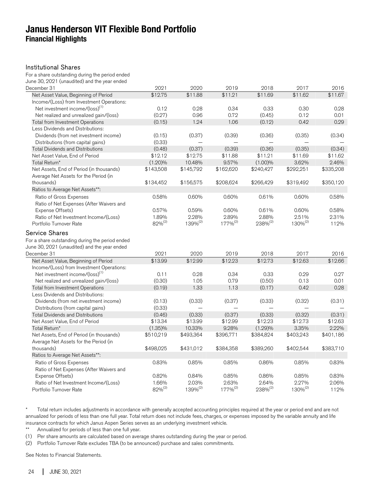## **Janus Henderson VIT Flexible Bond Portfolio Financial Highlights**

#### Institutional Shares

For a share outstanding during the period ended June 30, 2021 (unaudited) and the year ended

| December 31                                                                                     | 2021               | 2020                | 2019                | 2018                | 2017                | 2016      |
|-------------------------------------------------------------------------------------------------|--------------------|---------------------|---------------------|---------------------|---------------------|-----------|
| Net Asset Value, Beginning of Period                                                            | \$12.75            | \$11.88             | \$11.21             | \$11.69             | \$11.62             | \$11.67   |
| Income/(Loss) from Investment Operations:                                                       |                    |                     |                     |                     |                     |           |
| Net investment income/(loss) <sup>(1)</sup>                                                     | 0.12               | 0.28                | 0.34                | 0.33                | 0.30                | 0.28      |
| Net realized and unrealized gain/(loss)                                                         | (0.27)             | 0.96                | 0.72                | (0.45)              | 0.12                | 0.01      |
| Total from Investment Operations                                                                | (0.15)             | 1.24                | 1.06                | (0.12)              | 0.42                | 0.29      |
| Less Dividends and Distributions:                                                               |                    |                     |                     |                     |                     |           |
| Dividends (from net investment income)                                                          | (0.15)             | (0.37)              | (0.39)              | (0.36)              | (0.35)              | (0.34)    |
| Distributions (from capital gains)                                                              | (0.33)             |                     |                     |                     |                     |           |
| <b>Total Dividends and Distributions</b>                                                        | (0.48)             | (0.37)              | (0.39)              | (0.36)              | (0.35)              | (0.34)    |
| Net Asset Value, End of Period                                                                  | \$12.12            | \$12.75             | \$11.88             | \$11.21             | \$11.69             | \$11.62   |
| Total Return*                                                                                   | $(1.20)\%$         | 10.48%              | 9.57%               | (1.00)%             | 3.62%               | 2.46%     |
| Net Assets, End of Period (in thousands)                                                        | \$143,508          | \$145,792           | \$162,620           | \$240,427           | \$292,251           | \$335,208 |
| Average Net Assets for the Period (in                                                           |                    |                     |                     |                     |                     |           |
| thousands)                                                                                      | \$134,452          | \$156,575           | \$208,624           | \$266,429           | \$319,492           | \$350,120 |
| Ratios to Average Net Assets**:                                                                 |                    |                     |                     |                     |                     |           |
| Ratio of Gross Expenses                                                                         | 0.58%              | 0.60%               | 0.60%               | 0.61%               | 0.60%               | 0.58%     |
| Ratio of Net Expenses (After Waivers and                                                        |                    |                     |                     |                     |                     |           |
| Expense Offsets)                                                                                | 0.57%              | 0.59%               | 0.60%               | 0.61%               | 0.60%               | 0.58%     |
| Ratio of Net Investment Income/(Loss)                                                           | 1.89%              | 2.28%               | 2.89%               | 2.88%               | 2.51%               | 2.31%     |
| Portfolio Turnover Rate                                                                         | 82% <sup>(2)</sup> | 139% <sup>(2)</sup> | 177% <sup>(2)</sup> | 238% <sup>(2)</sup> | 130% <sup>(2)</sup> | 112%      |
| For a share outstanding during the period ended<br>June 30, 2021 (unaudited) and the year ended |                    |                     |                     |                     |                     |           |
| December 31                                                                                     | 2021               | 2020                | 2019                | 2018                | 2017                | 2016      |
| Net Asset Value, Beginning of Period                                                            | \$13.99            | \$12.99             | \$12.23             | \$12.73             | \$12.63             | \$12.66   |
| Income/(Loss) from Investment Operations:                                                       |                    |                     |                     |                     |                     |           |
| Net investment income/(loss) <sup>(1)</sup>                                                     | 0.11               | 0.28                | 0.34                | 0.33                | 0.29                | 0.27      |
| Net realized and unrealized gain/(loss)                                                         | (0.30)             | 1.05                | 0.79                | (0.50)              | 0.13                | 0.01      |
| <b>Total from Investment Operations</b>                                                         | (0.19)             | 1.33                | 1.13                | (0.17)              | 0.42                | 0.28      |
| Less Dividends and Distributions:                                                               |                    |                     |                     |                     |                     |           |
| Dividends (from net investment income)                                                          | (0.13)             | (0.33)              | (0.37)              | (0.33)              | (0.32)              | (0.31)    |
| Distributions (from capital gains)                                                              | (0.33)             |                     |                     |                     |                     |           |
| <b>Total Dividends and Distributions</b>                                                        | (0.46)             | (0.33)              | (0.37)              | (0.33)              | (0.32)              | (0.31)    |
| Net Asset Value, End of Period                                                                  | \$13.34            | \$13.99             | \$12.99             | \$12.23             | \$12.73             | \$12.63   |
| Total Return*                                                                                   | $(1.35)\%$         | 10.33%              | 9.28%               | (1.29)%             | 3.35%               | 2.22%     |
| Net Assets, End of Period (in thousands)                                                        | \$510,219          | \$493,364           | \$396,771           | \$384,824           | \$403,243           | \$401,186 |
| Average Net Assets for the Period (in                                                           |                    |                     |                     |                     |                     |           |
| thousands)                                                                                      | \$498,025          | \$431,012           | \$384,358           | \$389,260           | \$402,544           | \$383,710 |
| Ratios to Average Net Assets**:                                                                 |                    |                     |                     |                     |                     |           |
| Ratio of Gross Expenses                                                                         | 0.83%              | 0.85%               | 0.85%               | 0.86%               | 0.85%               | 0.83%     |
| Ratio of Net Expenses (After Waivers and                                                        |                    |                     |                     |                     |                     |           |
| Expense Offsets)                                                                                | 0.82%              | 0.84%               | 0.85%               | 0.86%               | 0.85%               | 0.83%     |
| Ratio of Net Investment Income/(Loss)                                                           | 1.66%              | 2.03%               | 2.63%               | 2.64%               | 2.27%               | 2.06%     |
| Portfolio Turnover Rate                                                                         | 82% <sup>(2)</sup> | 139% <sup>(2)</sup> | $177%^{(2)}$        | $238\%^{(2)}$       | 130% <sup>(2)</sup> | 112%      |

\* Total return includes adjustments in accordance with generally accepted accounting principles required at the year or period end and are not annualized for periods of less than one full year. Total return does not include fees, charges, or expenses imposed by the variable annuity and life insurance contracts for which Janus Aspen Series serves as an underlying investment vehicle.

\*\* Annualized for periods of less than one full year.

(1) Per share amounts are calculated based on average shares outstanding during the year or period.

(2) Portfolio Turnover Rate excludes TBA (to be announced) purchase and sales commitments.

See Notes to Financial Statements.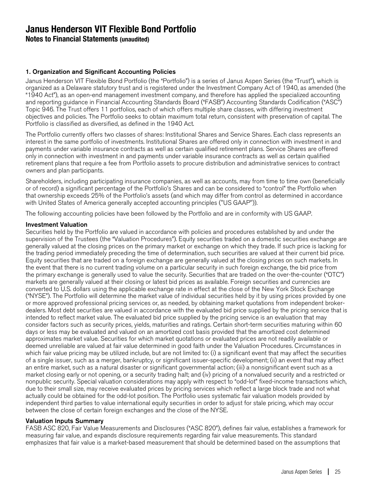**Notes to Financial Statements (unaudited)**

#### 1. Organization and Significant Accounting Policies

Janus Henderson VIT Flexible Bond Portfolio (the "Portfolio") is a series of Janus Aspen Series (the "Trust"), which is organized as a Delaware statutory trust and is registered under the Investment Company Act of 1940, as amended (the "1940 Act"), as an open-end management investment company, and therefore has applied the specialized accounting and reporting guidance in Financial Accounting Standards Board ("FASB") Accounting Standards Codification ("ASC") Topic 946. The Trust offers 11 portfolios, each of which offers multiple share classes, with differing investment objectives and policies. The Portfolio seeks to obtain maximum total return, consistent with preservation of capital. The Portfolio is classified as diversified, as defined in the 1940 Act.

The Portfolio currently offers two classes of shares: Institutional Shares and Service Shares. Each class represents an interest in the same portfolio of investments. Institutional Shares are offered only in connection with investment in and payments under variable insurance contracts as well as certain qualified retirement plans. Service Shares are offered only in connection with investment in and payments under variable insurance contracts as well as certain qualified retirement plans that require a fee from Portfolio assets to procure distribution and administrative services to contract owners and plan participants.

Shareholders, including participating insurance companies, as well as accounts, may from time to time own (beneficially or of record) a significant percentage of the Portfolio's Shares and can be considered to "control" the Portfolio when that ownership exceeds 25% of the Portfolio's assets (and which may differ from control as determined in accordance with United States of America generally accepted accounting principles ("US GAAP")).

The following accounting policies have been followed by the Portfolio and are in conformity with US GAAP.

#### Investment Valuation

Securities held by the Portfolio are valued in accordance with policies and procedures established by and under the supervision of the Trustees (the "Valuation Procedures"). Equity securities traded on a domestic securities exchange are generally valued at the closing prices on the primary market or exchange on which they trade. If such price is lacking for the trading period immediately preceding the time of determination, such securities are valued at their current bid price. Equity securities that are traded on a foreign exchange are generally valued at the closing prices on such markets. In the event that there is no current trading volume on a particular security in such foreign exchange, the bid price from the primary exchange is generally used to value the security. Securities that are traded on the over-the-counter ("OTC") markets are generally valued at their closing or latest bid prices as available. Foreign securities and currencies are converted to U.S. dollars using the applicable exchange rate in effect at the close of the New York Stock Exchange ("NYSE"). The Portfolio will determine the market value of individual securities held by it by using prices provided by one or more approved professional pricing services or, as needed, by obtaining market quotations from independent brokerdealers. Most debt securities are valued in accordance with the evaluated bid price supplied by the pricing service that is intended to reflect market value. The evaluated bid price supplied by the pricing service is an evaluation that may consider factors such as security prices, yields, maturities and ratings. Certain short-term securities maturing within 60 days or less may be evaluated and valued on an amortized cost basis provided that the amortized cost determined approximates market value. Securities for which market quotations or evaluated prices are not readily available or deemed unreliable are valued at fair value determined in good faith under the Valuation Procedures. Circumstances in which fair value pricing may be utilized include, but are not limited to: (i) a significant event that may affect the securities of a single issuer, such as a merger, bankruptcy, or significant issuer-specific development; (ii) an event that may affect an entire market, such as a natural disaster or significant governmental action; (iii) a nonsignificant event such as a market closing early or not opening, or a security trading halt; and (iv) pricing of a nonvalued security and a restricted or nonpublic security. Special valuation considerations may apply with respect to "odd-lot" fixed-income transactions which, due to their small size, may receive evaluated prices by pricing services which reflect a large block trade and not what actually could be obtained for the odd-lot position. The Portfolio uses systematic fair valuation models provided by independent third parties to value international equity securities in order to adjust for stale pricing, which may occur between the close of certain foreign exchanges and the close of the NYSE.

#### Valuation Inputs Summary

FASB ASC 820, Fair Value Measurements and Disclosures ("ASC 820"), defines fair value, establishes a framework for measuring fair value, and expands disclosure requirements regarding fair value measurements. This standard emphasizes that fair value is a market-based measurement that should be determined based on the assumptions that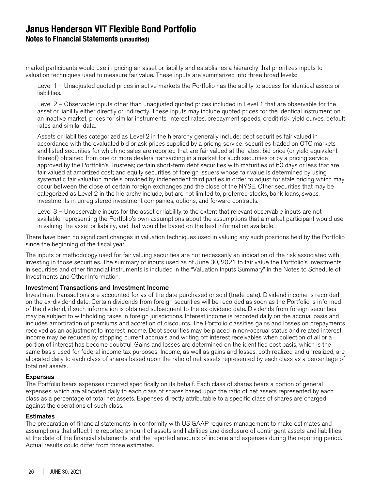## **Janus Henderson VIT Flexible Bond Portfolio Notes to Financial Statements (unaudited)**

market participants would use in pricing an asset or liability and establishes a hierarchy that prioritizes inputs to valuation techniques used to measure fair value. These inputs are summarized into three broad levels:

Level 1 – Unadjusted quoted prices in active markets the Portfolio has the ability to access for identical assets or liabilities.

Level 2 – Observable inputs other than unadjusted quoted prices included in Level 1 that are observable for the asset or liability either directly or indirectly. These inputs may include quoted prices for the identical instrument on an inactive market, prices for similar instruments, interest rates, prepayment speeds, credit risk, yield curves, default rates and similar data.

Assets or liabilities categorized as Level 2 in the hierarchy generally include: debt securities fair valued in accordance with the evaluated bid or ask prices supplied by a pricing service; securities traded on OTC markets and listed securities for which no sales are reported that are fair valued at the latest bid price (or yield equivalent thereof) obtained from one or more dealers transacting in a market for such securities or by a pricing service approved by the Portfolio's Trustees; certain short-term debt securities with maturities of 60 days or less that are fair valued at amortized cost; and equity securities of foreign issuers whose fair value is determined by using systematic fair valuation models provided by independent third parties in order to adjust for stale pricing which may occur between the close of certain foreign exchanges and the close of the NYSE. Other securities that may be categorized as Level 2 in the hierarchy include, but are not limited to, preferred stocks, bank loans, swaps, investments in unregistered investment companies, options, and forward contracts.

Level 3 – Unobservable inputs for the asset or liability to the extent that relevant observable inputs are not available, representing the Portfolio's own assumptions about the assumptions that a market participant would use in valuing the asset or liability, and that would be based on the best information available.

There have been no significant changes in valuation techniques used in valuing any such positions held by the Portfolio since the beginning of the fiscal year.

The inputs or methodology used for fair valuing securities are not necessarily an indication of the risk associated with investing in those securities. The summary of inputs used as of June 30, 2021 to fair value the Portfolio's investments in securities and other financial instruments is included in the "Valuation Inputs Summary" in the Notes to Schedule of Investments and Other Information.

#### Investment Transactions and Investment Income

Investment transactions are accounted for as of the date purchased or sold (trade date). Dividend income is recorded on the ex-dividend date. Certain dividends from foreign securities will be recorded as soon as the Portfolio is informed of the dividend, if such information is obtained subsequent to the ex-dividend date. Dividends from foreign securities may be subject to withholding taxes in foreign jurisdictions. Interest income is recorded daily on the accrual basis and includes amortization of premiums and accretion of discounts. The Portfolio classifies gains and losses on prepayments received as an adjustment to interest income. Debt securities may be placed in non-accrual status and related interest income may be reduced by stopping current accruals and writing off interest receivables when collection of all or a portion of interest has become doubtful. Gains and losses are determined on the identified cost basis, which is the same basis used for federal income tax purposes. Income, as well as gains and losses, both realized and unrealized, are allocated daily to each class of shares based upon the ratio of net assets represented by each class as a percentage of total net assets.

#### Expenses

The Portfolio bears expenses incurred specifically on its behalf. Each class of shares bears a portion of general expenses, which are allocated daily to each class of shares based upon the ratio of net assets represented by each class as a percentage of total net assets. Expenses directly attributable to a specific class of shares are charged against the operations of such class.

#### **Estimates**

The preparation of financial statements in conformity with US GAAP requires management to make estimates and assumptions that affect the reported amount of assets and liabilities and disclosure of contingent assets and liabilities at the date of the financial statements, and the reported amounts of income and expenses during the reporting period. Actual results could differ from those estimates.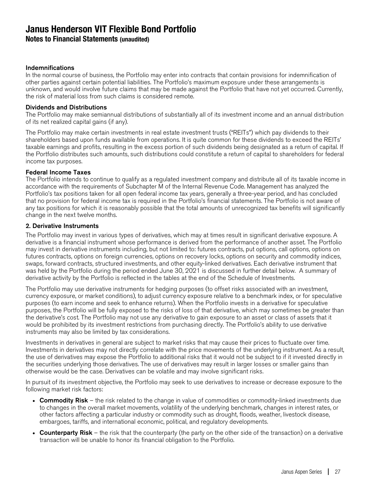**Notes to Financial Statements (unaudited)**

#### Indemnifications

In the normal course of business, the Portfolio may enter into contracts that contain provisions for indemnification of other parties against certain potential liabilities. The Portfolio's maximum exposure under these arrangements is unknown, and would involve future claims that may be made against the Portfolio that have not yet occurred. Currently, the risk of material loss from such claims is considered remote.

#### Dividends and Distributions

The Portfolio may make semiannual distributions of substantially all of its investment income and an annual distribution of its net realized capital gains (if any).

The Portfolio may make certain investments in real estate investment trusts ("REITs") which pay dividends to their shareholders based upon funds available from operations. It is quite common for these dividends to exceed the REITs' taxable earnings and profits, resulting in the excess portion of such dividends being designated as a return of capital. If the Portfolio distributes such amounts, such distributions could constitute a return of capital to shareholders for federal income tax purposes.

#### Federal Income Taxes

The Portfolio intends to continue to qualify as a regulated investment company and distribute all of its taxable income in accordance with the requirements of Subchapter M of the Internal Revenue Code. Management has analyzed the Portfolio's tax positions taken for all open federal income tax years, generally a three-year period, and has concluded that no provision for federal income tax is required in the Portfolio's financial statements. The Portfolio is not aware of any tax positions for which it is reasonably possible that the total amounts of unrecognized tax benefits will significantly change in the next twelve months.

#### 2. Derivative Instruments

The Portfolio may invest in various types of derivatives, which may at times result in significant derivative exposure. A derivative is a financial instrument whose performance is derived from the performance of another asset. The Portfolio may invest in derivative instruments including, but not limited to: futures contracts, put options, call options, options on futures contracts, options on foreign currencies, options on recovery locks, options on security and commodity indices, swaps, forward contracts, structured investments, and other equity-linked derivatives. Each derivative instrument that was held by the Portfolio during the period ended June 30, 2021 is discussed in further detail below. A summary of derivative activity by the Portfolio is reflected in the tables at the end of the Schedule of Investments.

The Portfolio may use derivative instruments for hedging purposes (to offset risks associated with an investment, currency exposure, or market conditions), to adjust currency exposure relative to a benchmark index, or for speculative purposes (to earn income and seek to enhance returns). When the Portfolio invests in a derivative for speculative purposes, the Portfolio will be fully exposed to the risks of loss of that derivative, which may sometimes be greater than the derivative's cost. The Portfolio may not use any derivative to gain exposure to an asset or class of assets that it would be prohibited by its investment restrictions from purchasing directly. The Portfolio's ability to use derivative instruments may also be limited by tax considerations.

Investments in derivatives in general are subject to market risks that may cause their prices to fluctuate over time. Investments in derivatives may not directly correlate with the price movements of the underlying instrument. As a result, the use of derivatives may expose the Portfolio to additional risks that it would not be subject to if it invested directly in the securities underlying those derivatives. The use of derivatives may result in larger losses or smaller gains than otherwise would be the case. Derivatives can be volatile and may involve significant risks.

In pursuit of its investment objective, the Portfolio may seek to use derivatives to increase or decrease exposure to the following market risk factors:

- Commodity Risk the risk related to the change in value of commodities or commodity-linked investments due to changes in the overall market movements, volatility of the underlying benchmark, changes in interest rates, or other factors affecting a particular industry or commodity such as drought, floods, weather, livestock disease, embargoes, tariffs, and international economic, political, and regulatory developments.
- Counterparty Risk the risk that the counterparty (the party on the other side of the transaction) on a derivative transaction will be unable to honor its financial obligation to the Portfolio.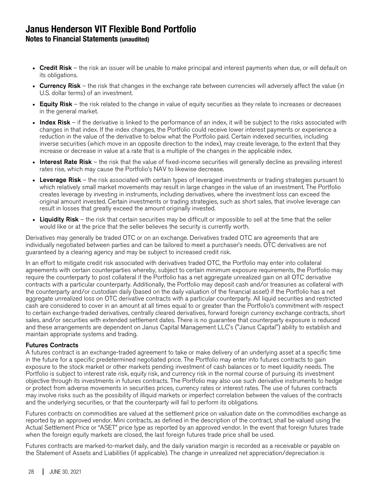**Notes to Financial Statements (unaudited)**

- Credit Risk the risk an issuer will be unable to make principal and interest payments when due, or will default on its obligations.
- Currency Risk the risk that changes in the exchange rate between currencies will adversely affect the value (in U.S. dollar terms) of an investment.
- Equity Risk the risk related to the change in value of equity securities as they relate to increases or decreases in the general market.
- Index Risk if the derivative is linked to the performance of an index, it will be subject to the risks associated with changes in that index. If the index changes, the Portfolio could receive lower interest payments or experience a reduction in the value of the derivative to below what the Portfolio paid. Certain indexed securities, including inverse securities (which move in an opposite direction to the index), may create leverage, to the extent that they increase or decrease in value at a rate that is a multiple of the changes in the applicable index.
- Interest Rate Risk the risk that the value of fixed-income securities will generally decline as prevailing interest rates rise, which may cause the Portfolio's NAV to likewise decrease.
- Leverage Risk the risk associated with certain types of leveraged investments or trading strategies pursuant to which relatively small market movements may result in large changes in the value of an investment. The Portfolio creates leverage by investing in instruments, including derivatives, where the investment loss can exceed the original amount invested. Certain investments or trading strategies, such as short sales, that involve leverage can result in losses that greatly exceed the amount originally invested.
- Liquidity Risk the risk that certain securities may be difficult or impossible to sell at the time that the seller would like or at the price that the seller believes the security is currently worth.

Derivatives may generally be traded OTC or on an exchange. Derivatives traded OTC are agreements that are individually negotiated between parties and can be tailored to meet a purchaser's needs. OTC derivatives are not guaranteed by a clearing agency and may be subject to increased credit risk.

In an effort to mitigate credit risk associated with derivatives traded OTC, the Portfolio may enter into collateral agreements with certain counterparties whereby, subject to certain minimum exposure requirements, the Portfolio may require the counterparty to post collateral if the Portfolio has a net aggregate unrealized gain on all OTC derivative contracts with a particular counterparty. Additionally, the Portfolio may deposit cash and/or treasuries as collateral with the counterparty and/or custodian daily (based on the daily valuation of the financial asset) if the Portfolio has a net aggregate unrealized loss on OTC derivative contracts with a particular counterparty. All liquid securities and restricted cash are considered to cover in an amount at all times equal to or greater than the Portfolio's commitment with respect to certain exchange-traded derivatives, centrally cleared derivatives, forward foreign currency exchange contracts, short sales, and/or securities with extended settlement dates. There is no guarantee that counterparty exposure is reduced and these arrangements are dependent on Janus Capital Management LLC's ("Janus Capital") ability to establish and maintain appropriate systems and trading.

#### Futures Contracts

A futures contract is an exchange-traded agreement to take or make delivery of an underlying asset at a specific time in the future for a specific predetermined negotiated price. The Portfolio may enter into futures contracts to gain exposure to the stock market or other markets pending investment of cash balances or to meet liquidity needs. The Portfolio is subject to interest rate risk, equity risk, and currency risk in the normal course of pursuing its investment objective through its investments in futures contracts. The Portfolio may also use such derivative instruments to hedge or protect from adverse movements in securities prices, currency rates or interest rates. The use of futures contracts may involve risks such as the possibility of illiquid markets or imperfect correlation between the values of the contracts and the underlying securities, or that the counterparty will fail to perform its obligations.

Futures contracts on commodities are valued at the settlement price on valuation date on the commodities exchange as reported by an approved vendor. Mini contracts, as defined in the description of the contract, shall be valued using the Actual Settlement Price or "ASET" price type as reported by an approved vendor. In the event that foreign futures trade when the foreign equity markets are closed, the last foreign futures trade price shall be used.

Futures contracts are marked-to-market daily, and the daily variation margin is recorded as a receivable or payable on the Statement of Assets and Liabilities (if applicable). The change in unrealized net appreciation/depreciation is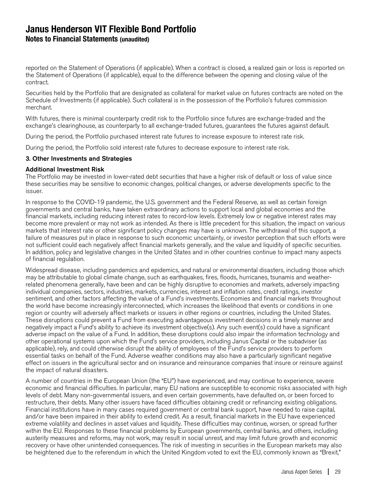**Notes to Financial Statements (unaudited)**

reported on the Statement of Operations (if applicable). When a contract is closed, a realized gain or loss is reported on the Statement of Operations (if applicable), equal to the difference between the opening and closing value of the contract.

Securities held by the Portfolio that are designated as collateral for market value on futures contracts are noted on the Schedule of Investments (if applicable). Such collateral is in the possession of the Portfolio's futures commission merchant.

With futures, there is minimal counterparty credit risk to the Portfolio since futures are exchange-traded and the exchange's clearinghouse, as counterparty to all exchange-traded futures, guarantees the futures against default.

During the period, the Portfolio purchased interest rate futures to increase exposure to interest rate risk.

During the period, the Portfolio sold interest rate futures to decrease exposure to interest rate risk.

#### 3. Other Investments and Strategies

#### Additional Investment Risk

The Portfolio may be invested in lower-rated debt securities that have a higher risk of default or loss of value since these securities may be sensitive to economic changes, political changes, or adverse developments specific to the issuer.

In response to the COVID-19 pandemic, the U.S. government and the Federal Reserve, as well as certain foreign governments and central banks, have taken extraordinary actions to support local and global economies and the financial markets, including reducing interest rates to record-low levels. Extremely low or negative interest rates may become more prevalent or may not work as intended. As there is little precedent for this situation, the impact on various markets that interest rate or other significant policy changes may have is unknown. The withdrawal of this support, a failure of measures put in place in response to such economic uncertainty, or investor perception that such efforts were not sufficient could each negatively affect financial markets generally, and the value and liquidity of specific securities. In addition, policy and legislative changes in the United States and in other countries continue to impact many aspects of financial regulation.

Widespread disease, including pandemics and epidemics, and natural or environmental disasters, including those which may be attributable to global climate change, such as earthquakes, fires, floods, hurricanes, tsunamis and weatherrelated phenomena generally, have been and can be highly disruptive to economies and markets, adversely impacting individual companies, sectors, industries, markets, currencies, interest and inflation rates, credit ratings, investor sentiment, and other factors affecting the value of a Fund's investments. Economies and financial markets throughout the world have become increasingly interconnected, which increases the likelihood that events or conditions in one region or country will adversely affect markets or issuers in other regions or countries, including the United States. These disruptions could prevent a Fund from executing advantageous investment decisions in a timely manner and negatively impact a Fund's ability to achieve its investment objective(s). Any such event(s) could have a significant adverse impact on the value of a Fund. In addition, these disruptions could also impair the information technology and other operational systems upon which the Fund's service providers, including Janus Capital or the subadviser (as applicable), rely, and could otherwise disrupt the ability of employees of the Fund's service providers to perform essential tasks on behalf of the Fund. Adverse weather conditions may also have a particularly significant negative effect on issuers in the agricultural sector and on insurance and reinsurance companies that insure or reinsure against the impact of natural disasters.

A number of countries in the European Union (the "EU") have experienced, and may continue to experience, severe economic and financial difficulties. In particular, many EU nations are susceptible to economic risks associated with high levels of debt. Many non-governmental issuers, and even certain governments, have defaulted on, or been forced to restructure, their debts. Many other issuers have faced difficulties obtaining credit or refinancing existing obligations. Financial institutions have in many cases required government or central bank support, have needed to raise capital, and/or have been impaired in their ability to extend credit. As a result, financial markets in the EU have experienced extreme volatility and declines in asset values and liquidity. These difficulties may continue, worsen, or spread further within the EU. Responses to these financial problems by European governments, central banks, and others, including austerity measures and reforms, may not work, may result in social unrest, and may limit future growth and economic recovery or have other unintended consequences. The risk of investing in securities in the European markets may also be heightened due to the referendum in which the United Kingdom voted to exit the EU, commonly known as "Brexit,"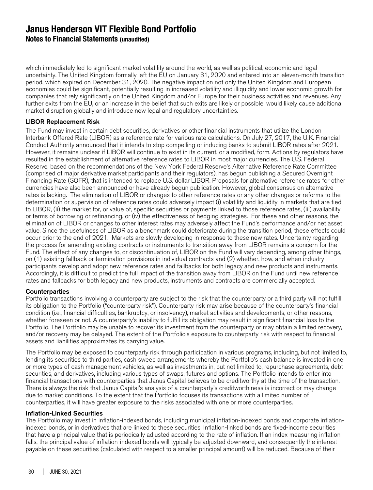**Notes to Financial Statements (unaudited)**

which immediately led to significant market volatility around the world, as well as political, economic and legal uncertainty. The United Kingdom formally left the EU on January 31, 2020 and entered into an eleven-month transition period, which expired on December 31, 2020. The negative impact on not only the United Kingdom and European economies could be significant, potentially resulting in increased volatility and illiquidity and lower economic growth for companies that rely significantly on the United Kingdom and/or Europe for their business activities and revenues. Any further exits from the EU, or an increase in the belief that such exits are likely or possible, would likely cause additional market disruption globally and introduce new legal and regulatory uncertainties.

#### LIBOR Replacement Risk

The Fund may invest in certain debt securities, derivatives or other financial instruments that utilize the London Interbank Offered Rate (LIBOR) as a reference rate for various rate calculations. On July 27, 2017, the U.K. Financial Conduct Authority announced that it intends to stop compelling or inducing banks to submit LIBOR rates after 2021. However, it remains unclear if LIBOR will continue to exist in its current, or a modified, form. Actions by regulators have resulted in the establishment of alternative reference rates to LIBOR in most major currencies. The U.S. Federal Reserve, based on the recommendations of the New York Federal Reserve's Alternative Reference Rate Committee (comprised of major derivative market participants and their regulators), has begun publishing a Secured Overnight Financing Rate (SOFR), that is intended to replace U.S. dollar LIBOR. Proposals for alternative reference rates for other currencies have also been announced or have already begun publication. However, global consensus on alternative rates is lacking. The elimination of LIBOR or changes to other reference rates or any other changes or reforms to the determination or supervision of reference rates could adversely impact (i) volatility and liquidity in markets that are tied to LIBOR, (ii) the market for, or value of, specific securities or payments linked to those reference rates, (iii) availability or terms of borrowing or refinancing, or (iv) the effectiveness of hedging strategies. For these and other reasons, the elimination of LIBOR or changes to other interest rates may adversely affect the Fund's performance and/or net asset value. Since the usefulness of LIBOR as a benchmark could deteriorate during the transition period, these effects could occur prior to the end of 2021. Markets are slowly developing in response to these new rates. Uncertainty regarding the process for amending existing contracts or instruments to transition away from LIBOR remains a concern for the Fund. The effect of any changes to, or discontinuation of, LIBOR on the Fund will vary depending, among other things, on (1) existing fallback or termination provisions in individual contracts and (2) whether, how, and when industry participants develop and adopt new reference rates and fallbacks for both legacy and new products and instruments. Accordingly, it is difficult to predict the full impact of the transition away from LIBOR on the Fund until new reference rates and fallbacks for both legacy and new products, instruments and contracts are commercially accepted.

#### **Counterparties**

Portfolio transactions involving a counterparty are subject to the risk that the counterparty or a third party will not fulfill its obligation to the Portfolio ("counterparty risk"). Counterparty risk may arise because of the counterparty's financial condition (i.e., financial difficulties, bankruptcy, or insolvency), market activities and developments, or other reasons, whether foreseen or not. A counterparty's inability to fulfill its obligation may result in significant financial loss to the Portfolio. The Portfolio may be unable to recover its investment from the counterparty or may obtain a limited recovery, and/or recovery may be delayed. The extent of the Portfolio's exposure to counterparty risk with respect to financial assets and liabilities approximates its carrying value.

The Portfolio may be exposed to counterparty risk through participation in various programs, including, but not limited to, lending its securities to third parties, cash sweep arrangements whereby the Portfolio's cash balance is invested in one or more types of cash management vehicles, as well as investments in, but not limited to, repurchase agreements, debt securities, and derivatives, including various types of swaps, futures and options. The Portfolio intends to enter into financial transactions with counterparties that Janus Capital believes to be creditworthy at the time of the transaction. There is always the risk that Janus Capital's analysis of a counterparty's creditworthiness is incorrect or may change due to market conditions. To the extent that the Portfolio focuses its transactions with a limited number of counterparties, it will have greater exposure to the risks associated with one or more counterparties.

#### Inflation-Linked Securities

The Portfolio may invest in inflation-indexed bonds, including municipal inflation-indexed bonds and corporate inflationindexed bonds, or in derivatives that are linked to these securities. Inflation-linked bonds are fixed-income securities that have a principal value that is periodically adjusted according to the rate of inflation. If an index measuring inflation falls, the principal value of inflation-indexed bonds will typically be adjusted downward, and consequently the interest payable on these securities (calculated with respect to a smaller principal amount) will be reduced. Because of their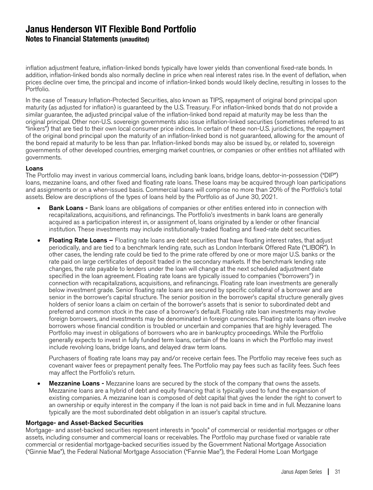**Notes to Financial Statements (unaudited)**

inflation adjustment feature, inflation-linked bonds typically have lower yields than conventional fixed-rate bonds. In addition, inflation-linked bonds also normally decline in price when real interest rates rise. In the event of deflation, when prices decline over time, the principal and income of inflation-linked bonds would likely decline, resulting in losses to the Portfolio.

In the case of Treasury Inflation-Protected Securities, also known as TIPS, repayment of original bond principal upon maturity (as adjusted for inflation) is guaranteed by the U.S. Treasury. For inflation-linked bonds that do not provide a similar guarantee, the adjusted principal value of the inflation-linked bond repaid at maturity may be less than the original principal. Other non-U.S. sovereign governments also issue inflation-linked securities (sometimes referred to as "linkers") that are tied to their own local consumer price indices. In certain of these non-U.S. jurisdictions, the repayment of the original bond principal upon the maturity of an inflation-linked bond is not guaranteed, allowing for the amount of the bond repaid at maturity to be less than par. Inflation-linked bonds may also be issued by, or related to, sovereign governments of other developed countries, emerging market countries, or companies or other entities not affiliated with governments.

#### Loans

The Portfolio may invest in various commercial loans, including bank loans, bridge loans, debtor-in-possession ("DIP") loans, mezzanine loans, and other fixed and floating rate loans. These loans may be acquired through loan participations and assignments or on a when-issued basis. Commercial loans will comprise no more than 20% of the Portfolio's total assets. Below are descriptions of the types of loans held by the Portfolio as of June 30, 2021.

- **Bank Loans -** Bank loans are obligations of companies or other entities entered into in connection with recapitalizations, acquisitions, and refinancings. The Portfolio's investments in bank loans are generally acquired as a participation interest in, or assignment of, loans originated by a lender or other financial institution. These investments may include institutionally-traded floating and fixed-rate debt securities.
- Floating Rate Loans Floating rate loans are debt securities that have floating interest rates, that adjust periodically, and are tied to a benchmark lending rate, such as London Interbank Offered Rate ("LIBOR"). In other cases, the lending rate could be tied to the prime rate offered by one or more major U.S. banks or the rate paid on large certificates of deposit traded in the secondary markets. If the benchmark lending rate changes, the rate payable to lenders under the loan will change at the next scheduled adjustment date specified in the loan agreement. Floating rate loans are typically issued to companies ("borrowers") in connection with recapitalizations, acquisitions, and refinancings. Floating rate loan investments are generally below investment grade. Senior floating rate loans are secured by specific collateral of a borrower and are senior in the borrower's capital structure. The senior position in the borrower's capital structure generally gives holders of senior loans a claim on certain of the borrower's assets that is senior to subordinated debt and preferred and common stock in the case of a borrower's default. Floating rate loan investments may involve foreign borrowers, and investments may be denominated in foreign currencies. Floating rate loans often involve borrowers whose financial condition is troubled or uncertain and companies that are highly leveraged. The Portfolio may invest in obligations of borrowers who are in bankruptcy proceedings. While the Portfolio generally expects to invest in fully funded term loans, certain of the loans in which the Portfolio may invest include revolving loans, bridge loans, and delayed draw term loans.

Purchasers of floating rate loans may pay and/or receive certain fees. The Portfolio may receive fees such as covenant waiver fees or prepayment penalty fees. The Portfolio may pay fees such as facility fees. Such fees may affect the Portfolio's return.

• Mezzanine Loans - Mezzanine loans are secured by the stock of the company that owns the assets. Mezzanine loans are a hybrid of debt and equity financing that is typically used to fund the expansion of existing companies. A mezzanine loan is composed of debt capital that gives the lender the right to convert to an ownership or equity interest in the company if the loan is not paid back in time and in full. Mezzanine loans typically are the most subordinated debt obligation in an issuer's capital structure.

#### Mortgage- and Asset-Backed Securities

Mortgage- and asset-backed securities represent interests in "pools" of commercial or residential mortgages or other assets, including consumer and commercial loans or receivables. The Portfolio may purchase fixed or variable rate commercial or residential mortgage-backed securities issued by the Government National Mortgage Association ("Ginnie Mae"), the Federal National Mortgage Association ("Fannie Mae"), the Federal Home Loan Mortgage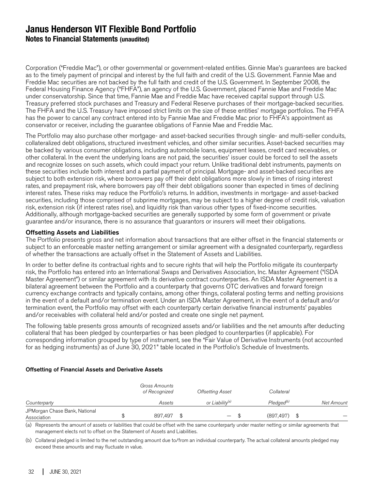## **Janus Henderson VIT Flexible Bond Portfolio Notes to Financial Statements (unaudited)**

Corporation ("Freddie Mac"), or other governmental or government-related entities. Ginnie Mae's guarantees are backed as to the timely payment of principal and interest by the full faith and credit of the U.S. Government. Fannie Mae and Freddie Mac securities are not backed by the full faith and credit of the U.S. Government. In September 2008, the Federal Housing Finance Agency ("FHFA"), an agency of the U.S. Government, placed Fannie Mae and Freddie Mac under conservatorship. Since that time, Fannie Mae and Freddie Mac have received capital support through U.S. Treasury preferred stock purchases and Treasury and Federal Reserve purchases of their mortgage-backed securities. The FHFA and the U.S. Treasury have imposed strict limits on the size of these entities' mortgage portfolios. The FHFA has the power to cancel any contract entered into by Fannie Mae and Freddie Mac prior to FHFA's appointment as conservator or receiver, including the guarantee obligations of Fannie Mae and Freddie Mac.

The Portfolio may also purchase other mortgage- and asset-backed securities through single- and multi-seller conduits, collateralized debt obligations, structured investment vehicles, and other similar securities. Asset-backed securities may be backed by various consumer obligations, including automobile loans, equipment leases, credit card receivables, or other collateral. In the event the underlying loans are not paid, the securities' issuer could be forced to sell the assets and recognize losses on such assets, which could impact your return. Unlike traditional debt instruments, payments on these securities include both interest and a partial payment of principal. Mortgage- and asset-backed securities are subject to both extension risk, where borrowers pay off their debt obligations more slowly in times of rising interest rates, and prepayment risk, where borrowers pay off their debt obligations sooner than expected in times of declining interest rates. These risks may reduce the Portfolio's returns. In addition, investments in mortgage- and asset-backed securities, including those comprised of subprime mortgages, may be subject to a higher degree of credit risk, valuation risk, extension risk (if interest rates rise), and liquidity risk than various other types of fixed-income securities. Additionally, although mortgage-backed securities are generally supported by some form of government or private guarantee and/or insurance, there is no assurance that guarantors or insurers will meet their obligations.

#### Offsetting Assets and Liabilities

The Portfolio presents gross and net information about transactions that are either offset in the financial statements or subject to an enforceable master netting arrangement or similar agreement with a designated counterparty, regardless of whether the transactions are actually offset in the Statement of Assets and Liabilities.

In order to better define its contractual rights and to secure rights that will help the Portfolio mitigate its counterparty risk, the Portfolio has entered into an International Swaps and Derivatives Association, Inc. Master Agreement ("ISDA Master Agreement") or similar agreement with its derivative contract counterparties. An ISDA Master Agreement is a bilateral agreement between the Portfolio and a counterparty that governs OTC derivatives and forward foreign currency exchange contracts and typically contains, among other things, collateral posting terms and netting provisions in the event of a default and/or termination event. Under an ISDA Master Agreement, in the event of a default and/or termination event, the Portfolio may offset with each counterparty certain derivative financial instruments' payables and/or receivables with collateral held and/or posted and create one single net payment.

The following table presents gross amounts of recognized assets and/or liabilities and the net amounts after deducting collateral that has been pledged by counterparties or has been pledged to counterparties (if applicable). For corresponding information grouped by type of instrument, see the "Fair Value of Derivative Instruments (not accounted for as hedging instruments) as of June 30, 2021" table located in the Portfolio's Schedule of Investments.

#### Offsetting of Financial Assets and Derivative Assets

|                                              | Gross Amounts<br>of Recognized | <b>Offsetting Asset</b>                         | Collateral             |            |
|----------------------------------------------|--------------------------------|-------------------------------------------------|------------------------|------------|
| Counterparty                                 | Assets                         | or Liabilitv <sup>(a)</sup>                     | Pledaed <sup>(b)</sup> | Net Amount |
| JPMorgan Chase Bank, National<br>Association | 897.497                        | \$<br>$\qquad \qquad \overline{\qquad \qquad }$ | (897, 497)             |            |

(a) Represents the amount of assets or liabilities that could be offset with the same counterparty under master netting or similar agreements that management elects not to offset on the Statement of Assets and Liabilities.

(b) Collateral pledged is limited to the net outstanding amount due to/from an individual counterparty. The actual collateral amounts pledged may exceed these amounts and may fluctuate in value.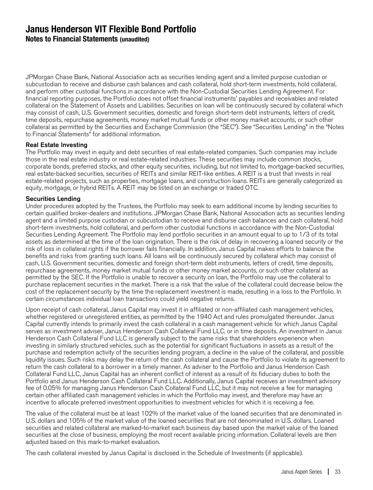## **Janus Henderson VIT Flexible Bond Portfolio Notes to Financial Statements (unaudited)**

JPMorgan Chase Bank, National Association acts as securities lending agent and a limited purpose custodian or subcustodian to receive and disburse cash balances and cash collateral, hold short-term investments, hold collateral, and perform other custodial functions in accordance with the Non-Custodial Securities Lending Agreement. For financial reporting purposes, the Portfolio does not offset financial instruments' payables and receivables and related collateral on the Statement of Assets and Liabilities. Securities on loan will be continuously secured by collateral which may consist of cash, U.S. Government securities, domestic and foreign short-term debt instruments, letters of credit, time deposits, repurchase agreements, money market mutual funds or other money market accounts, or such other collateral as permitted by the Securities and Exchange Commission (the "SEC"). See "Securities Lending" in the "Notes to Financial Statements" for additional information.

#### Real Estate Investing

The Portfolio may invest in equity and debt securities of real estate-related companies. Such companies may include those in the real estate industry or real estate-related industries. These securities may include common stocks, corporate bonds, preferred stocks, and other equity securities, including, but not limited to, mortgage-backed securities, real estate-backed securities, securities of REITs and similar REIT-like entities. A REIT is a trust that invests in real estate-related projects, such as properties, mortgage loans, and construction loans. REITs are generally categorized as equity, mortgage, or hybrid REITs. A REIT may be listed on an exchange or traded OTC.

#### Securities Lending

Under procedures adopted by the Trustees, the Portfolio may seek to earn additional income by lending securities to certain qualified broker-dealers and institutions. JPMorgan Chase Bank, National Association acts as securities lending agent and a limited purpose custodian or subcustodian to receive and disburse cash balances and cash collateral, hold short-term investments, hold collateral, and perform other custodial functions in accordance with the Non-Custodial Securities Lending Agreement. The Portfolio may lend portfolio securities in an amount equal to up to 1/3 of its total assets as determined at the time of the loan origination. There is the risk of delay in recovering a loaned security or the risk of loss in collateral rights if the borrower fails financially. In addition, Janus Capital makes efforts to balance the benefits and risks from granting such loans. All loans will be continuously secured by collateral which may consist of cash, U.S. Government securities, domestic and foreign short-term debt instruments, letters of credit, time deposits, repurchase agreements, money market mutual funds or other money market accounts, or such other collateral as permitted by the SEC. If the Portfolio is unable to recover a security on loan, the Portfolio may use the collateral to purchase replacement securities in the market. There is a risk that the value of the collateral could decrease below the cost of the replacement security by the time the replacement investment is made, resulting in a loss to the Portfolio. In certain circumstances individual loan transactions could yield negative returns.

Upon receipt of cash collateral, Janus Capital may invest it in affiliated or non-affiliated cash management vehicles, whether registered or unregistered entities, as permitted by the 1940 Act and rules promulgated thereunder. Janus Capital currently intends to primarily invest the cash collateral in a cash management vehicle for which Janus Capital serves as investment adviser, Janus Henderson Cash Collateral Fund LLC, or in time deposits. An investment in Janus Henderson Cash Collateral Fund LLC is generally subject to the same risks that shareholders experience when investing in similarly structured vehicles, such as the potential for significant fluctuations in assets as a result of the purchase and redemption activity of the securities lending program, a decline in the value of the collateral, and possible liquidity issues. Such risks may delay the return of the cash collateral and cause the Portfolio to violate its agreement to return the cash collateral to a borrower in a timely manner. As adviser to the Portfolio and Janus Henderson Cash Collateral Fund LLC, Janus Capital has an inherent conflict of interest as a result of its fiduciary duties to both the Portfolio and Janus Henderson Cash Collateral Fund LLC. Additionally, Janus Capital receives an investment advisory fee of 0.05% for managing Janus Henderson Cash Collateral Fund LLC, but it may not receive a fee for managing certain other affiliated cash management vehicles in which the Portfolio may invest, and therefore may have an incentive to allocate preferred investment opportunities to investment vehicles for which it is receiving a fee.

The value of the collateral must be at least 102% of the market value of the loaned securities that are denominated in U.S. dollars and 105% of the market value of the loaned securities that are not denominated in U.S. dollars. Loaned securities and related collateral are marked-to-market each business day based upon the market value of the loaned securities at the close of business, employing the most recent available pricing information. Collateral levels are then adjusted based on this mark-to-market evaluation.

The cash collateral invested by Janus Capital is disclosed in the Schedule of Investments (if applicable).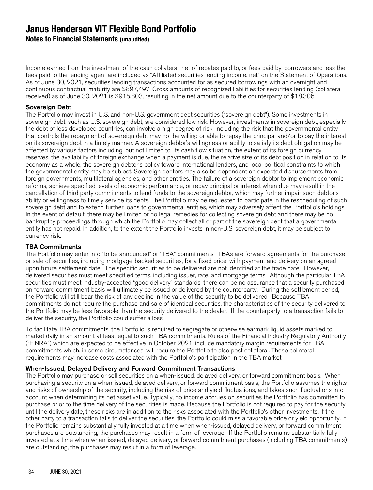**Notes to Financial Statements (unaudited)**

Income earned from the investment of the cash collateral, net of rebates paid to, or fees paid by, borrowers and less the fees paid to the lending agent are included as "Affiliated securities lending income, net" on the Statement of Operations. As of June 30, 2021, securities lending transactions accounted for as secured borrowings with an overnight and continuous contractual maturity are \$897,497. Gross amounts of recognized liabilities for securities lending (collateral received) as of June 30, 2021 is \$915,803, resulting in the net amount due to the counterparty of \$18,306.

#### Sovereign Debt

The Portfolio may invest in U.S. and non-U.S. government debt securities ("sovereign debt"). Some investments in sovereign debt, such as U.S. sovereign debt, are considered low risk. However, investments in sovereign debt, especially the debt of less developed countries, can involve a high degree of risk, including the risk that the governmental entity that controls the repayment of sovereign debt may not be willing or able to repay the principal and/or to pay the interest on its sovereign debt in a timely manner. A sovereign debtor's willingness or ability to satisfy its debt obligation may be affected by various factors including, but not limited to, its cash flow situation, the extent of its foreign currency reserves, the availability of foreign exchange when a payment is due, the relative size of its debt position in relation to its economy as a whole, the sovereign debtor's policy toward international lenders, and local political constraints to which the governmental entity may be subject. Sovereign debtors may also be dependent on expected disbursements from foreign governments, multilateral agencies, and other entities. The failure of a sovereign debtor to implement economic reforms, achieve specified levels of economic performance, or repay principal or interest when due may result in the cancellation of third party commitments to lend funds to the sovereign debtor, which may further impair such debtor's ability or willingness to timely service its debts. The Portfolio may be requested to participate in the rescheduling of such sovereign debt and to extend further loans to governmental entities, which may adversely affect the Portfolio's holdings. In the event of default, there may be limited or no legal remedies for collecting sovereign debt and there may be no bankruptcy proceedings through which the Portfolio may collect all or part of the sovereign debt that a governmental entity has not repaid. In addition, to the extent the Portfolio invests in non-U.S. sovereign debt, it may be subject to currency risk.

#### TBA Commitments

The Portfolio may enter into "to be announced" or "TBA" commitments. TBAs are forward agreements for the purchase or sale of securities, including mortgage-backed securities, for a fixed price, with payment and delivery on an agreed upon future settlement date. The specific securities to be delivered are not identified at the trade date. However, delivered securities must meet specified terms, including issuer, rate, and mortgage terms. Although the particular TBA securities must meet industry-accepted "good delivery" standards, there can be no assurance that a security purchased on forward commitment basis will ultimately be issued or delivered by the counterparty. During the settlement period, the Portfolio will still bear the risk of any decline in the value of the security to be delivered. Because TBA commitments do not require the purchase and sale of identical securities, the characteristics of the security delivered to the Portfolio may be less favorable than the security delivered to the dealer. If the counterparty to a transaction fails to deliver the security, the Portfolio could suffer a loss.

To facilitate TBA commitments, the Portfolio is required to segregate or otherwise earmark liquid assets marked to market daily in an amount at least equal to such TBA commitments. Rules of the Financial Industry Regulatory Authority ("FINRA") which are expected to be effective in October 2021, include mandatory margin requirements for TBA commitments which, in some circumstances, will require the Portfolio to also post collateral. These collateral requirements may increase costs associated with the Portfolio's participation in the TBA market.

#### When-Issued, Delayed Delivery and Forward Commitment Transactions

The Portfolio may purchase or sell securities on a when-issued, delayed delivery, or forward commitment basis. When purchasing a security on a when-issued, delayed delivery, or forward commitment basis, the Portfolio assumes the rights and risks of ownership of the security, including the risk of price and yield fluctuations, and takes such fluctuations into account when determining its net asset value. Typically, no income accrues on securities the Portfolio has committed to purchase prior to the time delivery of the securities is made. Because the Portfolio is not required to pay for the security until the delivery date, these risks are in addition to the risks associated with the Portfolio's other investments. If the other party to a transaction fails to deliver the securities, the Portfolio could miss a favorable price or yield opportunity. If the Portfolio remains substantially fully invested at a time when when-issued, delayed delivery, or forward commitment purchases are outstanding, the purchases may result in a form of leverage. If the Portfolio remains substantially fully invested at a time when when-issued, delayed delivery, or forward commitment purchases (including TBA commitments) are outstanding, the purchases may result in a form of leverage.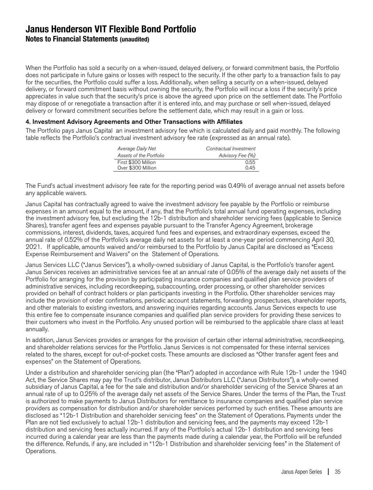## **Janus Henderson VIT Flexible Bond Portfolio Notes to Financial Statements (unaudited)**

When the Portfolio has sold a security on a when-issued, delayed delivery, or forward commitment basis, the Portfolio does not participate in future gains or losses with respect to the security. If the other party to a transaction fails to pay for the securities, the Portfolio could suffer a loss. Additionally, when selling a security on a when-issued, delayed delivery, or forward commitment basis without owning the security, the Portfolio will incur a loss if the security's price appreciates in value such that the security's price is above the agreed upon price on the settlement date. The Portfolio may dispose of or renegotiate a transaction after it is entered into, and may purchase or sell when-issued, delayed delivery or forward commitment securities before the settlement date, which may result in a gain or loss.

#### 4. Investment Advisory Agreements and Other Transactions with Affiliates

The Portfolio pays Janus Capital an investment advisory fee which is calculated daily and paid monthly. The following table reflects the Portfolio's contractual investment advisory fee rate (expressed as an annual rate).

| Average Daily Net       | Contractual Investment |
|-------------------------|------------------------|
| Assets of the Portfolio | Advisory Fee (%)       |
| First \$300 Million     | 0.55                   |
| Over \$300 Million      | 0.45                   |

The Fund's actual investment advisory fee rate for the reporting period was 0.49% of average annual net assets before any applicable waivers.

Janus Capital has contractually agreed to waive the investment advisory fee payable by the Portfolio or reimburse expenses in an amount equal to the amount, if any, that the Portfolio's total annual fund operating expenses, including the investment advisory fee, but excluding the 12b-1 distribution and shareholder servicing fees (applicable to Service Shares), transfer agent fees and expenses payable pursuant to the Transfer Agency Agreement, brokerage commissions, interest, dividends, taxes, acquired fund fees and expenses, and extraordinary expenses, exceed the annual rate of 0.52% of the Portfolio's average daily net assets for at least a one-year period commencing April 30, 2021. If applicable, amounts waived and/or reimbursed to the Portfolio by Janus Capital are disclosed as "Excess Expense Reimbursement and Waivers" on the Statement of Operations.

Janus Services LLC ("Janus Services"), a wholly-owned subsidiary of Janus Capital, is the Portfolio's transfer agent. Janus Services receives an administrative services fee at an annual rate of 0.05% of the average daily net assets of the Portfolio for arranging for the provision by participating insurance companies and qualified plan service providers of administrative services, including recordkeeping, subaccounting, order processing, or other shareholder services provided on behalf of contract holders or plan participants investing in the Portfolio. Other shareholder services may include the provision of order confirmations, periodic account statements, forwarding prospectuses, shareholder reports, and other materials to existing investors, and answering inquiries regarding accounts. Janus Services expects to use this entire fee to compensate insurance companies and qualified plan service providers for providing these services to their customers who invest in the Portfolio. Any unused portion will be reimbursed to the applicable share class at least annually.

In addition, Janus Services provides or arranges for the provision of certain other internal administrative, recordkeeping, and shareholder relations services for the Portfolio. Janus Services is not compensated for these internal services related to the shares, except for out-of-pocket costs. These amounts are disclosed as "Other transfer agent fees and expenses" on the Statement of Operations.

Under a distribution and shareholder servicing plan (the "Plan") adopted in accordance with Rule 12b-1 under the 1940 Act, the Service Shares may pay the Trust's distributor, Janus Distributors LLC ("Janus Distributors"), a wholly-owned subsidiary of Janus Capital, a fee for the sale and distribution and/or shareholder servicing of the Service Shares at an annual rate of up to 0.25% of the average daily net assets of the Service Shares. Under the terms of the Plan, the Trust is authorized to make payments to Janus Distributors for remittance to insurance companies and qualified plan service providers as compensation for distribution and/or shareholder services performed by such entities. These amounts are disclosed as "12b-1 Distribution and shareholder servicing fees" on the Statement of Operations. Payments under the Plan are not tied exclusively to actual 12b-1 distribution and servicing fees, and the payments may exceed 12b-1 distribution and servicing fees actually incurred. If any of the Portfolio's actual 12b-1 distribution and servicing fees incurred during a calendar year are less than the payments made during a calendar year, the Portfolio will be refunded the difference. Refunds, if any, are included in "12b-1 Distribution and shareholder servicing fees" in the Statement of Operations.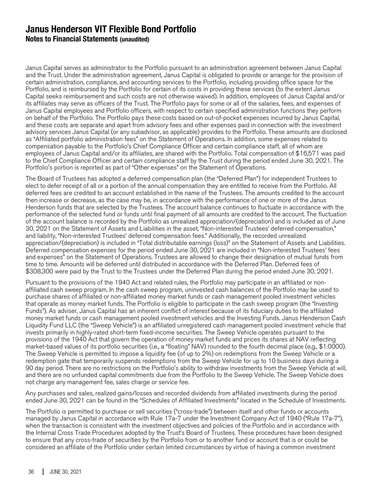## **Janus Henderson VIT Flexible Bond Portfolio Notes to Financial Statements (unaudited)**

Janus Capital serves as administrator to the Portfolio pursuant to an administration agreement between Janus Capital and the Trust. Under the administration agreement, Janus Capital is obligated to provide or arrange for the provision of certain administration, compliance, and accounting services to the Portfolio, including providing office space for the Portfolio, and is reimbursed by the Portfolio for certain of its costs in providing these services (to the extent Janus Capital seeks reimbursement and such costs are not otherwise waived). In addition, employees of Janus Capital and/or its affiliates may serve as officers of the Trust. The Portfolio pays for some or all of the salaries, fees, and expenses of Janus Capital employees and Portfolio officers, with respect to certain specified administration functions they perform on behalf of the Portfolio. The Portfolio pays these costs based on out-of-pocket expenses incurred by Janus Capital, and these costs are separate and apart from advisory fees and other expenses paid in connection with the investment advisory services Janus Capital (or any subadvisor, as applicable) provides to the Portfolio. These amounts are disclosed as "Affiliated portfolio administration fees" on the Statement of Operations. In addition, some expenses related to compensation payable to the Portfolio's Chief Compliance Officer and certain compliance staff, all of whom are employees of Janus Capital and/or its affiliates, are shared with the Portfolio. Total compensation of \$16,571 was paid to the Chief Compliance Officer and certain compliance staff by the Trust during the period ended June 30, 2021. The Portfolio's portion is reported as part of "Other expenses" on the Statement of Operations.

The Board of Trustees has adopted a deferred compensation plan (the "Deferred Plan") for independent Trustees to elect to defer receipt of all or a portion of the annual compensation they are entitled to receive from the Portfolio. All deferred fees are credited to an account established in the name of the Trustees. The amounts credited to the account then increase or decrease, as the case may be, in accordance with the performance of one or more of the Janus Henderson funds that are selected by the Trustees. The account balance continues to fluctuate in accordance with the performance of the selected fund or funds until final payment of all amounts are credited to the account. The fluctuation of the account balance is recorded by the Portfolio as unrealized appreciation/(depreciation) and is included as of June 30, 2021 on the Statement of Assets and Liabilities in the asset, "Non-interested Trustees' deferred compensation," and liability, "Non-interested Trustees' deferred compensation fees." Additionally, the recorded unrealized appreciation/(depreciation) is included in "Total distributable earnings (loss)" on the Statement of Assets and Liabilities. Deferred compensation expenses for the period ended June 30, 2021 are included in "Non-interested Trustees' fees and expenses" on the Statement of Operations. Trustees are allowed to change their designation of mutual funds from time to time. Amounts will be deferred until distributed in accordance with the Deferred Plan. Deferred fees of \$308,300 were paid by the Trust to the Trustees under the Deferred Plan during the period ended June 30, 2021.

Pursuant to the provisions of the 1940 Act and related rules, the Portfolio may participate in an affiliated or nonaffiliated cash sweep program. In the cash sweep program, uninvested cash balances of the Portfolio may be used to purchase shares of affiliated or non-affiliated money market funds or cash management pooled investment vehicles that operate as money market funds. The Portfolio is eligible to participate in the cash sweep program (the "Investing Funds"). As adviser, Janus Capital has an inherent conflict of interest because of its fiduciary duties to the affiliated money market funds or cash management pooled investment vehicles and the Investing Funds. Janus Henderson Cash Liquidity Fund LLC (the "Sweep Vehicle") is an affiliated unregistered cash management pooled investment vehicle that invests primarily in highly-rated short-term fixed-income securities. The Sweep Vehicle operates pursuant to the provisions of the 1940 Act that govern the operation of money market funds and prices its shares at NAV reflecting market-based values of its portfolio securities (i.e., a "floating" NAV) rounded to the fourth decimal place (e.g., \$1.0000). The Sweep Vehicle is permitted to impose a liquidity fee (of up to 2%) on redemptions from the Sweep Vehicle or a redemption gate that temporarily suspends redemptions from the Sweep Vehicle for up to 10 business days during a 90 day period. There are no restrictions on the Portfolio's ability to withdraw investments from the Sweep Vehicle at will, and there are no unfunded capital commitments due from the Portfolio to the Sweep Vehicle. The Sweep Vehicle does not charge any management fee, sales charge or service fee.

Any purchases and sales, realized gains/losses and recorded dividends from affiliated investments during the period ended June 30, 2021 can be found in the "Schedules of Affiliated Investments" located in the Schedule of Investments.

The Portfolio is permitted to purchase or sell securities ("cross-trade") between itself and other funds or accounts managed by Janus Capital in accordance with Rule 17a-7 under the Investment Company Act of 1940 ("Rule 17a-7"), when the transaction is consistent with the investment objectives and policies of the Portfolio and in accordance with the Internal Cross Trade Procedures adopted by the Trust's Board of Trustees. These procedures have been designed to ensure that any cross-trade of securities by the Portfolio from or to another fund or account that is or could be considered an affiliate of the Portfolio under certain limited circumstances by virtue of having a common investment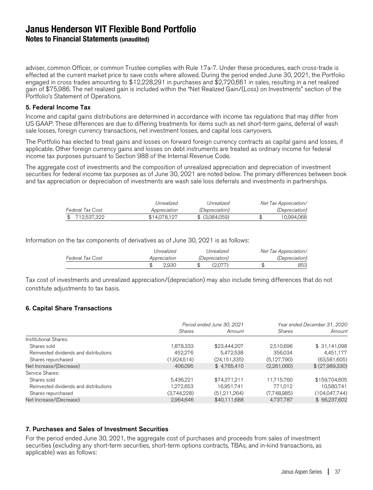**Notes to Financial Statements (unaudited)**

adviser, common Officer, or common Trustee complies with Rule 17a-7. Under these procedures, each cross-trade is effected at the current market price to save costs where allowed. During the period ended June 30, 2021, the Portfolio engaged in cross trades amounting to \$12,228,291 in purchases and \$2,720,661 in sales, resulting in a net realized gain of \$75,986. The net realized gain is included within the "Net Realized Gain/(Loss) on Investments" section of the Portfolio's Statement of Operations.

#### 5. Federal Income Tax

Income and capital gains distributions are determined in accordance with income tax regulations that may differ from US GAAP. These differences are due to differing treatments for items such as net short-term gains, deferral of wash sale losses, foreign currency transactions, net investment losses, and capital loss carryovers.

The Portfolio has elected to treat gains and losses on forward foreign currency contracts as capital gains and losses, if applicable. Other foreign currency gains and losses on debt instruments are treated as ordinary income for federal income tax purposes pursuant to Section 988 of the Internal Revenue Code.

The aggregate cost of investments and the composition of unrealized appreciation and depreciation of investment securities for federal income tax purposes as of June 30, 2021 are noted below. The primary differences between book and tax appreciation or depreciation of investments are wash sale loss deferrals and investments in partnerships.

|                  | Unrealized   | Unrealized            | Net Tax Appreciation/ |
|------------------|--------------|-----------------------|-----------------------|
| Federal Tax Cost | Appreciation | <i>(Depreciation)</i> | <i>(Depreciation)</i> |
| \$712.537.322    | \$14,078,127 | $$$ (3.084.059)       | 10.994.068            |

Information on the tax components of derivatives as of June 30, 2021 is as follows:

|                  | Unrealized   | Unrealized            | Net Tax Appreciation/ |
|------------------|--------------|-----------------------|-----------------------|
| Federal Tax Cost | Appreciation | <i>(Depreciation)</i> | <i>(Depreciation)</i> |
|                  | 2.930        | (2.077)               | 853                   |

Tax cost of investments and unrealized appreciation/(depreciation) may also include timing differences that do not constitute adjustments to tax basis.

#### 6. Capital Share Transactions

|                                        |               | Period ended June 30, 2021 | Year ended December 31, 2020 |                 |  |
|----------------------------------------|---------------|----------------------------|------------------------------|-----------------|--|
|                                        | <b>Shares</b> | Amount                     | Shares                       | Amount          |  |
| Institutional Shares:                  |               |                            |                              |                 |  |
| Shares sold                            | 1,878,333     | \$23,444,207               | 2,510,696                    | \$31,141,098    |  |
| Reinvested dividends and distributions | 452,276       | 5,472,538                  | 356.034                      | 4,451,177       |  |
| Shares repurchased                     | (1,924,514)   | (24, 151, 335)             | (5, 127, 790)                | (63,581,605)    |  |
| Net Increase/(Decrease)                | 406.095       | \$4,765,410                | (2,261,060)                  | \$ (27,989,330) |  |
| Service Shares:                        |               |                            |                              |                 |  |
| Shares sold                            | 5.436.221     | \$74,371,211               | 11,715,760                   | \$159,704,605   |  |
| Reinvested dividends and distributions | 1,272,653     | 16,951,741                 | 771.012                      | 10.580.741      |  |
| Shares repurchased                     | (3,744,228)   | (51,211,264)               | (7,748,985)                  | (104, 047, 744) |  |
| Net Increase/(Decrease)                | 2,964,646     | \$40,111,688               | 4,737,787                    | \$66,237,602    |  |

#### 7. Purchases and Sales of Investment Securities

For the period ended June 30, 2021, the aggregate cost of purchases and proceeds from sales of investment securities (excluding any short-term securities, short-term options contracts, TBAs, and in-kind transactions, as applicable) was as follows: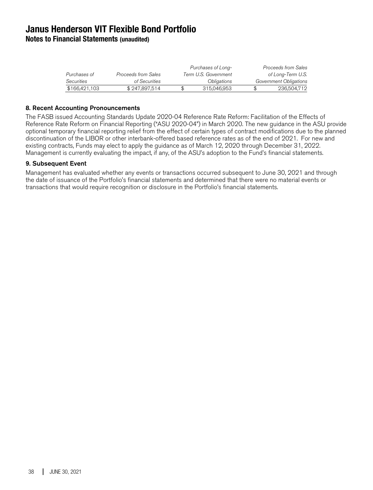**Notes to Financial Statements (unaudited)**

|                   |                     | Purchases of Long-   | Proceeds from Sales    |
|-------------------|---------------------|----------------------|------------------------|
| Purchases of      | Proceeds from Sales | Term U.S. Government | of Long-Term U.S.      |
| <i>Securities</i> | of Securities       | Obligations          | Government Obligations |
| \$166,421,103     | \$247,897,514       | 315,046,953          | 236.504.712            |

#### 8. Recent Accounting Pronouncements

The FASB issued Accounting Standards Update 2020-04 Reference Rate Reform: Facilitation of the Effects of Reference Rate Reform on Financial Reporting ("ASU 2020-04") in March 2020. The new guidance in the ASU provide optional temporary financial reporting relief from the effect of certain types of contract modifications due to the planned discontinuation of the LIBOR or other interbank-offered based reference rates as of the end of 2021. For new and existing contracts, Funds may elect to apply the guidance as of March 12, 2020 through December 31, 2022. Management is currently evaluating the impact, if any, of the ASU's adoption to the Fund's financial statements.

#### 9. Subsequent Event

Management has evaluated whether any events or transactions occurred subsequent to June 30, 2021 and through the date of issuance of the Portfolio's financial statements and determined that there were no material events or transactions that would require recognition or disclosure in the Portfolio's financial statements.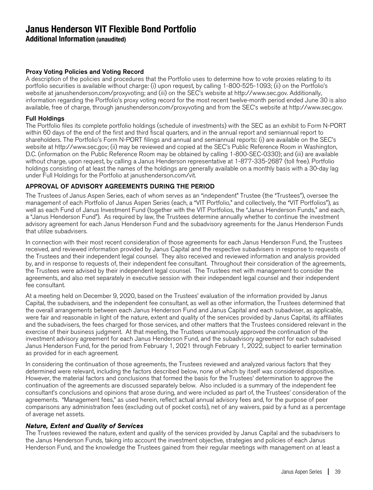**Additional Information (unaudited)**

#### Proxy Voting Policies and Voting Record

A description of the policies and procedures that the Portfolio uses to determine how to vote proxies relating to its portfolio securities is available without charge: (i) upon request, by calling 1-800-525-1093; (ii) on the Portfolio's website at janushenderson.com/proxyvoting; and (iii) on the SEC's website at http://www.sec.gov. Additionally, information regarding the Portfolio's proxy voting record for the most recent twelve-month period ended June 30 is also available, free of charge, through janushenderson.com/proxyvoting and from the SEC's website at http://www.sec.gov.

#### Full Holdings

The Portfolio files its complete portfolio holdings (schedule of investments) with the SEC as an exhibit to Form N-PORT within 60 days of the end of the first and third fiscal quarters, and in the annual report and semiannual report to shareholders. The Portfolio's Form N-PORT filings and annual and semiannual reports: (i) are available on the SEC's website at http://www.sec.gov; (ii) may be reviewed and copied at the SEC's Public Reference Room in Washington, D.C. (information on the Public Reference Room may be obtained by calling 1-800-SEC-0330); and (iii) are available without charge, upon request, by calling a Janus Henderson representative at 1-877-335-2687 (toll free). Portfolio holdings consisting of at least the names of the holdings are generally available on a monthly basis with a 30-day lag under Full Holdings for the Portfolio at janushenderson.com/vit.

#### APPROVAL OF ADVISORY AGREEMENTS DURING THE PERIOD

The Trustees of Janus Aspen Series, each of whom serves as an "independent" Trustee (the "Trustees"), oversee the management of each Portfolio of Janus Aspen Series (each, a "VIT Portfolio," and collectively, the "VIT Portfolios"), as well as each Fund of Janus Investment Fund (together with the VIT Portfolios, the "Janus Henderson Funds," and each, a "Janus Henderson Fund"). As required by law, the Trustees determine annually whether to continue the investment advisory agreement for each Janus Henderson Fund and the subadvisory agreements for the Janus Henderson Funds that utilize subadvisers.

In connection with their most recent consideration of those agreements for each Janus Henderson Fund, the Trustees received, and reviewed information provided by Janus Capital and the respective subadvisers in response to requests of the Trustees and their independent legal counsel. They also received and reviewed information and analysis provided by, and in response to requests of, their independent fee consultant. Throughout their consideration of the agreements, the Trustees were advised by their independent legal counsel. The Trustees met with management to consider the agreements, and also met separately in executive session with their independent legal counsel and their independent fee consultant.

At a meeting held on December 9, 2020, based on the Trustees' evaluation of the information provided by Janus Capital, the subadvisers, and the independent fee consultant, as well as other information, the Trustees determined that the overall arrangements between each Janus Henderson Fund and Janus Capital and each subadviser, as applicable, were fair and reasonable in light of the nature, extent and quality of the services provided by Janus Capital, its affiliates and the subadvisers, the fees charged for those services, and other matters that the Trustees considered relevant in the exercise of their business judgment. At that meeting, the Trustees unanimously approved the continuation of the investment advisory agreement for each Janus Henderson Fund, and the subadvisory agreement for each subadvised Janus Henderson Fund, for the period from February 1, 2021 through February 1, 2022, subject to earlier termination as provided for in each agreement.

In considering the continuation of those agreements, the Trustees reviewed and analyzed various factors that they determined were relevant, including the factors described below, none of which by itself was considered dispositive. However, the material factors and conclusions that formed the basis for the Trustees' determination to approve the continuation of the agreements are discussed separately below. Also included is a summary of the independent fee consultant's conclusions and opinions that arose during, and were included as part of, the Trustees' consideration of the agreements. "Management fees," as used herein, reflect actual annual advisory fees and, for the purpose of peer comparisons any administration fees (excluding out of pocket costs), net of any waivers, paid by a fund as a percentage of average net assets.

#### Nature, Extent and Quality of Services

The Trustees reviewed the nature, extent and quality of the services provided by Janus Capital and the subadvisers to the Janus Henderson Funds, taking into account the investment objective, strategies and policies of each Janus Henderson Fund, and the knowledge the Trustees gained from their regular meetings with management on at least a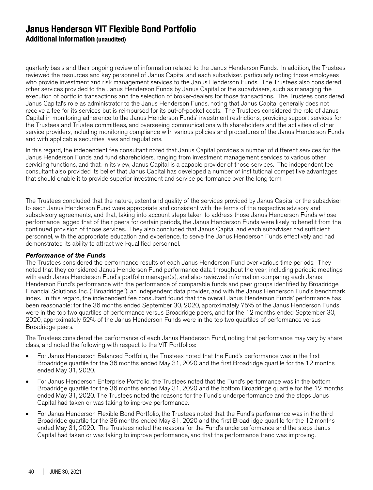quarterly basis and their ongoing review of information related to the Janus Henderson Funds. In addition, the Trustees reviewed the resources and key personnel of Janus Capital and each subadviser, particularly noting those employees who provide investment and risk management services to the Janus Henderson Funds. The Trustees also considered other services provided to the Janus Henderson Funds by Janus Capital or the subadvisers, such as managing the execution of portfolio transactions and the selection of broker-dealers for those transactions. The Trustees considered Janus Capital's role as administrator to the Janus Henderson Funds, noting that Janus Capital generally does not receive a fee for its services but is reimbursed for its out-of-pocket costs. The Trustees considered the role of Janus Capital in monitoring adherence to the Janus Henderson Funds' investment restrictions, providing support services for the Trustees and Trustee committees, and overseeing communications with shareholders and the activities of other service providers, including monitoring compliance with various policies and procedures of the Janus Henderson Funds and with applicable securities laws and regulations.

In this regard, the independent fee consultant noted that Janus Capital provides a number of different services for the Janus Henderson Funds and fund shareholders, ranging from investment management services to various other servicing functions, and that, in its view, Janus Capital is a capable provider of those services. The independent fee consultant also provided its belief that Janus Capital has developed a number of institutional competitive advantages that should enable it to provide superior investment and service performance over the long term.

The Trustees concluded that the nature, extent and quality of the services provided by Janus Capital or the subadviser to each Janus Henderson Fund were appropriate and consistent with the terms of the respective advisory and subadvisory agreements, and that, taking into account steps taken to address those Janus Henderson Funds whose performance lagged that of their peers for certain periods, the Janus Henderson Funds were likely to benefit from the continued provision of those services. They also concluded that Janus Capital and each subadviser had sufficient personnel, with the appropriate education and experience, to serve the Janus Henderson Funds effectively and had demonstrated its ability to attract well-qualified personnel.

#### Performance of the Funds

The Trustees considered the performance results of each Janus Henderson Fund over various time periods. They noted that they considered Janus Henderson Fund performance data throughout the year, including periodic meetings with each Janus Henderson Fund's portfolio manager(s), and also reviewed information comparing each Janus Henderson Fund's performance with the performance of comparable funds and peer groups identified by Broadridge Financial Solutions, Inc. ("Broadridge"), an independent data provider, and with the Janus Henderson Fund's benchmark index. In this regard, the independent fee consultant found that the overall Janus Henderson Funds' performance has been reasonable: for the 36 months ended September 30, 2020, approximately 75% of the Janus Henderson Funds were in the top two quartiles of performance versus Broadridge peers, and for the 12 months ended September 30, 2020, approximately 62% of the Janus Henderson Funds were in the top two quartiles of performance versus Broadridge peers.

The Trustees considered the performance of each Janus Henderson Fund, noting that performance may vary by share class, and noted the following with respect to the VIT Portfolios:

- For Janus Henderson Balanced Portfolio, the Trustees noted that the Fund's performance was in the first Broadridge quartile for the 36 months ended May 31, 2020 and the first Broadridge quartile for the 12 months ended May 31, 2020.
- For Janus Henderson Enterprise Portfolio, the Trustees noted that the Fund's performance was in the bottom Broadridge quartile for the 36 months ended May 31, 2020 and the bottom Broadridge quartile for the 12 months ended May 31, 2020. The Trustees noted the reasons for the Fund's underperformance and the steps Janus Capital had taken or was taking to improve performance.
- For Janus Henderson Flexible Bond Portfolio, the Trustees noted that the Fund's performance was in the third Broadridge quartile for the 36 months ended May 31, 2020 and the first Broadridge quartile for the 12 months ended May 31, 2020. The Trustees noted the reasons for the Fund's underperformance and the steps Janus Capital had taken or was taking to improve performance, and that the performance trend was improving.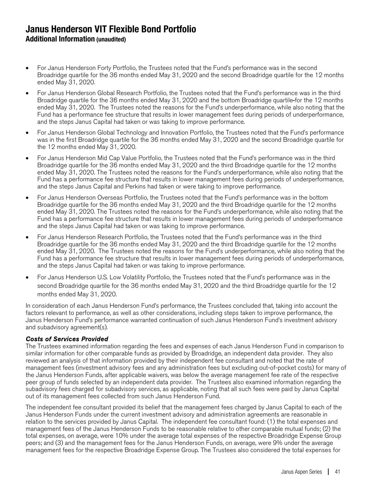- For Janus Henderson Forty Portfolio, the Trustees noted that the Fund's performance was in the second Broadridge quartile for the 36 months ended May 31, 2020 and the second Broadridge quartile for the 12 months ended May 31, 2020.
- For Janus Henderson Global Research Portfolio, the Trustees noted that the Fund's performance was in the third Broadridge quartile for the 36 months ended May 31, 2020 and the bottom Broadridge quartile for the 12 months ended May 31, 2020. The Trustees noted the reasons for the Fund's underperformance, while also noting that the Fund has a performance fee structure that results in lower management fees during periods of underperformance, and the steps Janus Capital had taken or was taking to improve performance.
- For Janus Henderson Global Technology and Innovation Portfolio, the Trustees noted that the Fund's performance was in the first Broadridge quartile for the 36 months ended May 31, 2020 and the second Broadridge quartile for the 12 months ended May 31, 2020.
- For Janus Henderson Mid Cap Value Portfolio, the Trustees noted that the Fund's performance was in the third Broadridge quartile for the 36 months ended May 31, 2020 and the third Broadridge quartile for the 12 months ended May 31, 2020. The Trustees noted the reasons for the Fund's underperformance, while also noting that the Fund has a performance fee structure that results in lower management fees during periods of underperformance, and the steps Janus Capital and Perkins had taken or were taking to improve performance.
- For Janus Henderson Overseas Portfolio, the Trustees noted that the Fund's performance was in the bottom Broadridge quartile for the 36 months ended May 31, 2020 and the third Broadridge quartile for the 12 months ended May 31, 2020. The Trustees noted the reasons for the Fund's underperformance, while also noting that the Fund has a performance fee structure that results in lower management fees during periods of underperformance and the steps Janus Capital had taken or was taking to improve performance.
- For Janus Henderson Research Portfolio, the Trustees noted that the Fund's performance was in the third Broadridge quartile for the 36 months ended May 31, 2020 and the third Broadridge quartile for the 12 months ended May 31, 2020. The Trustees noted the reasons for the Fund's underperformance, while also noting that the Fund has a performance fee structure that results in lower management fees during periods of underperformance, and the steps Janus Capital had taken or was taking to improve performance.
- For Janus Henderson U.S. Low Volatility Portfolio, the Trustees noted that the Fund's performance was in the second Broadridge quartile for the 36 months ended May 31, 2020 and the third Broadridge quartile for the 12 months ended May 31, 2020.

In consideration of each Janus Henderson Fund's performance, the Trustees concluded that, taking into account the factors relevant to performance, as well as other considerations, including steps taken to improve performance, the Janus Henderson Fund's performance warranted continuation of such Janus Henderson Fund's investment advisory and subadvisory agreement(s).

#### Costs of Services Provided

The Trustees examined information regarding the fees and expenses of each Janus Henderson Fund in comparison to similar information for other comparable funds as provided by Broadridge, an independent data provider. They also reviewed an analysis of that information provided by their independent fee consultant and noted that the rate of management fees (investment advisory fees and any administration fees but excluding out-of-pocket costs) for many of the Janus Henderson Funds, after applicable waivers, was below the average management fee rate of the respective peer group of funds selected by an independent data provider. The Trustees also examined information regarding the subadvisory fees charged for subadvisory services, as applicable, noting that all such fees were paid by Janus Capital out of its management fees collected from such Janus Henderson Fund.

The independent fee consultant provided its belief that the management fees charged by Janus Capital to each of the Janus Henderson Funds under the current investment advisory and administration agreements are reasonable in relation to the services provided by Janus Capital. The independent fee consultant found: (1) the total expenses and management fees of the Janus Henderson Funds to be reasonable relative to other comparable mutual funds; (2) the total expenses, on average, were 10% under the average total expenses of the respective Broadridge Expense Group peers; and (3) and the management fees for the Janus Henderson Funds, on average, were 9% under the average management fees for the respective Broadridge Expense Group. The Trustees also considered the total expenses for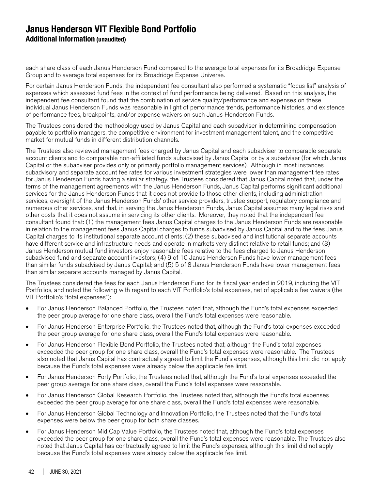each share class of each Janus Henderson Fund compared to the average total expenses for its Broadridge Expense Group and to average total expenses for its Broadridge Expense Universe.

For certain Janus Henderson Funds, the independent fee consultant also performed a systematic "focus list" analysis of expenses which assessed fund fees in the context of fund performance being delivered. Based on this analysis, the independent fee consultant found that the combination of service quality/performance and expenses on these individual Janus Henderson Funds was reasonable in light of performance trends, performance histories, and existence of performance fees, breakpoints, and/or expense waivers on such Janus Henderson Funds.

The Trustees considered the methodology used by Janus Capital and each subadviser in determining compensation payable to portfolio managers, the competitive environment for investment management talent, and the competitive market for mutual funds in different distribution channels.

The Trustees also reviewed management fees charged by Janus Capital and each subadviser to comparable separate account clients and to comparable non-affiliated funds subadvised by Janus Capital or by a subadviser (for which Janus Capital or the subadviser provides only or primarily portfolio management services). Although in most instances subadvisory and separate account fee rates for various investment strategies were lower than management fee rates for Janus Henderson Funds having a similar strategy, the Trustees considered that Janus Capital noted that, under the terms of the management agreements with the Janus Henderson Funds, Janus Capital performs significant additional services for the Janus Henderson Funds that it does not provide to those other clients, including administration services, oversight of the Janus Henderson Funds' other service providers, trustee support, regulatory compliance and numerous other services, and that, in serving the Janus Henderson Funds, Janus Capital assumes many legal risks and other costs that it does not assume in servicing its other clients. Moreover, they noted that the independent fee consultant found that: (1) the management fees Janus Capital charges to the Janus Henderson Funds are reasonable in relation to the management fees Janus Capital charges to funds subadvised by Janus Capital and to the fees Janus Capital charges to its institutional separate account clients; (2) these subadvised and institutional separate accounts have different service and infrastructure needs and operate in markets very distinct relative to retail funds; and (3) Janus Henderson mutual fund investors enjoy reasonable fees relative to the fees charged to Janus Henderson subadvised fund and separate account investors; (4) 9 of 10 Janus Henderson Funds have lower management fees than similar funds subadvised by Janus Capital; and (5) 5 of 8 Janus Henderson Funds have lower management fees than similar separate accounts managed by Janus Capital.

The Trustees considered the fees for each Janus Henderson Fund for its fiscal year ended in 2019, including the VIT Portfolios, and noted the following with regard to each VIT Portfolio's total expenses, net of applicable fee waivers (the VIT Portfolio's "total expenses"):

- For Janus Henderson Balanced Portfolio, the Trustees noted that, although the Fund's total expenses exceeded the peer group average for one share class, overall the Fund's total expenses were reasonable.
- For Janus Henderson Enterprise Portfolio, the Trustees noted that, although the Fund's total expenses exceeded the peer group average for one share class, overall the Fund's total expenses were reasonable.
- For Janus Henderson Flexible Bond Portfolio, the Trustees noted that, although the Fund's total expenses exceeded the peer group for one share class, overall the Fund's total expenses were reasonable. The Trustees also noted that Janus Capital has contractually agreed to limit the Fund's expenses, although this limit did not apply because the Fund's total expenses were already below the applicable fee limit.
- For Janus Henderson Forty Portfolio, the Trustees noted that, although the Fund's total expenses exceeded the peer group average for one share class, overall the Fund's total expenses were reasonable.
- For Janus Henderson Global Research Portfolio, the Trustees noted that, although the Fund's total expenses exceeded the peer group average for one share class, overall the Fund's total expenses were reasonable.
- For Janus Henderson Global Technology and Innovation Portfolio, the Trustees noted that the Fund's total expenses were below the peer group for both share classes.
- For Janus Henderson Mid Cap Value Portfolio, the Trustees noted that, although the Fund's total expenses exceeded the peer group for one share class, overall the Fund's total expenses were reasonable. The Trustees also noted that Janus Capital has contractually agreed to limit the Fund's expenses, although this limit did not apply because the Fund's total expenses were already below the applicable fee limit.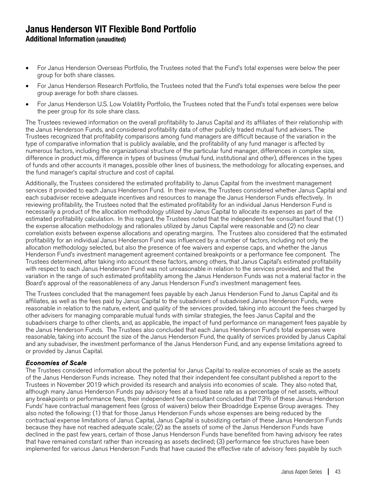- For Janus Henderson Overseas Portfolio, the Trustees noted that the Fund's total expenses were below the peer group for both share classes.
- For Janus Henderson Research Portfolio, the Trustees noted that the Fund's total expenses were below the peer group average for both share classes.
- For Janus Henderson U.S. Low Volatility Portfolio, the Trustees noted that the Fund's total expenses were below the peer group for its sole share class.

The Trustees reviewed information on the overall profitability to Janus Capital and its affiliates of their relationship with the Janus Henderson Funds, and considered profitability data of other publicly traded mutual fund advisers. The Trustees recognized that profitability comparisons among fund managers are difficult because of the variation in the type of comparative information that is publicly available, and the profitability of any fund manager is affected by numerous factors, including the organizational structure of the particular fund manager, differences in complex size, difference in product mix, difference in types of business (mutual fund, institutional and other), differences in the types of funds and other accounts it manages, possible other lines of business, the methodology for allocating expenses, and the fund manager's capital structure and cost of capital.

Additionally, the Trustees considered the estimated profitability to Janus Capital from the investment management services it provided to each Janus Henderson Fund. In their review, the Trustees considered whether Janus Capital and each subadviser receive adequate incentives and resources to manage the Janus Henderson Funds effectively. In reviewing profitability, the Trustees noted that the estimated profitability for an individual Janus Henderson Fund is necessarily a product of the allocation methodology utilized by Janus Capital to allocate its expenses as part of the estimated profitability calculation. In this regard, the Trustees noted that the independent fee consultant found that (1) the expense allocation methodology and rationales utilized by Janus Capital were reasonable and (2) no clear correlation exists between expense allocations and operating margins. The Trustees also considered that the estimated profitability for an individual Janus Henderson Fund was influenced by a number of factors, including not only the allocation methodology selected, but also the presence of fee waivers and expense caps, and whether the Janus Henderson Fund's investment management agreement contained breakpoints or a performance fee component. The Trustees determined, after taking into account these factors, among others, that Janus Capital's estimated profitability with respect to each Janus Henderson Fund was not unreasonable in relation to the services provided, and that the variation in the range of such estimated profitability among the Janus Henderson Funds was not a material factor in the Board's approval of the reasonableness of any Janus Henderson Fund's investment management fees.

The Trustees concluded that the management fees payable by each Janus Henderson Fund to Janus Capital and its affiliates, as well as the fees paid by Janus Capital to the subadvisers of subadvised Janus Henderson Funds, were reasonable in relation to the nature, extent, and quality of the services provided, taking into account the fees charged by other advisers for managing comparable mutual funds with similar strategies, the fees Janus Capital and the subadvisers charge to other clients, and, as applicable, the impact of fund performance on management fees payable by the Janus Henderson Funds. The Trustees also concluded that each Janus Henderson Fund's total expenses were reasonable, taking into account the size of the Janus Henderson Fund, the quality of services provided by Janus Capital and any subadviser, the investment performance of the Janus Henderson Fund, and any expense limitations agreed to or provided by Janus Capital.

#### Economies of Scale

The Trustees considered information about the potential for Janus Capital to realize economies of scale as the assets of the Janus Henderson Funds increase. They noted that their independent fee consultant published a report to the Trustees in November 2019 which provided its research and analysis into economies of scale. They also noted that, although many Janus Henderson Funds pay advisory fees at a fixed base rate as a percentage of net assets, without any breakpoints or performance fees, their independent fee consultant concluded that 73% of these Janus Henderson Funds' have contractual management fees (gross of waivers) below their Broadridge Expense Group averages. They also noted the following: (1) that for those Janus Henderson Funds whose expenses are being reduced by the contractual expense limitations of Janus Capital, Janus Capital is subsidizing certain of these Janus Henderson Funds because they have not reached adequate scale; (2) as the assets of some of the Janus Henderson Funds have declined in the past few years, certain of those Janus Henderson Funds have benefited from having advisory fee rates that have remained constant rather than increasing as assets declined; (3) performance fee structures have been implemented for various Janus Henderson Funds that have caused the effective rate of advisory fees payable by such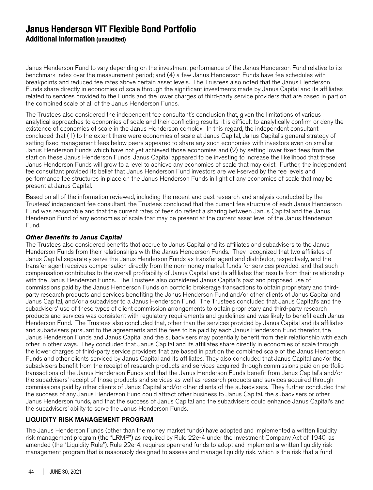Janus Henderson Fund to vary depending on the investment performance of the Janus Henderson Fund relative to its benchmark index over the measurement period; and (4) a few Janus Henderson Funds have fee schedules with breakpoints and reduced fee rates above certain asset levels. The Trustees also noted that the Janus Henderson Funds share directly in economies of scale through the significant investments made by Janus Capital and its affiliates related to services provided to the Funds and the lower charges of third-party service providers that are based in part on the combined scale of all of the Janus Henderson Funds.

The Trustees also considered the independent fee consultant's conclusion that, given the limitations of various analytical approaches to economies of scale and their conflicting results, it is difficult to analytically confirm or deny the existence of economies of scale in the Janus Henderson complex. In this regard, the independent consultant concluded that (1) to the extent there were economies of scale at Janus Capital, Janus Capital's general strategy of setting fixed management fees below peers appeared to share any such economies with investors even on smaller Janus Henderson Funds which have not yet achieved those economies and (2) by setting lower fixed fees from the start on these Janus Henderson Funds, Janus Capital appeared to be investing to increase the likelihood that these Janus Henderson Funds will grow to a level to achieve any economies of scale that may exist. Further, the independent fee consultant provided its belief that Janus Henderson Fund investors are well-served by the fee levels and performance fee structures in place on the Janus Henderson Funds in light of any economies of scale that may be present at Janus Capital.

Based on all of the information reviewed, including the recent and past research and analysis conducted by the Trustees' independent fee consultant, the Trustees concluded that the current fee structure of each Janus Henderson Fund was reasonable and that the current rates of fees do reflect a sharing between Janus Capital and the Janus Henderson Fund of any economies of scale that may be present at the current asset level of the Janus Henderson Fund.

#### Other Benefits to Janus Capital

The Trustees also considered benefits that accrue to Janus Capital and its affiliates and subadvisers to the Janus Henderson Funds from their relationships with the Janus Henderson Funds. They recognized that two affiliates of Janus Capital separately serve the Janus Henderson Funds as transfer agent and distributor, respectively, and the transfer agent receives compensation directly from the non-money market funds for services provided, and that such compensation contributes to the overall profitability of Janus Capital and its affiliates that results from their relationship with the Janus Henderson Funds. The Trustees also considered Janus Capital's past and proposed use of commissions paid by the Janus Henderson Funds on portfolio brokerage transactions to obtain proprietary and thirdparty research products and services benefiting the Janus Henderson Fund and/or other clients of Janus Capital and Janus Capital, and/or a subadviser to a Janus Henderson Fund. The Trustees concluded that Janus Capital's and the subadvisers' use of these types of client commission arrangements to obtain proprietary and third-party research products and services was consistent with regulatory requirements and guidelines and was likely to benefit each Janus Henderson Fund. The Trustees also concluded that, other than the services provided by Janus Capital and its affiliates and subadvisers pursuant to the agreements and the fees to be paid by each Janus Henderson Fund therefor, the Janus Henderson Funds and Janus Capital and the subadvisers may potentially benefit from their relationship with each other in other ways. They concluded that Janus Capital and its affiliates share directly in economies of scale through the lower charges of third-party service providers that are based in part on the combined scale of the Janus Henderson Funds and other clients serviced by Janus Capital and its affiliates. They also concluded that Janus Capital and/or the subadvisers benefit from the receipt of research products and services acquired through commissions paid on portfolio transactions of the Janus Henderson Funds and that the Janus Henderson Funds benefit from Janus Capital's and/or the subadvisers' receipt of those products and services as well as research products and services acquired through commissions paid by other clients of Janus Capital and/or other clients of the subadvisers. They further concluded that the success of any Janus Henderson Fund could attract other business to Janus Capital, the subadvisers or other Janus Henderson funds, and that the success of Janus Capital and the subadvisers could enhance Janus Capital's and the subadvisers' ability to serve the Janus Henderson Funds.

#### LIQUIDITY RISK MANAGEMENT PROGRAM

The Janus Henderson Funds (other than the money market funds) have adopted and implemented a written liquidity risk management program (the "LRMP") as required by Rule 22e-4 under the Investment Company Act of 1940, as amended (the "Liquidity Rule"). Rule 22e-4, requires open-end funds to adopt and implement a written liquidity risk management program that is reasonably designed to assess and manage liquidity risk, which is the risk that a fund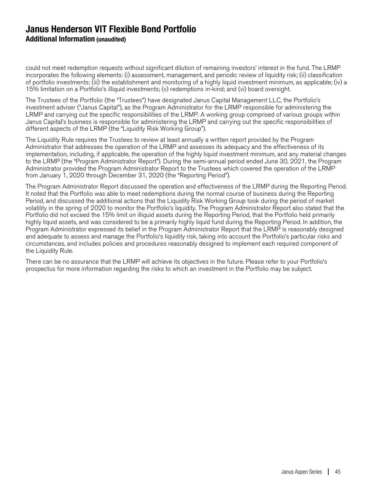could not meet redemption requests without significant dilution of remaining investors' interest in the fund. The LRMP incorporates the following elements: (i) assessment, management, and periodic review of liquidity risk; (ii) classification of portfolio investments; (iii) the establishment and monitoring of a highly liquid investment minimum, as applicable; (iv) a 15% limitation on a Portfolio's illiquid investments; (v) redemptions in-kind; and (vi) board oversight.

The Trustees of the Portfolio (the "Trustees") have designated Janus Capital Management LLC, the Portfolio's investment adviser ("Janus Capital"), as the Program Administrator for the LRMP responsible for administering the LRMP and carrying out the specific responsibilities of the LRMP. A working group comprised of various groups within Janus Capital's business is responsible for administering the LRMP and carrying out the specific responsibilities of different aspects of the LRMP (the "Liquidity Risk Working Group").

The Liquidity Rule requires the Trustees to review at least annually a written report provided by the Program Administrator that addresses the operation of the LRMP and assesses its adequacy and the effectiveness of its implementation, including, if applicable, the operation of the highly liquid investment minimum, and any material changes to the LRMP (the "Program Administrator Report"). During the semi-annual period ended June 30, 2021, the Program Administrator provided the Program Administrator Report to the Trustees which covered the operation of the LRMP from January 1, 2020 through December 31, 2020 (the "Reporting Period").

The Program Administrator Report discussed the operation and effectiveness of the LRMP during the Reporting Period. It noted that the Portfolio was able to meet redemptions during the normal course of business during the Reporting Period, and discussed the additional actions that the Liquidity Risk Working Group took during the period of market volatility in the spring of 2020 to monitor the Portfolio's liquidity. The Program Administrator Report also stated that the Portfolio did not exceed the 15% limit on illiquid assets during the Reporting Period, that the Portfolio held primarily highly liquid assets, and was considered to be a primarily highly liquid fund during the Reporting Period. In addition, the Program Administrator expressed its belief in the Program Administrator Report that the LRMP is reasonably designed and adequate to assess and manage the Portfolio's liquidity risk, taking into account the Portfolio's particular risks and circumstances, and includes policies and procedures reasonably designed to implement each required component of the Liquidity Rule.

There can be no assurance that the LRMP will achieve its objectives in the future. Please refer to your Portfolio's prospectus for more information regarding the risks to which an investment in the Portfolio may be subject.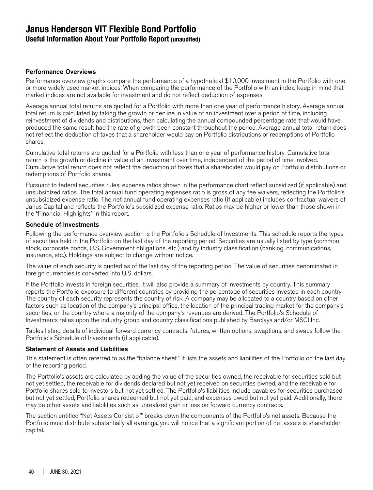## **Janus Henderson VIT Flexible Bond Portfolio Useful Information About Your Portfolio Report (unaudited)**

#### Performance Overviews

Performance overview graphs compare the performance of a hypothetical \$10,000 investment in the Portfolio with one or more widely used market indices. When comparing the performance of the Portfolio with an index, keep in mind that market indices are not available for investment and do not reflect deduction of expenses.

Average annual total returns are quoted for a Portfolio with more than one year of performance history. Average annual total return is calculated by taking the growth or decline in value of an investment over a period of time, including reinvestment of dividends and distributions, then calculating the annual compounded percentage rate that would have produced the same result had the rate of growth been constant throughout the period. Average annual total return does not reflect the deduction of taxes that a shareholder would pay on Portfolio distributions or redemptions of Portfolio shares.

Cumulative total returns are quoted for a Portfolio with less than one year of performance history. Cumulative total return is the growth or decline in value of an investment over time, independent of the period of time involved. Cumulative total return does not reflect the deduction of taxes that a shareholder would pay on Portfolio distributions or redemptions of Portfolio shares.

Pursuant to federal securities rules, expense ratios shown in the performance chart reflect subsidized (if applicable) and unsubsidized ratios. The total annual fund operating expenses ratio is gross of any fee waivers, reflecting the Portfolio's unsubsidized expense ratio. The net annual fund operating expenses ratio (if applicable) includes contractual waivers of Janus Capital and reflects the Portfolio's subsidized expense ratio. Ratios may be higher or lower than those shown in the "Financial Highlights" in this report.

#### Schedule of Investments

Following the performance overview section is the Portfolio's Schedule of Investments. This schedule reports the types of securities held in the Portfolio on the last day of the reporting period. Securities are usually listed by type (common stock, corporate bonds, U.S. Government obligations, etc.) and by industry classification (banking, communications, insurance, etc.). Holdings are subject to change without notice.

The value of each security is quoted as of the last day of the reporting period. The value of securities denominated in foreign currencies is converted into U.S. dollars.

If the Portfolio invests in foreign securities, it will also provide a summary of investments by country. This summary reports the Portfolio exposure to different countries by providing the percentage of securities invested in each country. The country of each security represents the country of risk. A company may be allocated to a country based on other factors such as location of the company's principal office, the location of the principal trading market for the company's securities, or the country where a majority of the company's revenues are derived. The Portfolio's Schedule of Investments relies upon the industry group and country classifications published by Barclays and/or MSCI Inc.

Tables listing details of individual forward currency contracts, futures, written options, swaptions, and swaps follow the Portfolio's Schedule of Investments (if applicable).

#### Statement of Assets and Liabilities

This statement is often referred to as the "balance sheet." It lists the assets and liabilities of the Portfolio on the last day of the reporting period.

The Portfolio's assets are calculated by adding the value of the securities owned, the receivable for securities sold but not yet settled, the receivable for dividends declared but not yet received on securities owned, and the receivable for Portfolio shares sold to investors but not yet settled. The Portfolio's liabilities include payables for securities purchased but not yet settled, Portfolio shares redeemed but not yet paid, and expenses owed but not yet paid. Additionally, there may be other assets and liabilities such as unrealized gain or loss on forward currency contracts.

The section entitled "Net Assets Consist of" breaks down the components of the Portfolio's net assets. Because the Portfolio must distribute substantially all earnings, you will notice that a significant portion of net assets is shareholder capital.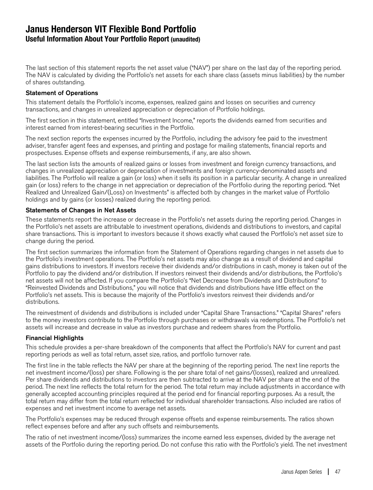## **Janus Henderson VIT Flexible Bond Portfolio Useful Information About Your Portfolio Report (unaudited)**

The last section of this statement reports the net asset value ("NAV") per share on the last day of the reporting period. The NAV is calculated by dividing the Portfolio's net assets for each share class (assets minus liabilities) by the number of shares outstanding.

#### Statement of Operations

This statement details the Portfolio's income, expenses, realized gains and losses on securities and currency transactions, and changes in unrealized appreciation or depreciation of Portfolio holdings.

The first section in this statement, entitled "Investment Income," reports the dividends earned from securities and interest earned from interest-bearing securities in the Portfolio.

The next section reports the expenses incurred by the Portfolio, including the advisory fee paid to the investment adviser, transfer agent fees and expenses, and printing and postage for mailing statements, financial reports and prospectuses. Expense offsets and expense reimbursements, if any, are also shown.

The last section lists the amounts of realized gains or losses from investment and foreign currency transactions, and changes in unrealized appreciation or depreciation of investments and foreign currency-denominated assets and liabilities. The Portfolio will realize a gain (or loss) when it sells its position in a particular security. A change in unrealized gain (or loss) refers to the change in net appreciation or depreciation of the Portfolio during the reporting period. "Net Realized and Unrealized Gain/(Loss) on Investments" is affected both by changes in the market value of Portfolio holdings and by gains (or losses) realized during the reporting period.

#### Statements of Changes in Net Assets

These statements report the increase or decrease in the Portfolio's net assets during the reporting period. Changes in the Portfolio's net assets are attributable to investment operations, dividends and distributions to investors, and capital share transactions. This is important to investors because it shows exactly what caused the Portfolio's net asset size to change during the period.

The first section summarizes the information from the Statement of Operations regarding changes in net assets due to the Portfolio's investment operations. The Portfolio's net assets may also change as a result of dividend and capital gains distributions to investors. If investors receive their dividends and/or distributions in cash, money is taken out of the Portfolio to pay the dividend and/or distribution. If investors reinvest their dividends and/or distributions, the Portfolio's net assets will not be affected. If you compare the Portfolio's "Net Decrease from Dividends and Distributions" to "Reinvested Dividends and Distributions," you will notice that dividends and distributions have little effect on the Portfolio's net assets. This is because the majority of the Portfolio's investors reinvest their dividends and/or distributions.

The reinvestment of dividends and distributions is included under "Capital Share Transactions." "Capital Shares" refers to the money investors contribute to the Portfolio through purchases or withdrawals via redemptions. The Portfolio's net assets will increase and decrease in value as investors purchase and redeem shares from the Portfolio.

#### Financial Highlights

This schedule provides a per-share breakdown of the components that affect the Portfolio's NAV for current and past reporting periods as well as total return, asset size, ratios, and portfolio turnover rate.

The first line in the table reflects the NAV per share at the beginning of the reporting period. The next line reports the net investment income/(loss) per share. Following is the per share total of net gains/(losses), realized and unrealized. Per share dividends and distributions to investors are then subtracted to arrive at the NAV per share at the end of the period. The next line reflects the total return for the period. The total return may include adjustments in accordance with generally accepted accounting principles required at the period end for financial reporting purposes. As a result, the total return may differ from the total return reflected for individual shareholder transactions. Also included are ratios of expenses and net investment income to average net assets.

The Portfolio's expenses may be reduced through expense offsets and expense reimbursements. The ratios shown reflect expenses before and after any such offsets and reimbursements.

The ratio of net investment income/(loss) summarizes the income earned less expenses, divided by the average net assets of the Portfolio during the reporting period. Do not confuse this ratio with the Portfolio's yield. The net investment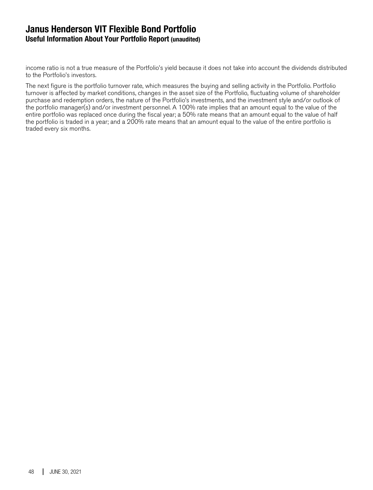## **Janus Henderson VIT Flexible Bond Portfolio Useful Information About Your Portfolio Report (unaudited)**

income ratio is not a true measure of the Portfolio's yield because it does not take into account the dividends distributed to the Portfolio's investors.

The next figure is the portfolio turnover rate, which measures the buying and selling activity in the Portfolio. Portfolio turnover is affected by market conditions, changes in the asset size of the Portfolio, fluctuating volume of shareholder purchase and redemption orders, the nature of the Portfolio's investments, and the investment style and/or outlook of the portfolio manager(s) and/or investment personnel. A 100% rate implies that an amount equal to the value of the entire portfolio was replaced once during the fiscal year; a 50% rate means that an amount equal to the value of half the portfolio is traded in a year; and a 200% rate means that an amount equal to the value of the entire portfolio is traded every six months.